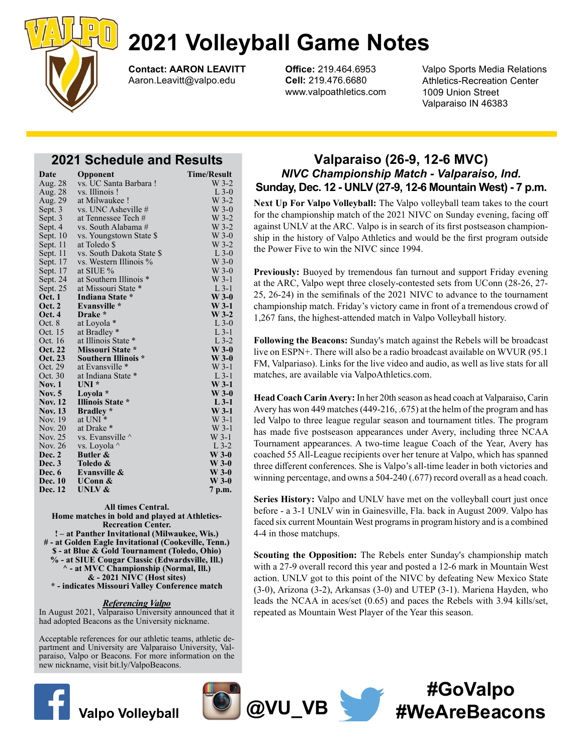

Contact: AARON LEAVITT Aaron.Leavitt@valpo.edu

Office: 219.464.6953 Cell: 219.476.6680 www.valpoathletics.com Valpo Sports Media Relations Athletics-Recreation Center 1009 Union Street Valparaiso IN 46383

# 2021 Schedule and Results

| Date           | Opponent                  | Time/Result  |
|----------------|---------------------------|--------------|
| Aug. 28        | vs. UC Santa Barbara!     | $W$ 3-2      |
| Aug. 28        | vs. Illinois !            | $L$ 3-0      |
| Aug. 29        | at Milwaukee !            | W 3-2        |
| Sept. 3        | vs. UNC Asheville #       | $W$ 3-0      |
| Sept. 3        | at Tennessee Tech #       | $W$ 3-2      |
| Sept. 4        | vs. South Alabama #       | $W$ 3-2      |
| Sept. $10$     | vs. Youngstown State \$   | $W$ 3-0      |
| Sept. 11       | at Toledo \$              | $W$ 3-2      |
| Sept. 11       | vs. South Dakota State \$ | $L$ 3-0      |
| Sept. 17       | vs. Western Illinois %    | $W$ 3-0      |
| Sept. 17       | at SIUE %                 | $W$ 3-0      |
| Sept. 24       | at Southern Illinois *    | $W$ 3-1      |
| Sept. 25       | at Missouri State *       | $L$ 3-1      |
| <b>Oct. 1</b>  | Indiana State *           | <b>W</b> 3-0 |
| <b>Oct. 2</b>  | Evansville *              | $W$ 3-1      |
| <b>Oct. 4</b>  | Drake *                   | $W$ 3-2      |
| Oct. 8         | at Loyola *               | $L$ 3-0      |
| Oct. 15        | at Bradley *              | $L$ 3-1      |
| Oct. 16        | at Illinois State *       | $L$ 3-2      |
| Oct. 22        | Missouri State *          | $W$ 3-0      |
| <b>Oct. 23</b> | Southern Illinois *       | $W$ 3-0      |
| Oct. 29        | at Evansville *           | $W$ 3-1      |
| Oct. 30        | at Indiana State *        | $L$ 3-1      |
| <b>Nov. 1</b>  | $UNI^*$                   | W 3-1        |
| <b>Nov. 5</b>  | Loyola *                  | $W$ 3-0      |
| <b>Nov. 12</b> | <b>Illinois State *</b>   | $L$ 3-1      |
| <b>Nov. 13</b> | Bradley *                 | $W$ 3-1      |
| Nov. 19        | at UNI *                  | W 3-1        |
| Nov. 20        | at Drake *                | W 3-1        |
| Nov. 25        | vs. Evansville $\wedge$   | $W$ 3-1      |
| Nov. 26        | vs. Loyola ^              | $L$ 3-2      |
| Dec. 2         | <b>Butler &amp;</b>       | W 3-0        |
| Dec. 3         | Toledo &                  | $W$ 3-0      |
| Dec. 6         | Evansville &              | $W$ 3-0      |
| Dec. 10        | $UC$ onn &                | $W$ 3-0      |
| Dec. 12        | UNLV &                    | 7 p.m.       |

All times Central. Home matches in bold and played at Athletics-Recreation Center. ! – at Panther Invitational (Milwaukee, Wis.) # - at Golden Eagle Invitational (Cookeville, Tenn.) \$ - at Blue & Gold Tournament (Toledo, Ohio) % - at SIUE Cougar Classic (Edwardsville, Ill.) ^ - at MVC Championship (Normal, Ill.)  $&$  - 2021 NIVC (Host sites) \* - indicates Missouri Valley Conference match

#### Referencing Valpo

In August 2021, Valparaiso University announced that it had adopted Beacons as the University nickname.

Acceptable references for our athletic teams, athletic department and University are Valparaiso University, Valparaiso, Valpo or Beacons. For more information on the new nickname, visit bit.ly/ValpoBeacons.



# Valparaiso (26-9, 12-6 MVC) NIVC Championship Match - Valparaiso, Ind. Sunday, Dec. 12 - UNLV (27-9, 12-6 Mountain West) - 7 p.m.

Next Up For Valpo Volleyball: The Valpo volleyball team takes to the court for the championship match of the 2021 NIVC on Sunday evening, facing off against UNLV at the ARC. Valpo is in search of its first postseason championship in the history of Valpo Athletics and would be the first program outside the Power Five to win the NIVC since 1994.

Previously: Buoyed by tremendous fan turnout and support Friday evening at the ARC, Valpo wept three closely-contested sets from UConn (28-26, 27-  $25, 26-24$ ) in the semifinals of the  $2021$  NIVC to advance to the tournament championship match. Friday's victory came in front of a tremendous crowd of 1,267 fans, the highest-attended match in Valpo Volleyball history.

Following the Beacons: Sunday's match against the Rebels will be broadcast live on ESPN+. There will also be a radio broadcast available on WVUR (95.1 FM, Valpariaso). Links for the live video and audio, as well as live stats for all matches, are available via ValpoAthletics.com.

Head Coach Carin Avery: In her 20th season as head coach at Valparaiso, Carin Avery has won 449 matches (449-216, .675) at the helm of the program and has led Valpo to three league regular season and tournament titles. The program has made five postseason appearances under Avery, including three NCAA Tournament appearances. A two-time league Coach of the Year, Avery has coached 55 All-League recipients over her tenure at Valpo, which has spanned three different conferences. She is Valpo's all-time leader in both victories and winning percentage, and owns a 504-240 (.677) record overall as a head coach.

Series History: Valpo and UNLV have met on the volleyball court just once before - a 3-1 UNLV win in Gainesville, Fla. back in August 2009. Valpo has faced six current Mountain West programs in program history and is a combined 4-4 in those matchups.

Scouting the Opposition: The Rebels enter Sunday's championship match with a 27-9 overall record this year and posted a 12-6 mark in Mountain West action. UNLV got to this point of the NIVC by defeating New Mexico State (3-0), Arizona (3-2), Arkansas (3-0) and UTEP (3-1). Mariena Hayden, who leads the NCAA in aces/set (0.65) and paces the Rebels with 3.94 kills/set, repeated as Mountain West Player of the Year this season.

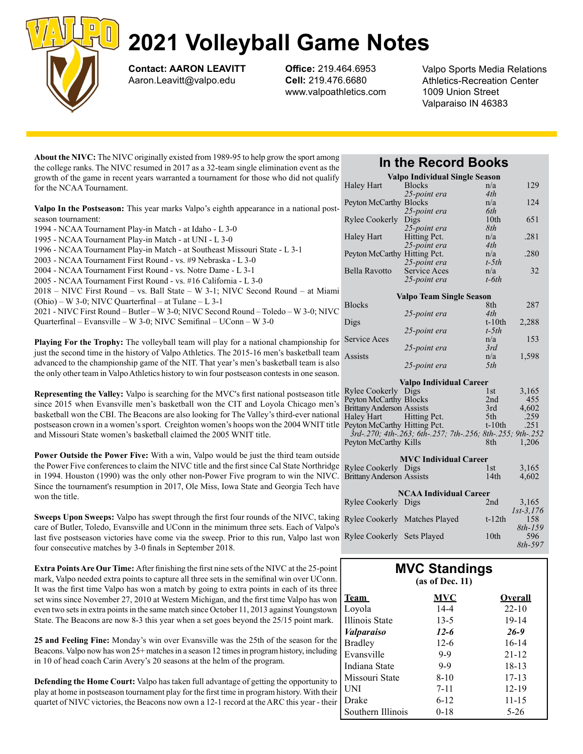

Contact: AARON LEAVITT Aaron.Leavitt@valpo.edu

Office: 219.464.6953 Cell: 219.476.6680 www.valpoathletics.com Valpo Sports Media Relations Athletics-Recreation Center 1009 Union Street Valparaiso IN 46383

About the NIVC: The NIVC originally existed from 1989-95 to help grow the sport among the college ranks. The NIVC resumed in 2017 as a 32-team single elimination event as the growth of the game in recent years warranted a tournament for those who did not qualify for the NCAA Tournament.

Valpo In the Postseason: This year marks Valpo's eighth appearance in a national postseason tournament:

- 1994 NCAA Tournament Play-in Match at Idaho L 3-0
- 1995 NCAA Tournament Play-in Match at UNI L 3-0
- 1996 NCAA Tournament Play-in Match at Southeast Missouri State L 3-1
- 2003 NCAA Tournament First Round vs. #9 Nebraska L 3-0
- 2004 NCAA Tournament First Round vs. Notre Dame L 3-1
- 2005 NCAA Tournament First Round vs. #16 California L 3-0
- 2018 NIVC First Round vs. Ball State W 3-1; NIVC Second Round at Miami  $(Ohio) - W 3-0$ ; NIVC Quarterfinal – at Tulane – L 3-1
- 2021 NIVC First Round Butler W 3-0; NIVC Second Round Toledo W 3-0; NIVC Quarterfinal – Evansville – W 3-0; NIVC Semifinal – UConn – W 3-0

Playing For the Trophy: The volleyball team will play for a national championship for just the second time in the history of Valpo Athletics. The 2015-16 men's basketball team advanced to the championship game of the NIT. That year's men's basketball team is also the only other team in Valpo Athletics history to win four postseason contests in one season.

Representing the Valley: Valpo is searching for the MVC's first national postseason title since 2015 when Evansville men's basketball won the CIT and Loyola Chicago men's basketball won the CBI. The Beacons are also looking for The Valley's third-ever national postseason crown in a women's sport. Creighton women's hoops won the 2004 WNIT title and Missouri State women's basketball claimed the 2005 WNIT title.

Power Outside the Power Five: With a win, Valpo would be just the third team outside the Power Five conferences to claim the NIVC title and the first since Cal State Northridge in 1994. Houston (1990) was the only other non-Power Five program to win the NIVC. Since the tournament's resumption in 2017, Ole Miss, Iowa State and Georgia Tech have won the title.

Sweeps Upon Sweeps: Valpo has swept through the first four rounds of the NIVC, taking care of Butler, Toledo, Evansville and UConn in the minimum three sets. Each of Valpo's last five postseason victories have come via the sweep. Prior to this run, Valpo last won four consecutive matches by 3-0 finals in September 2018.

Extra Points Are Our Time: After finishing the first nine sets of the NIVC at the 25-point mark, Valpo needed extra points to capture all three sets in the semifinal win over UConn. It was the first time Valpo has won a match by going to extra points in each of its three set wins since November 27, 2010 at Western Michigan, and the first time Valpo has won even two sets in extra points in the same match since October 11, 2013 against Youngstown State. The Beacons are now 8-3 this year when a set goes beyond the 25/15 point mark.

25 and Feeling Fine: Monday's win over Evansville was the 25th of the season for the Beacons. Valpo now has won 25+ matches in a season 12 times in program history, including in 10 of head coach Carin Avery's 20 seasons at the helm of the program.

Defending the Home Court: Valpo has taken full advantage of getting the opportunity to play at home in postseason tournament play for the first time in program history. With their quartet of NIVC victories, the Beacons now own a 12-1 record at the ARC this year - their

# In the Record Books

|                              | Valpo Individual Single Season |                  |      |
|------------------------------|--------------------------------|------------------|------|
| Haley Hart                   | <b>Blocks</b>                  | n/a              | 129  |
|                              | 25-point era                   | 4th              |      |
| Peyton McCarthy Blocks       |                                | n/a              | 124  |
|                              | 25-point era                   | 6th              |      |
| Rylee Cookerly               | Digs                           | 10 <sub>th</sub> | 651  |
|                              | 25-point era                   | 8th              |      |
| Haley Hart                   | Hitting Pct.                   | n/a              | .281 |
|                              | 25-point era                   | 4th              |      |
| Peyton McCarthy Hitting Pct. |                                | n/a              | .280 |
|                              | 25-point era                   | $t-5th$          |      |
| <b>Bella Ravotto</b>         | Service Aces                   | n/a              | 32   |
|                              | 25-point era                   | $t$ -6th         |      |
|                              |                                |                  |      |

|               | <b>Valpo Team Single Season</b> |           |       |
|---------------|---------------------------------|-----------|-------|
| <b>Blocks</b> |                                 | 8th       | 287   |
|               | 25-point era                    | 4th       |       |
| Digs          |                                 | $t-10$ th | 2,288 |
|               | 25-point era                    | $t-5th$   |       |
| Service Aces  |                                 | n/a       | 153   |
|               | 25-point era                    | 3rd       |       |
| Assists       |                                 | n/a       | 1,598 |
|               | 25-point era                    | 5th       |       |

#### Valpo Individual Career

| Rylee Cookerly Digs                                        | 1 <sub>st</sub> | 3,165 |
|------------------------------------------------------------|-----------------|-------|
| Peyton McCarthy Blocks                                     | 2 <sub>nd</sub> | 455   |
| <b>Brittany Anderson Assists</b>                           | 3rd             | 4.602 |
| Haley Hart Hitting Pct.                                    | 5th             | .259  |
| Peyton McCarthy Hitting Pct.                               | $t-10$ th       | .251  |
| 3rd-.270; 4th-.263; 6th-.257; 7th-.256; 8th-.255; 9th-.252 |                 |       |
| Peyton McCarthy Kills                                      | 8th -           | 1.206 |

| <b>MVC</b> Individual Career     |  |                  |                |  |  |
|----------------------------------|--|------------------|----------------|--|--|
| Rylee Cookerly Digs              |  | 1st              | 3,165          |  |  |
| <b>Brittany Anderson Assists</b> |  | 14th             | 4,602          |  |  |
| <b>NCAA Individual Career</b>    |  |                  |                |  |  |
| Rylee Cookerly Digs              |  | 2nd              | 3,165          |  |  |
|                                  |  |                  | $1st - 3, 176$ |  |  |
| Rylee Cookerly Matches Played    |  | $t-12th$         | 158            |  |  |
|                                  |  |                  | $8th-159$      |  |  |
| Rylee Cookerly Sets Played       |  | 10 <sub>th</sub> | 596            |  |  |
|                                  |  |                  | 8th-597        |  |  |

|                       | <b>MVC Standings</b><br>(as of Dec. 11) |                |
|-----------------------|-----------------------------------------|----------------|
| <u>Team</u>           | MVC                                     | <b>Overall</b> |
| Loyola                | $14 - 4$                                | $22 - 10$      |
| <b>Illinois State</b> | $13-5$                                  | $19 - 14$      |
| <i>Valparaiso</i>     | $12 - 6$                                | $26 - 9$       |
| <b>Bradley</b>        | $12-6$                                  | 16-14          |
| Evansville            | $9 - 9$                                 | 21-12          |
| Indiana State         | $9 - 9$                                 | 18-13          |
| Missouri State        | $8 - 10$                                | $17 - 13$      |
| UNI                   | $7 - 11$                                | $12 - 19$      |
| Drake                 | $6-12$                                  | $11 - 15$      |
| Southern Illinois     | $0 - 18$                                | $5-26$         |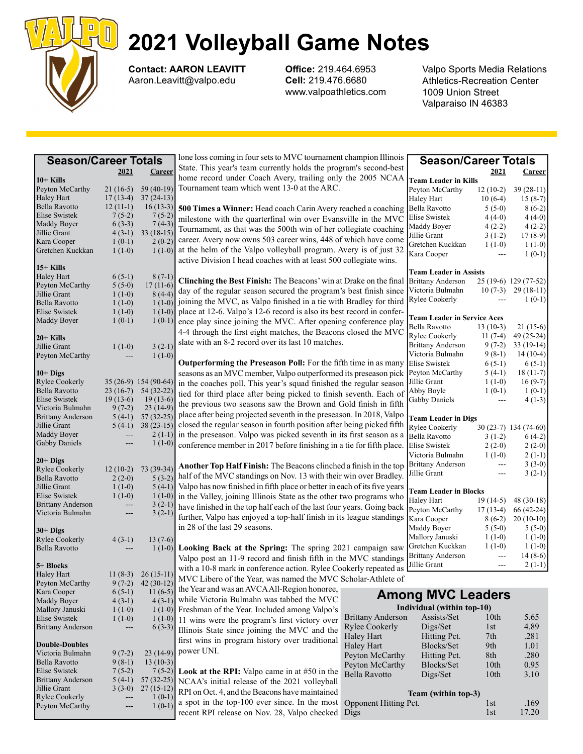

Contact: AARON LEAVITT Aaron.Leavitt@valpo.edu

Office: 219.464.6953 Cell: 219.476.6680 www.valpoathletics.com Valpo Sports Media Relations Athletics-Recreation Center 1009 Union Street Valparaiso IN 46383

| <b>Season/Career Totals</b>               |                      |                        | lone loss coming in four sets to MVC tournament champion Illinois           | <b>Season/Career Totals</b> |                                    |                      |                       |
|-------------------------------------------|----------------------|------------------------|-----------------------------------------------------------------------------|-----------------------------|------------------------------------|----------------------|-----------------------|
|                                           | 2021                 | Career                 | State. This year's team currently holds the program's second-best           |                             |                                    | 2021                 | <b>Career</b>         |
| $10+$ Kills                               |                      |                        | home record under Coach Avery, trailing only the 2005 NCAA                  |                             | <b>Team Leader in Kills</b>        |                      |                       |
| Peyton McCarthy                           | $21(16-5)$           | 59 $(40-19)$           | Tournament team which went 13-0 at the ARC.                                 |                             | Peyton McCarthy                    | $12(10-2)$           | $39(28-11)$           |
| <b>Haley Hart</b>                         | $17(13-4)$           | $37(24-13)$            |                                                                             |                             | Haley Hart                         | $10(6-4)$            | $15(8-7)$             |
| Bella Ravotto                             | $12(11-1)$           | $16(13-3)$             | 500 Times a Winner: Head coach Carin Avery reached a coaching Bella Ravotto |                             |                                    | $5(5-0)$             | $8(6-2)$              |
| Elise Swistek                             | $7(5-2)$             | $7(5-2)$               | milestone with the quarterfinal win over Evansville in the MVC              |                             | Elise Swistek                      | $4(4-0)$             | $4(4-0)$              |
| Maddy Boyer                               | $6(3-3)$             | $7(4-3)$               |                                                                             |                             | Maddy Boyer                        | $4(2-2)$             | $4(2-2)$              |
| Jillie Grant                              | $4(3-1)$             | $33(18-15)$            | Tournament, as that was the 500th win of her collegiate coaching            |                             | Jillie Grant                       | $3(1-2)$             | $17(8-9)$             |
| Kara Cooper                               | $1(0-1)$             | $2(0-2)$               | career. Avery now owns 503 career wins, 448 of which have come              |                             | Gretchen Kuckkan                   | $1(1-0)$             | $1(1-0)$              |
| Gretchen Kuckkan                          | $1(1-0)$             | $1(1-0)$               | at the helm of the Valpo volleyball program. Avery is of just 32            |                             | Kara Cooper                        | $- - -$              | $1(0-1)$              |
|                                           |                      |                        | active Division I head coaches with at least 500 collegiate wins.           |                             |                                    |                      |                       |
| $15+$ Kills                               |                      |                        |                                                                             |                             | <b>Team Leader in Assists</b>      |                      |                       |
| <b>Haley Hart</b>                         | $6(5-1)$             | $8(7-1)$               | Clinching the Best Finish: The Beacons' win at Drake on the final           |                             | <b>Brittany Anderson</b>           |                      | 25 (19-6) 129 (77-52) |
| Peyton McCarthy                           | $5(5-0)$             | $17(11-6)$             | day of the regular season secured the program's best finish since           |                             | Victoria Bulmahn                   | $10(7-3)$            | $29(18-11)$           |
| Jillie Grant                              | $1(1-0)$             | $8(4-4)$               | joining the MVC, as Valpo finished in a tie with Bradley for third          |                             | Rylee Cookerly                     |                      | $1(0-1)$              |
| <b>Bella Ravotto</b>                      | $1(1-0)$             | $1(1-0)$               |                                                                             |                             |                                    |                      |                       |
| Elise Swistek                             | $1(1-0)$             | $1(1-0)$               | place at 12-6. Valpo's 12-6 record is also its best record in confer-       |                             | <b>Team Leader in Service Aces</b> |                      |                       |
| Maddy Boyer                               | $1(0-1)$             | $1(0-1)$               | ence play since joining the MVC. After opening conference play              |                             | <b>Bella Ravotto</b>               | $13(10-3)$           | $21(15-6)$            |
| $20+$ Kills                               |                      |                        | 4-4 through the first eight matches, the Beacons closed the MVC             |                             | Rylee Cookerly                     | $11(7-4)$            | 49 (25-24)            |
| Jillie Grant                              | $1(1-0)$             | $3(2-1)$               | slate with an 8-2 record over its last 10 matches.                          |                             | <b>Brittany Anderson</b>           | $9(7-2)$             | $33(19-14)$           |
| Peyton McCarthy                           |                      | $1(1-0)$               |                                                                             |                             | Victoria Bulmahn                   | $9(8-1)$             | $14(10-4)$            |
|                                           |                      |                        | <b>Outperforming the Preseason Poll:</b> For the fifth time in as many      |                             | <b>Elise Swistek</b>               | $6(5-1)$             | $6(5-1)$              |
| $10+$ Digs                                |                      |                        | seasons as an MVC member, Valpo outperformed its preseason pick             |                             | Peyton McCarthy                    | $5(4-1)$             | $18(11-7)$            |
| <b>Rylee Cookerly</b>                     |                      | 35 (26-9) 154 (90-64)  | in the coaches poll. This year's squad finished the regular season          |                             | Jillie Grant                       | $1(1-0)$             | $16(9-7)$             |
| Bella Ravotto                             | $23(16-7)$           | 54 (32-22)             | tied for third place after being picked to finish seventh. Each of          |                             | Abby Boyle                         | $1(0-1)$             | $1(0-1)$              |
| <b>Elise Swistek</b>                      | $19(13-6)$           | $19(13-6)$             |                                                                             |                             | Gabby Daniels                      |                      | $4(1-3)$              |
| Victoria Bulmahn                          | $9(7-2)$             | $23(14-9)$             | the previous two seasons saw the Brown and Gold finish in fifth             |                             |                                    |                      |                       |
| <b>Brittany Anderson</b>                  | $5(4-1)$             | $57(32-25)$            | place after being projected seventh in the preseason. In 2018, Valpo        |                             | <b>Team Leader in Digs</b>         |                      |                       |
| Jillie Grant                              | $5(4-1)$             | $38(23-15)$            | closed the regular season in fourth position after being picked fifth       |                             | Rylee Cookerly                     |                      | 30 (23-7) 134 (74-60) |
| Maddy Boyer                               | $---$                | $2(1-1)$               | in the preseason. Valpo was picked seventh in its first season as a         |                             | <b>Bella Ravotto</b>               | $3(1-2)$             | $6(4-2)$              |
| <b>Gabby Daniels</b>                      | $---$                | $1(1-0)$               | conference member in 2017 before finishing in a tie for fifth place.        |                             | Elise Swistek                      | $2(2-0)$             | $2(2-0)$              |
|                                           |                      |                        |                                                                             |                             | Victoria Bulmahn                   | $1(1-0)$             | $2(1-1)$              |
| $20+$ Digs                                |                      |                        | Another Top Half Finish: The Beacons clinched a finish in the top           |                             | <b>Brittany Anderson</b>           | $\sim$ $\sim$ $\sim$ | $3(3-0)$              |
| <b>Rylee Cookerly</b>                     | $12(10-2)$           | $73(39-34)$            | half of the MVC standings on Nov. 13 with their win over Bradley.           |                             | Jillie Grant                       |                      | $3(2-1)$              |
| Bella Ravotto                             | $2(2-0)$             | $5(3-2)$               | Valpo has now finished in fifth place or better in each of its five years   |                             |                                    |                      |                       |
| Jillie Grant                              | $1(1-0)$             | $5(4-1)$               |                                                                             |                             | <b>Team Leader in Blocks</b>       |                      |                       |
| Elise Swistek<br><b>Brittany Anderson</b> | $1(1-0)$<br>$---$    | $1(1-0)$               | in the Valley, joining Illinois State as the other two programs who         |                             | Haley Hart                         | $19(14-5)$           | $48(30-18)$           |
| Victoria Bulmahn                          | $---$                | $3(2-1)$<br>$3(2-1)$   | have finished in the top half each of the last four years. Going back       |                             | Peyton McCarthy                    | $17(13-4)$           | $66(42-24)$           |
|                                           |                      |                        | further, Valpo has enjoyed a top-half finish in its league standings        |                             | Kara Cooper                        | $8(6-2)$             | $20(10-10)$           |
| $30+$ Digs                                |                      |                        | in 28 of the last 29 seasons.                                               |                             | Maddy Boyer                        | $5(5-0)$             | $5(5-0)$              |
| <b>Rylee Cookerly</b>                     | $4(3-1)$             | $13(7-6)$              |                                                                             |                             | Mallory Januski                    | $1(1-0)$             | $1(1-0)$              |
| Bella Ravotto                             |                      | $1(1-0)$               | Looking Back at the Spring: The spring 2021 campaign saw                    |                             | Gretchen Kuckkan                   | $1(1-0)$             | $1(1-0)$              |
|                                           |                      |                        | Valpo post an 11-9 record and finish fifth in the MVC standings             |                             | <b>Brittany Anderson</b>           | $\sim$ $\sim$ $\sim$ | $14(8-6)$             |
| 5+ Blocks                                 |                      |                        | with a 10-8 mark in conference action. Rylee Cookerly repeated as           |                             | Jillie Grant                       | $\sim$               | $2(1-1)$              |
| <b>Haley Hart</b>                         | $11(8-3)$            | $26(15-11)$            | MVC Libero of the Year, was named the MVC Scholar-Athlete of                |                             |                                    |                      |                       |
| Peyton McCarthy                           | $9(7-2)$             | $42(30-12)$            |                                                                             |                             |                                    |                      |                       |
| Kara Cooper                               | $6(5-1)$             | $11(6-5)$              | the Year and was an AVCA All-Region honoree,                                |                             | <b>Among MVC Leaders</b>           |                      |                       |
| Maddy Boyer                               | $4(3-1)$             | $4(3-1)$               | while Victoria Bulmahn was tabbed the MVC                                   |                             |                                    |                      |                       |
| Mallory Januski                           | $1(1-0)$             | $1(1-0)$               | Freshman of the Year. Included among Valpo's                                |                             | Individual (within top-10)         |                      |                       |
| <b>Elise Swistek</b>                      | $1(1-0)$             | $1(1-0)$               | 11 wins were the program's first victory over                               | <b>Brittany Anderson</b>    | Assists/Set                        | 10th                 | 5.65                  |
| <b>Brittany Anderson</b>                  | ---                  | $6(3-3)$               | Illinois State since joining the MVC and the                                | <b>Rylee Cookerly</b>       | Digs/Set                           | 1st                  | 4.89                  |
|                                           |                      |                        | first wins in program history over traditional                              | Haley Hart                  | Hitting Pct.                       | 7th                  | .281                  |
| <b>Double-Doubles</b>                     |                      |                        | power UNI.                                                                  | Haley Hart                  | Blocks/Set                         | 9th                  | 1.01                  |
| Victoria Bulmahn                          | $9(7-2)$             | $23(14-9)$             |                                                                             | Peyton McCarthy             | Hitting Pct.                       | 8th                  | .280                  |
| Bella Ravotto<br><b>Elise Swistek</b>     | $9(8-1)$<br>$7(5-2)$ | $13(10-3)$<br>$7(5-2)$ |                                                                             | Peyton McCarthy             | Blocks/Set                         | 10th                 | 0.95                  |
| <b>Brittany Anderson</b>                  | $5(4-1)$             | $57(32-25)$            | Look at the RPI: Valpo came in at #50 in the                                | Bella Ravotto               | Digs/Set                           | 10 <sub>th</sub>     | 3.10                  |
| Jillie Grant                              | $3(3-0)$             | $27(15-12)$            | NCAA's initial release of the 2021 volleyball                               |                             |                                    |                      |                       |
| <b>Rylee Cookerly</b>                     | $---$                | $1(0-1)$               | RPI on Oct. 4, and the Beacons have maintained                              |                             | Team (within top-3)                |                      |                       |
| Peyton McCarthy                           | $---$                | $1(0-1)$               | a spot in the top-100 ever since. In the most                               | Opponent Hitting Pct.       |                                    | 1 <sub>st</sub>      | .169                  |
|                                           |                      |                        | recent RPI release on Nov. 28, Valpo checked                                | Digs                        |                                    | 1st                  | 17.20                 |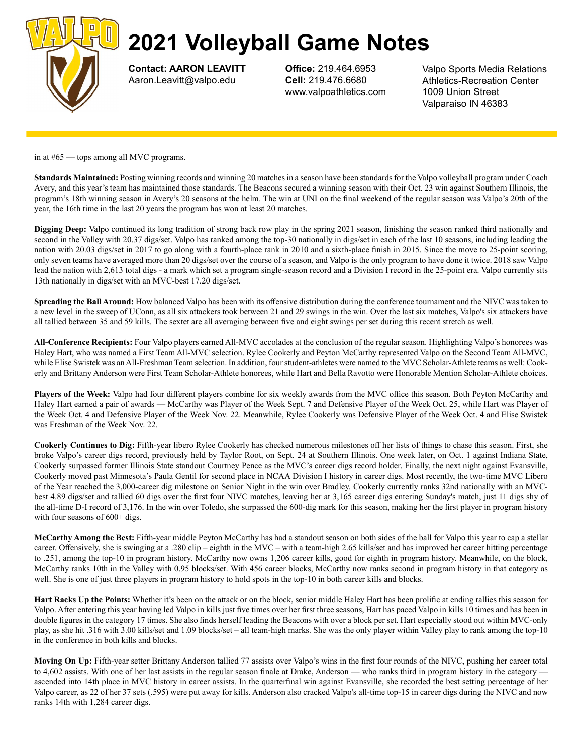

Contact: AARON LEAVITT Aaron.Leavitt@valpo.edu

Office: 219.464.6953 Cell: 219.476.6680 www.valpoathletics.com Valpo Sports Media Relations Athletics-Recreation Center 1009 Union Street Valparaiso IN 46383

in at #65 — tops among all MVC programs.

Standards Maintained: Posting winning records and winning 20 matches in a season have been standards for the Valpo volleyball program under Coach Avery, and this year's team has maintained those standards. The Beacons secured a winning season with their Oct. 23 win against Southern Illinois, the program's 18th winning season in Avery's 20 seasons at the helm. The win at UNI on the final weekend of the regular season was Valpo's 20th of the year, the 16th time in the last 20 years the program has won at least 20 matches.

Digging Deep: Valpo continued its long tradition of strong back row play in the spring 2021 season, finishing the season ranked third nationally and second in the Valley with 20.37 digs/set. Valpo has ranked among the top-30 nationally in digs/set in each of the last 10 seasons, including leading the nation with 20.03 digs/set in 2017 to go along with a fourth-place rank in 2010 and a sixth-place finish in 2015. Since the move to 25-point scoring, only seven teams have averaged more than 20 digs/set over the course of a season, and Valpo is the only program to have done it twice. 2018 saw Valpo lead the nation with 2,613 total digs - a mark which set a program single-season record and a Division I record in the 25-point era. Valpo currently sits 13th nationally in digs/set with an MVC-best 17.20 digs/set.

Spreading the Ball Around: How balanced Valpo has been with its offensive distribution during the conference tournament and the NIVC was taken to a new level in the sweep of UConn, as all six attackers took between 21 and 29 swings in the win. Over the last six matches, Valpo's six attackers have all tallied between 35 and 59 kills. The sextet are all averaging between five and eight swings per set during this recent stretch as well.

All-Conference Recipients: Four Valpo players earned All-MVC accolades at the conclusion of the regular season. Highlighting Valpo's honorees was Haley Hart, who was named a First Team All-MVC selection. Rylee Cookerly and Peyton McCarthy represented Valpo on the Second Team All-MVC, while Elise Swistek was an All-Freshman Team selection. In addition, four student-athletes were named to the MVC Scholar-Athlete teams as well: Cookerly and Brittany Anderson were First Team Scholar-Athlete honorees, while Hart and Bella Ravotto were Honorable Mention Scholar-Athlete choices.

Players of the Week: Valpo had four different players combine for six weekly awards from the MVC office this season. Both Peyton McCarthy and Haley Hart earned a pair of awards — McCarthy was Player of the Week Sept. 7 and Defensive Player of the Week Oct. 25, while Hart was Player of the Week Oct. 4 and Defensive Player of the Week Nov. 22. Meanwhile, Rylee Cookerly was Defensive Player of the Week Oct. 4 and Elise Swistek was Freshman of the Week Nov. 22.

Cookerly Continues to Dig: Fifth-year libero Rylee Cookerly has checked numerous milestones off her lists of things to chase this season. First, she broke Valpo's career digs record, previously held by Taylor Root, on Sept. 24 at Southern Illinois. One week later, on Oct. 1 against Indiana State, Cookerly surpassed former Illinois State standout Courtney Pence as the MVC's career digs record holder. Finally, the next night against Evansville, Cookerly moved past Minnesota's Paula Gentil for second place in NCAA Division I history in career digs. Most recently, the two-time MVC Libero of the Year reached the 3,000-career dig milestone on Senior Night in the win over Bradley. Cookerly currently ranks 32nd nationally with an MVCbest 4.89 digs/set and tallied 60 digs over the first four NIVC matches, leaving her at 3,165 career digs entering Sunday's match, just 11 digs shy of the all-time D-I record of 3,176. In the win over Toledo, she surpassed the 600-dig mark for this season, making her the first player in program history with four seasons of 600+ digs.

McCarthy Among the Best: Fifth-year middle Peyton McCarthy has had a standout season on both sides of the ball for Valpo this year to cap a stellar career. Offensively, she is swinging at a .280 clip – eighth in the MVC – with a team-high 2.65 kills/set and has improved her career hitting percentage to .251, among the top-10 in program history. McCarthy now owns 1,206 career kills, good for eighth in program history. Meanwhile, on the block, McCarthy ranks 10th in the Valley with 0.95 blocks/set. With 456 career blocks, McCarthy now ranks second in program history in that category as well. She is one of just three players in program history to hold spots in the top-10 in both career kills and blocks.

Hart Racks Up the Points: Whether it's been on the attack or on the block, senior middle Haley Hart has been prolific at ending rallies this season for Valpo. After entering this year having led Valpo in kills just five times over her first three seasons, Hart has paced Valpo in kills 10 times and has been in double figures in the category 17 times. She also finds herself leading the Beacons with over a block per set. Hart especially stood out within MVC-only play, as she hit .316 with 3.00 kills/set and 1.09 blocks/set – all team-high marks. She was the only player within Valley play to rank among the top-10 in the conference in both kills and blocks.

Moving On Up: Fifth-year setter Brittany Anderson tallied 77 assists over Valpo's wins in the first four rounds of the NIVC, pushing her career total to 4,602 assists. With one of her last assists in the regular season finale at Drake, Anderson — who ranks third in program history in the category ascended into 14th place in MVC history in career assists. In the quarterfinal win against Evansville, she recorded the best setting percentage of her Valpo career, as 22 of her 37 sets (.595) were put away for kills. Anderson also cracked Valpo's all-time top-15 in career digs during the NIVC and now ranks 14th with 1,284 career digs.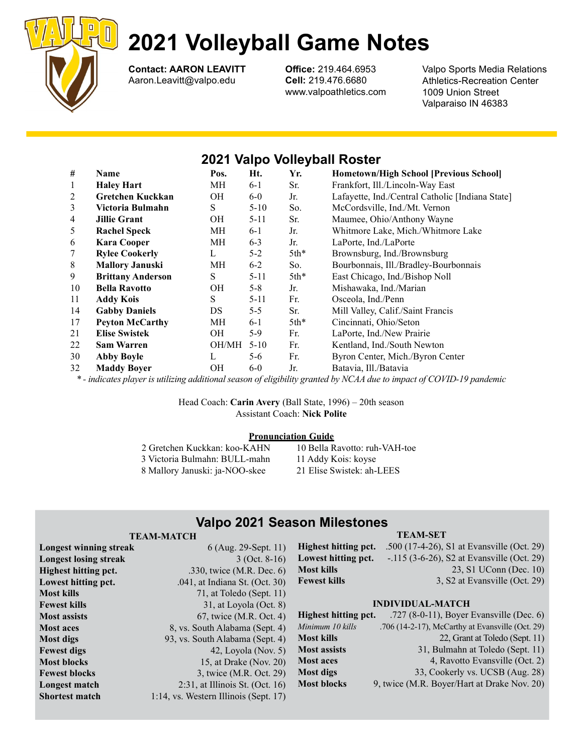

Contact: AARON LEAVITT Aaron.Leavitt@valpo.edu

Office: 219.464.6953 Cell: 219.476.6680 www.valpoathletics.com Valpo Sports Media Relations Athletics-Recreation Center 1009 Union Street Valparaiso IN 46383

# 2021 Valpo Volleyball Roster

| #  | Name                     | Pos.      | Ht.      | Yr.    | <b>Hometown/High School [Previous School]</b>    |
|----|--------------------------|-----------|----------|--------|--------------------------------------------------|
| 1  | <b>Haley Hart</b>        | MH        | $6-1$    | Sr.    | Frankfort, Ill./Lincoln-Way East                 |
| 2  | Gretchen Kuckkan         | OН        | $6-0$    | Jr.    | Lafayette, Ind./Central Catholic [Indiana State] |
| 3  | Victoria Bulmahn         | S         | $5-10$   | So.    | McCordsville, Ind./Mt. Vernon                    |
| 4  | <b>Jillie Grant</b>      | <b>OH</b> | $5 - 11$ | Sr.    | Maumee, Ohio/Anthony Wayne                       |
| 5  | <b>Rachel Speck</b>      | МH        | $6-1$    | Jr.    | Whitmore Lake, Mich./Whitmore Lake               |
| 6  | <b>Kara Cooper</b>       | MH        | $6 - 3$  | Jr.    | LaPorte, Ind./LaPorte                            |
| 7  | <b>Rylee Cookerly</b>    | L         | $5 - 2$  | $5th*$ | Brownsburg, Ind./Brownsburg                      |
| 8  | <b>Mallory Januski</b>   | МH        | $6-2$    | So.    | Bourbonnais, Ill./Bradley-Bourbonnais            |
| 9  | <b>Brittany Anderson</b> | S         | $5 - 11$ | $5th*$ | East Chicago, Ind./Bishop Noll                   |
| 10 | <b>Bella Ravotto</b>     | OН        | $5 - 8$  | Jr.    | Mishawaka, Ind./Marian                           |
| 11 | <b>Addy Kois</b>         | S         | $5 - 11$ | Fr.    | Osceola, Ind./Penn                               |
| 14 | <b>Gabby Daniels</b>     | DS        | $5 - 5$  | Sr.    | Mill Valley, Calif./Saint Francis                |
| 17 | <b>Peyton McCarthy</b>   | МH        | $6-1$    | $5th*$ | Cincinnati, Ohio/Seton                           |
| 21 | <b>Elise Swistek</b>     | OН        | 5-9      | Fr.    | LaPorte, Ind./New Prairie                        |
| 22 | <b>Sam Warren</b>        | OH/MH     | $5 - 10$ | Fr.    | Kentland, Ind./South Newton                      |
| 30 | <b>Abby Boyle</b>        | L         | $5-6$    | Fr.    | Byron Center, Mich./Byron Center                 |
| 32 | <b>Maddy Boyer</b>       | <b>OH</b> | $6-0$    | Jr.    | Batavia, Ill./Batavia                            |

\* - indicates player is utilizing additional season of eligibility granted by NCAA due to impact of COVID-19 pandemic

Head Coach: Carin Avery (Ball State, 1996) – 20th season Assistant Coach: Nick Polite

## Pronunciation Guide

| 2 Gretchen Kuckkan: koo-KAHN   | 10 Bella Ravotto: ruh-VAH-toe |
|--------------------------------|-------------------------------|
| 3 Victoria Bulmahn: BULL-mahn  | 11 Addy Kois: koyse           |
| 8 Mallory Januski: ja-NOO-skee | 21 Elise Swistek: ah-LEES     |

# Valpo 2021 Season Milestones

### TEAM-MATCH

| <b>Longest winning streak</b> | $6$ (Aug. 29-Sept. 11)                | <b>Highest hitt</b> |
|-------------------------------|---------------------------------------|---------------------|
| <b>Longest losing streak</b>  | $3$ (Oct. 8-16)                       | <b>Lowest hitti</b> |
| <b>Highest hitting pct.</b>   | .330, twice (M.R. Dec. 6)             | <b>Most kills</b>   |
| Lowest hitting pct.           | .041, at Indiana St. (Oct. 30)        | <b>Fewest kills</b> |
| Most kills                    | 71, at Toledo (Sept. 11)              |                     |
| Fewest kills                  | 31, at Loyola $(Oct. 8)$              |                     |
| <b>Most assists</b>           | 67, twice (M.R. Oct. 4)               | <b>Highest hitt</b> |
| <b>Most aces</b>              | 8, vs. South Alabama (Sept. 4)        | Minimum 10 k        |
| Most digs                     | 93, vs. South Alabama (Sept. 4)       | <b>Most kills</b>   |
| Fewest digs                   | 42, Loyola (Nov. $5$ )                | <b>Most assists</b> |
| <b>Most blocks</b>            | 15, at Drake (Nov. 20)                | <b>Most aces</b>    |
| <b>Fewest blocks</b>          | 3, twice (M.R. Oct. 29)               | <b>Most digs</b>    |
| Longest match                 | $2:31$ , at Illinois St. (Oct. 16)    | <b>Most blocks</b>  |
| <b>Shortest match</b>         | 1:14, vs. Western Illinois (Sept. 17) |                     |

#### TEAM-SET

|                   | <b>ghest hitting pct.</b> $.500(17-4-26)$ , S1 at Evansville (Oct. 29) |
|-------------------|------------------------------------------------------------------------|
| west hitting pct. | $-115(3-6-26)$ , S2 at Evansville (Oct. 29)                            |
| ost kills         | $23, S1$ UConn (Dec. 10)                                               |
| west kills        | 3, S2 at Evansville (Oct. 29)                                          |
|                   |                                                                        |

#### INDIVIDUAL-MATCH

| Highest hitting pct. | .727 (8-0-11), Boyer Evansville (Dec. $6$ )      |
|----------------------|--------------------------------------------------|
| Minimum 10 kills     | .706 (14-2-17), McCarthy at Evansville (Oct. 29) |
| Most kills           | 22, Grant at Toledo (Sept. 11)                   |
| <b>Most assists</b>  | 31, Bulmahn at Toledo (Sept. 11)                 |
| <b>Most aces</b>     | 4, Ravotto Evansville (Oct. 2)                   |
| Most digs            | 33, Cookerly vs. UCSB (Aug. 28)                  |
| <b>Most blocks</b>   | 9, twice (M.R. Boyer/Hart at Drake Nov. 20)      |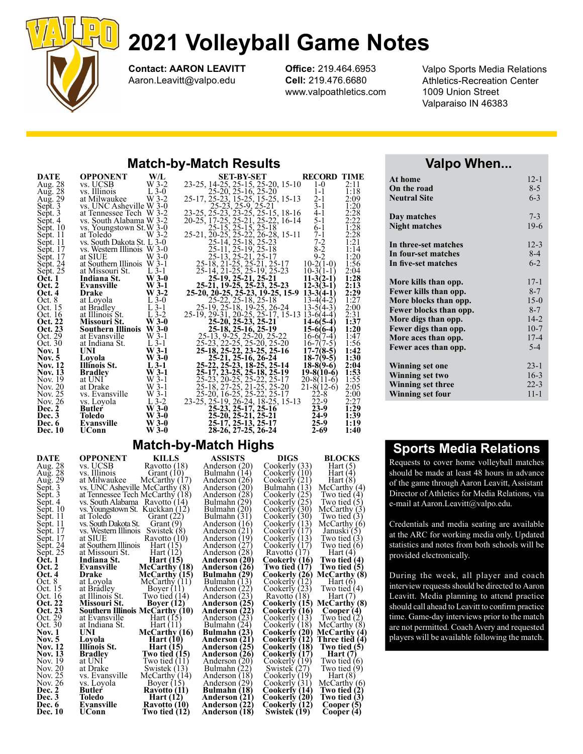

Contact: AARON LEAVITT Aaron.Leavitt@valpo.edu

Office: 219.464.6953 Cell: 219.476.6680 www.valpoathletics.com Valpo Sports Media Relations Athletics-Recreation Center 1009 Union Street Valparaiso IN 46383

# Match-by-Match Results

| DATE               | <b>OPPONENT</b>                 | W/L                | SET-BY-SET                                                                                                                          | <b>RECORD TIME</b> |              |
|--------------------|---------------------------------|--------------------|-------------------------------------------------------------------------------------------------------------------------------------|--------------------|--------------|
| Aug. 28            | vs. UCSB                        | $W$ 3-2            | 23-25, 14-25, 25-15, 25-20, 15-10<br>25-20, 25-16, 25-20<br>1-1                                                                     |                    | 2:11         |
| Aug. 28            | vs. Illinois                    | L 3-0              | 25-17, 25-23, 15-25, 15-25, 15-13<br>25-25, 25-23, 25-25, 15-25, 15-13<br>2-1<br>25-23, 25-9<br>25-23, 25-9<br>25-23, 25-9<br>25-21 |                    | 1:18         |
| Aug. 29            | at Milwaukee                    | W 3-2              |                                                                                                                                     |                    | 2:09         |
| Sept. 3            | vs. UNC Asheville W 3-0         |                    |                                                                                                                                     |                    | 1:20         |
| Sept. 3            | at Tennessee Tech W 3-2         |                    | 23-25, 25-23, 23-25, 25-15, 18-16                                                                                                   | $4 - 1$            | 2:28         |
| Sept. 4            | vs. South Alabama W 3-2         |                    | 20-25, 17-25, 25-21, 25-22, 16-14                                                                                                   | $5 - 1$            | 2:22         |
| Sept. $10$         | vs. Youngstown St. W 3-0        |                    | 25-15, 25-15, 25-18                                                                                                                 | $6-1$              | 1:28         |
| Sept. $11$         | at Toledo                       | W 3-2              | 25-21, 20-25, 25-22, 26-28, 15-11                                                                                                   | $7-1$              | 2:28         |
| Sept. 11           | vs. South Dakota St. L 3-0      |                    | 25-14, 25-18, 25-23                                                                                                                 | $7 - 2$            | 1:21         |
| Sept. 17           | vs. Western Illinois W 3-0      |                    | 25-11, 25-19, 25-18                                                                                                                 | $8 - 2$            | 1:14         |
| Sept. 17           | at SIUE                         | $W$ 3-0            | 25-13, 25-21, 25-17                                                                                                                 | $9 - 2$            | 1:20         |
| Sept. 24           | at Southern Illinois W 3-1      |                    | 25-18, 21-25, 25-21, 25-17                                                                                                          | $10-2(1-0)$        | 1:56         |
| Sept. 25           | at Missouri St.                 | L 3-1              | 25-14, 21-25, 25-19, 25-23                                                                                                          | $10-3(1-1)$        | 2:04         |
| <b>Oct.</b> 1      | Indiana St.                     | $W$ 3-0            | 25-19, 25-21, 25-21                                                                                                                 | $11-3(2-1)$        | 1:28         |
| <b>Oct. 2</b>      | Evansville                      | $W$ 3-1            | 25-21, 19-25, 25-23, 25-23                                                                                                          | $12 - 3(3 - 1)$    | 2:13         |
| Oct. 4             | <b>Drake</b>                    | $W$ 3-2            | 25-20, 20-25, 25-23, 19-25, 15-9 13-3(4-1)                                                                                          |                    | 2:29         |
| Oct. 8             | at Loyola                       | $L$ 3-0            | 25-22, 25-18, 25-18                                                                                                                 | $13-4(4-2)$        | 1:27         |
| Oct. 15<br>Oct. 16 | at Bradley                      | $L$ 3-1<br>$L$ 3-2 | 25-19, 25-18, 19-25, 26-24                                                                                                          | $13-5(4-3)$        | 2:00<br>2:31 |
| Oct. 22            | at Illinois St.<br>Missouri St. | $W$ 3-0            | 25-19, 29-31, 20-25, 25-17, 15-13 13-6(4-4)                                                                                         | $14-6(5-4)$        | 1:37         |
| Oct. 23            | Southern Illinois W3-0          |                    | 25-20, 25-23, 25-21                                                                                                                 | $15-6(6-4)$        | 1:20         |
| Oct. 29            | at Evansville                   | $W$ 3-1            | 25-18, 25-16, 25-19                                                                                                                 | $16-6(7-4)$        | 1:47         |
| Oct. 30            | at Indiana St.                  | $L$ 3-1            | 25-13, 9-25, 25-20, 25-22<br>25-23, 22-25, 25-20, 25-20                                                                             | $16 - 7(7-5)$      | 1:56         |
| <b>Nov. 1</b>      | <b>UNI</b>                      | $W$ 3-1            | 25-18, 25-22, 23-25, 25-16                                                                                                          | $17-7(8-5)$        | 1:42         |
| <b>Nov.</b> 5      | Lovola                          | $W$ 3-0            | 25-21, 25-16, 26-24                                                                                                                 | $18-7(9-5)$        | 1:30         |
| <b>Nov. 12</b>     | Illinois St.                    | $L$ 3-1            | 25-22, 25-23, 18-25, 25-14                                                                                                          | $18-8(9-6)$        | 2:04         |
| <b>Nov. 13</b>     | <b>Bradley</b>                  | $W3-1$             | 25-17, 23-25, 25-18, 25-19                                                                                                          | $19-8(10-6)$       | 1:53         |
| Nov. 19            | at UNI                          | W 3-1              | 25-23, 20-25, 25-22, 25-17                                                                                                          | $20-8(11-6)$       | 1:55         |
| Nov. 20            | at Drake                        | W 3-1              | 25-18, 27-25, 21-25, 25-20                                                                                                          | $21 - 8(12 - 6)$   | 2:05         |
| Nov. 25            | vs. Evansville                  | $W$ 3-1            | 25-20, 16-25, 25-22, 25-17                                                                                                          | $22 - 8$           | 2:00         |
| Nov. 26            | vs. Loyola                      | L 3-2              | 23-25, 25-19, 26-24, 18-25, 15-13                                                                                                   | $22-9$             | 2:27         |
| Dec. 2             | <b>Butler</b>                   | $W$ 3-0            | $25-23, 25-17, 25-16$                                                                                                               | $23-9$             | 1:29         |
| Dec. 3             | <b>Toledo</b>                   | $W$ 3-0            | 25-20, 25-21, 25-21                                                                                                                 | $24-9$             | 1:39         |
| Dec. 6             | Evansville                      | $W$ 3-0            | 25-17, 25-13, 25-17                                                                                                                 | $25-9$             | 1:19         |
| Dec. 10            | <b>UConn</b>                    | $W$ 3-0            | 28-26, 27-25, 26-24                                                                                                                 | $2 - 69$           | 1:40         |

# Match-by-Match Highs

| DATE           | <b>OPPONENT</b>                 | <b>KILLS</b>                           | <b>ASSISTS</b>   | <b>DIGS</b>   | <b>BLOCKS</b>  |
|----------------|---------------------------------|----------------------------------------|------------------|---------------|----------------|
| Aug. 28        | vs. UCSB                        | Ravotto (18)                           | Anderson (20)    | Cookerly (33) | Hart $(5)$     |
| Aug. 28        | vs. Illinois                    | Grant $(10)$                           | Bulmahn (14)     | Cookerly (10) | Hart $(4)$     |
| Aug. $29$      | at Milwaukee                    | McCarthy (17)                          | Anderson (26)    | Cookerly (21) | Hart $(8)$     |
| Sept. 3        | vs. UNC Asheville McCarthy (8)  |                                        | Anderson $(20)$  | Bulmahn (13)  | McCarthy (4)   |
| Sept. 3        |                                 | at Tennessee Tech McCarthy (18)        | Anderson (28)    | Cookerly (25) | Two tied (4)   |
| Sept. 4        | vs. South Alabama Ravotto (14)  |                                        | Bulmahn (29)     | Cookerly (25) | Two tied $(5)$ |
| Sept. 10       | vs. Youngstown St. Kuckkan (12) |                                        | Bulmahn (20)     | Cookerly (30) | McCarthy(3)    |
| Sept. 11       | at Toledo                       | Grant $(22)$                           | Bulmahn (31)     | Cookerly (30) | Two tied (3)   |
| Sept. 11       | vs. South Dakota St.            | Grant $(9)$                            | Anderson<br>(16) | Cookerly (13) | McCarthy (6)   |
| Sept. 17       | vs. Western Illinois            | Swistek (8)                            | Anderson (21)    | Cookerly (17) | Januski (5)    |
| Sept. 17       | at SIUE                         | Ravotto (10)                           | (19)<br>Anderson | Cookerly (13) | Two tied (3)   |
| Sept. 24       | at Southern Illinois            | Hart $(15)$                            | Anderson (27)    | Cookerly (17) | Two tied (6)   |
| Sept. 25       | at Missouri St.                 | Hart $(12)$                            | (28)<br>Anderson | Ravotto (17)  | Hart $(4)$     |
| Oct. 1         | Indiana St.                     | <b>Hart</b> (15)                       | Anderson (20)    | Cookerly (16) | Two tied (4)   |
| <b>Oct. 2</b>  | Evansville                      | McCarthy (18)                          | Anderson (26)    | Two tied (17) | Two tied (5)   |
| Oct. 4         | <b>Drake</b>                    | McCarthy (15)                          | Bulmahn (29)     | Cookerly (26) | McCarthy (8)   |
| Oct. 8         | at Loyola                       | McCarthy (11)                          | Bulmahn (13)     | Cookerly (12) | Hart $(6)$     |
| Oct. 15        | at Bradley                      | Boyer (11)                             | Anderson (22)    | Cookerly (23) | Two tied (4)   |
| Oct. 16        | at Illinois St.                 | Two tied $(14)$                        | Anderson (23)    | Ravotto (18)  | Hart $(7)$     |
| <b>Oct. 22</b> | Missouri St.                    | Boyer $(12)$                           | Anderson (25)    | Cookerly (15) | McCarthy (8)   |
| Oct. 23        |                                 | <b>Southern Illinois McCarthy (10)</b> | Anderson (22)    | Cookerly (16) | Cooper (4)     |
| Oct. 29        | at Evansville                   | Hart $(15)$                            | Anderson (23)    | Cookerly (13) | Two tied $(2)$ |
| Oct. 30        | at Indiana St.                  | Hart(11)                               | Bulmahn (24)     | Cookerly (18) | McCarthy(8)    |
| <b>Nov. 1</b>  | UNI                             | McCarthy (16)                          | Bulmahn (23)     | Cookerly (20) | McCarthy (4)   |
| <b>Nov. 5</b>  | Lovola                          | <b>Hart</b> (10)                       | Anderson (21)    | Cookerly (12) | Three tied (4) |
| <b>Nov. 12</b> | Illinois St.                    | Hart $(15)$                            | Anderson (25)    | Cookerly (18) | Two tied $(5)$ |
| <b>Nov. 13</b> | <b>Bradley</b>                  | Two tied (15)                          | Anderson (26)    | Cookerly (17) | Hart $(7)$     |
| Nov. 19        | at UNI                          | Two tied (11)                          | Anderson (20)    | Cookerly (19) | Two tied (6)   |
| Nov. 20        | at Drake                        | Swistek (13)                           | Bulmahn (22)     | Swistek (27)  | Two tied (9)   |
| Nov. 25        | vs. Evansville                  | McCarthy (14)                          | Anderson (18)    | Cookerly (19) | Hart $(8)$     |
| Nov. 26        | vs. Loyola                      | Boyer $(15)$                           | Anderson (29)    | Cookerly (31) | McCarthy (6)   |
| Dec. 2         | <b>Butler</b>                   | Ravotto (11)                           | Bulmahn (18)     | Cookerly (14) | Two tied (2)   |
| Dec. 3         | <b>Toledo</b>                   | Hart $(12)$                            | Anderson (21)    | Cookerly (20) | Two tied (3)   |
| Dec. 6         | Evansville                      | Ravotto (10)                           | Anderson (22)    | Cookerly (12) | Cooper (5)     |
| Dec. 10        | <b>UConn</b>                    | Two tied (12)                          | Anderson (18)    | Swistek (19)  | Cooper (4)     |
|                |                                 |                                        |                  |               |                |

# Valpo When...

| At home                  | $12 - 1$ |
|--------------------------|----------|
| On the road              | $8 - 5$  |
| <b>Neutral Site</b>      | $6 - 3$  |
| Day matches              | $7 - 3$  |
| <b>Night matches</b>     | $19-6$   |
| In three-set matches     | $12 - 3$ |
| In four-set matches      | $8-4$    |
| In five-set matches      | $6 - 2$  |
| More kills than opp.     | $17 - 1$ |
| Fewer kills than opp.    | $8-7$    |
| More blocks than opp.    | $15-0$   |
| Fewer blocks than opp.   | $8 - 7$  |
| More digs than opp.      | $14 - 2$ |
| Fewer digs than opp.     | $10-7$   |
| More aces than opp.      | $17 - 4$ |
| Fewer aces than opp.     | $5 - 4$  |
| <b>Winning set one</b>   | $23 - 1$ |
| Winning set two          | $16-3$   |
| <b>Winning set three</b> | $22 - 3$ |
| <b>Winning set four</b>  | $11 - 1$ |

# Sports Media Relations

Requests to cover home volleyball matches should be made at least 48 hours in advance of the game through Aaron Leavitt, Assistant Director of Athletics for Media Relations, via e-mail at Aaron.Leavitt@valpo.edu.

Credentials and media seating are available at the ARC for working media only. Updated statistics and notes from both schools will be provided electronically.

During the week, all player and coach interview requests should be directed to Aaron Leavitt. Media planning to attend practice should call ahead to Leavitt to confirm practice time. Game-day interviews prior to the match are not permitted. Coach Avery and requested players will be available following the match.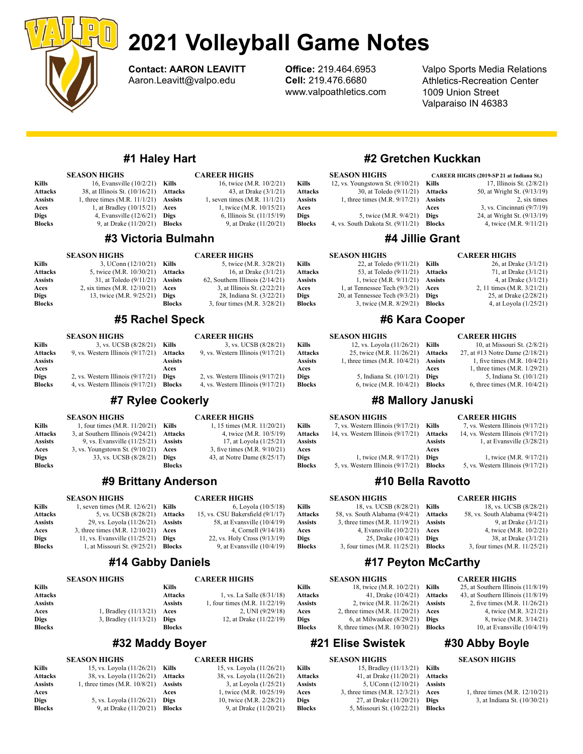

Contact: AARON LEAVITT Aaron.Leavitt@valpo.edu

Office: 219.464.6953 Cell: 219.476.6680 www.valpoathletics.com

Valpo Sports Media Relations Athletics-Recreation Center 1009 Union Street Valparaiso IN 46383

CAREER HIGHS (2019-SP 21 at Indiana St.)

Attacks 50, at Wright St. (9/13/19) Assists 2, six times

CAREER HIGHS

17, Illinois St. (2/8/21)

24, at Wright St. (9/13/19) 4, twice (M.R. 9/11/21)

26, at Drake (3/1/21)

4, at Loyola (1/25/21)

# #1 Haley Hart

|               | <b>SEASON HIGHS</b>                     |        | <b>CAREER HIGHS</b>             |
|---------------|-----------------------------------------|--------|---------------------------------|
| Kills         | 16, Evansville (10/2/21)                | Kills  | 16, twice (M.R. 10/2/21)        |
| Attacks       | 38, at Illinois St. (10/16/21) Attacks  |        | 43, at Drake (3/1/21)           |
| Assists       | 1, three times $(M.R. 11/1/21)$ Assists |        | 1, seven times $(M.R. 11/1/21)$ |
| Aces          | 1, at Bradley $(10/15/21)$              | Aces   | 1, twice (M.R. 10/15/21)        |
| Digs          | 4, Evansville $(12/6/21)$               | Digs   | 6, Illinois St. (11/15/19)      |
| <b>Blocks</b> | 9, at Drake (11/20/21)                  | Blocks | 9, at Drake (11/20/21)          |
|               |                                         |        |                                 |

## #3 Victoria Bulmahn

|                | <b>SEASON HIGHS</b>          |                | <b>CAREER HIGHS</b>               |
|----------------|------------------------------|----------------|-----------------------------------|
| Kills          | 3, UConn $(12/10/21)$        | Kills          | 5, twice (M.R. 3/28/21)           |
| <b>Attacks</b> | 5, twice (M.R. 10/30/21)     | Attacks        | 16, at Drake (3/1/21)             |
| <b>Assists</b> | 31, at Toledo (9/11/21)      | <b>Assists</b> | 62, Southern Illinois $(2/14/21)$ |
| Aces           | 2, six times (M.R. 12/10/21) | Aces           | 3, at Illinois St. (2/22/21)      |
| <b>Digs</b>    | 13, twice (M.R. 9/25/21)     | <b>Digs</b>    | 28, Indiana St. (3/22/21)         |
| <b>Blocks</b>  |                              | <b>Blocks</b>  | 3, four times (M.R. 3/28/21)      |

# #5 Rachel Speck

#### SEASON HIGHS Kills 3, vs. UCSB (8/28/21) Kills Attacks 9, vs. Western Illinois (9/17/21) Assists Aces Digs 2, vs. Western Illinois (9/17/21) Blocks 4, vs. Western Illinois (9/17/21) Blocks CAREER HIGHS 3, vs. UCSB (8/28/21) Attacks 9, vs. Western Illinois (9/17/21) **A** seiete Aces Digs 2, vs. Western Illinois (9/17/21) 4, vs. Western Illinois (9/17/21)

# #7 Rylee Cookerly

### SEASON HIGHS

Kills Attacks Assists Aces

Blocks

|               | 98899111119119                              |               | единент пично                |
|---------------|---------------------------------------------|---------------|------------------------------|
| Kills         | 1, four times $(M.R. 11/20/21)$ Kills       |               | 1, 15 times (M.R. 11/20/21)  |
| Attacks       | 3, at Southern Illinois $(9/24/21)$ Attacks |               | 4, twice (M.R. 10/5/19)      |
| Assists       | 9, vs. Evansville $(11/25/21)$ Assists      |               | 17, at Loyola (1/25/21)      |
| Aces          | 3, vs. Youngstown St. $(9/10/21)$ Aces      |               | 3, five times (M.R. 9/10/21) |
| Digs          | 33, vs. UCSB (8/28/21)                      | Digs          | 43, at Notre Dame (8/25/17)  |
| <b>Blocks</b> |                                             | <b>Blocks</b> |                              |

# #9 Brittany Anderson

|                | <b>SEASON HIGHS</b>              |                | <b>CAREER HIGHS</b>                |                |
|----------------|----------------------------------|----------------|------------------------------------|----------------|
| Kills          | 1, seven times $(M.R. 12/6/21)$  | <b>Kills</b>   | 6, Loyola $(10/5/18)$              | <b>Kills</b>   |
| <b>Attacks</b> | 5, vs. UCSB (8/28/21)            | Attacks        | 15, vs. CSU Bakersfield $(9/1/17)$ | Attack         |
| <b>Assists</b> | 29, vs. Loyola (11/26/21)        | <b>Assists</b> | 58. at Evansville $(10/4/19)$      | <b>Assists</b> |
| Aces           | 3, three times $(M.R. 12/10/21)$ | Aces           | 4, Cornell (9/14/18)               | Aces           |
| <b>Digs</b>    | 11, vs. Evansville $(11/25/21)$  | <b>Digs</b>    | 22, vs. Holy Cross (9/13/19)       | <b>Digs</b>    |
| <b>Blocks</b>  | 1, at Missouri St. (9/25/21)     | <b>Blocks</b>  | 9, at Evansville $(10/4/19)$       | <b>Blocks</b>  |
|                |                                  |                |                                    |                |

# #14 Gabby Daniels

#### CAREER HIGHS

15, vs. Loyola (11/26/21) 38, vs. Loyola (11/26/21) 3, at Loyola (1/25/21) 1, twice (M.R. 10/25/19) 10, twice (M.R. 2/28/21) 9, at Drake (11/20/21)

CAREER HIGHS

| Kills          |                         | Kills          |                               |
|----------------|-------------------------|----------------|-------------------------------|
| <b>Attacks</b> |                         | <b>Attacks</b> | 1, vs. La Salle (8/31/18)     |
| <b>Assists</b> |                         | <b>Assists</b> | 1, four times (M.R. 11/22/19) |
| Aces           | 1, Bradley $(11/13/21)$ | Aces           | 2, UNI (9/29/18)              |
| <b>Digs</b>    | 3, Bradley (11/13/21)   | <b>Digs</b>    | 12, at Drake (11/22/19)       |
| <b>Blocks</b>  |                         | <b>Blocks</b>  |                               |

# #32 Maddy Boyer

#### SEASON HIGHS

SEASON HIGHS

| <b>SEASON HIGHS</b> |                                         |        | <b>CAREER HIGHS</b> |  |
|---------------------|-----------------------------------------|--------|---------------------|--|
| Kills               | 15, vs. Loyola (11/26/21) Kills         |        | 15, vs. Loyola      |  |
| <b>Attacks</b>      | 38, vs. Loyola (11/26/21) Attacks       |        | 38, vs. Loyola      |  |
| <b>Assists</b>      | 1, three times $(M.R. 10/8/21)$ Assists |        | 3, at Loyol         |  |
| Aces                |                                         | Aces   | 1, twice (M.R       |  |
| <b>Digs</b>         | 5, vs. Loyola (11/26/21)                | Digs   | 10, twice $(M.$     |  |
| <b>Blocks</b>       | 9, at Drake (11/20/21)                  | Blocks | 9, at Drake         |  |

| 16, twice (M.R. 10/2/21)<br>Kills         |  |
|-------------------------------------------|--|
| 43, at Drake (3/1/21)<br>Atta             |  |
| seven times (M.R. 11/1/21)<br>Assis       |  |
| 1, twice (M.R. 10/15/21)<br>Aces          |  |
| 6, Illinois St. (11/15/19)<br><b>Digs</b> |  |
| 9, at Drake (11/20/21)<br><b>Bloc</b>     |  |
|                                           |  |

# #2 Gretchen Kuckkan

#### SEASON HIGHS  $Kills$  12, vs. Youngstown St. (9/10/21) Kills ttacks  $30$ , at Toledo  $(9/11/21)$ ssists  $1$ , three times  $(M.R. 9/17/21)$

igs  $5$ , twice  $(M.R. 9/4/21)$  Digs locks 4, vs. South Dakota St. (9/11/21) Blocks Aces 3, vs. Cincinnati (9/7/19)

# #4 Jillie Grant

#### SEASON HIGHS

#### Kills 22, at Toledo (9/11/21) Kills Attacks 53, at Toledo (9/11/21) Assists 1, twice (M.R. 9/11/21) Aces 1, at Tennessee Tech (9/3/21) Digs 20, at Tennessee Tech (9/3/21) **Blocks** 3, twice (M.R. 8/29/21) **Blocks** Attacks  $71$ , at Drake  $(3/1/21)$ Assists  $4$ , at Drake  $(3/1/21)$ Aces 2, 11 times (M.R. 3/21/21) **Digs** 25, at Drake (2/28/21)

# #6 Kara Cooper

#### CAREER HIGHS

| Kills          | 10, at Missouri St. (2/8/21)    |
|----------------|---------------------------------|
| <b>Attacks</b> | 27, at #13 Notre Dame (2/18/21) |
| Assists        | 1, five times (M.R. 10/4/21)    |
| Aces           | 1, three times (M.R. 1/29/21)   |
| Digs           | 5, Indiana St. (10/1/21)        |
| Blocks         | 6, three times (M.R. 10/4/21)   |

# #8 Mallory Januski

|                | <b>SEASON HIGHS</b>                  |                | <b>CAREER HIGHS</b>                  |
|----------------|--------------------------------------|----------------|--------------------------------------|
| <b>Kills</b>   | 7, vs. Western Illinois $(9/17/21)$  | Kills          | 7, vs. Western Illinois $(9/17/21)$  |
| <b>Attacks</b> | 14, vs. Western Illinois $(9/17/21)$ | <b>Attacks</b> | 14, vs. Western Illinois $(9/17/21)$ |
| <b>Assists</b> |                                      | <b>Assists</b> | 1, at Evansville $(3/28/21)$         |
| Aces           |                                      | Aces           |                                      |
| <b>Digs</b>    | 1, twice (M.R. 9/17/21)              | Digs           | 1, twice (M.R. 9/17/21)              |
| <b>Blocks</b>  | 5, vs. Western Illinois $(9/17/21)$  | <b>Blocks</b>  | 5, vs. Western Illinois $(9/17/21)$  |

# #10 Bella Ravotto

#### SEASON HIGHS

18, vs. UCSB (8/28/21) Kills Attacks 58, vs. South Alabama (9/4/21) Attacks 58, vs. South Alabama (9/4/21) 3, three times (M.R. 11/19/21) Aces 4, Evansville (10/2/21) Aces 4, twice (M.R. 10/2/21) 25, Drake  $(10/4/21)$  Digs Assists  $\overline{3}$  Blocks

CAREER HIGHS

| Attacks | 58, vs. South Alabama (9/4/21) |
|---------|--------------------------------|
| Assists | 9, at Drake (3/1/21)           |
| Aces    | 4, twice (M.R. 10/2/21)        |
| Digs    | 38, at Drake (3/1/21)          |
| Blocks  | 3, four times (M.R. 11/25/21)  |
|         |                                |

18, vs. UCSB (8/28/21)

# on McCarthy

Kills Attacks Assists

Blocks

| Kills   | 18, twice (M.R. 10/2/21)       | Kills       |
|---------|--------------------------------|-------------|
| Attacks | 41, Drake (10/4/21)            | Atta        |
| Assists | 2, twice (M.R. 11/26/21)       | Assi        |
| Aces    | 2, three times (M.R. 11/20/21) | Aces        |
| Digs    | 6, at Milwaukee (8/29/21)      | <b>Digs</b> |
| Blocks  | 8, three times (M.R. 10/30/21) | Bloc        |

## #21 Elise Swistek

#### SEASON HIGHS

Attacl Assist

Kills Attacks Assists

Digs **Blocks** 

|         | эрдээл шанэ                   |
|---------|-------------------------------|
| Kills   | 15, Bradley (11/13/21)        |
| Attacks | 41, at Drake (11/20/21)       |
| Assists | 5, UConn (12/10/21)           |
| Aces    | 3, three times (M.R. 12/3/21) |
| Digs    | 27, at Drake (11/20/21)       |
| Blocks  | 5. Missouri St. (10/22/21)    |

# CAREER HIGHS 25, at Southern Illinois (11/8/19)  $R$ **cks** 43, at Southern Illinois  $(11/8/19)$

| лиаскэ  | $\tau$ , at bouthern minors (11/0/17) |
|---------|---------------------------------------|
| Assists | 2, five times (M.R. 11/26/21)         |
| Aces    | 4, twice (M.R. 3/21/21)               |
| Digs    | 8, twice (M.R. 3/14/21)               |
| Blocks  | 10, at Evansville (10/4/19)           |
|         |                                       |

# #30 Abby Boyle

## SEASON HIGHS

**Aces** 1, three times (M.R. 12/10/21) **Digs** 3, at Indiana St. (10/30/21)

| 3, four times (M.R. 11/25/2) |
|------------------------------|
| #17 Peyto                    |
| <b>SEASON HIGHS</b>          |
| 18, twice (M.R. 10/2/2)      |

# **Blocks** 3, four times (M.R. 11/25/21)

# SEASON HIGHS **Kills** 12, vs. Loyola (11/26/21) **Kills** 10, at Missouri St. (2/8/21) Attacks 25, twice (M.R. 11/26/21)

# Attacks

#### Assists 1, three times (M.R. 10/4/21) Aces **Digs** 5, Indiana St. (10/1/21) **Blocks** 6, twice (M.R. 10/4/21) **Blocks** 6, three times (M.R. 10/4/21) A seists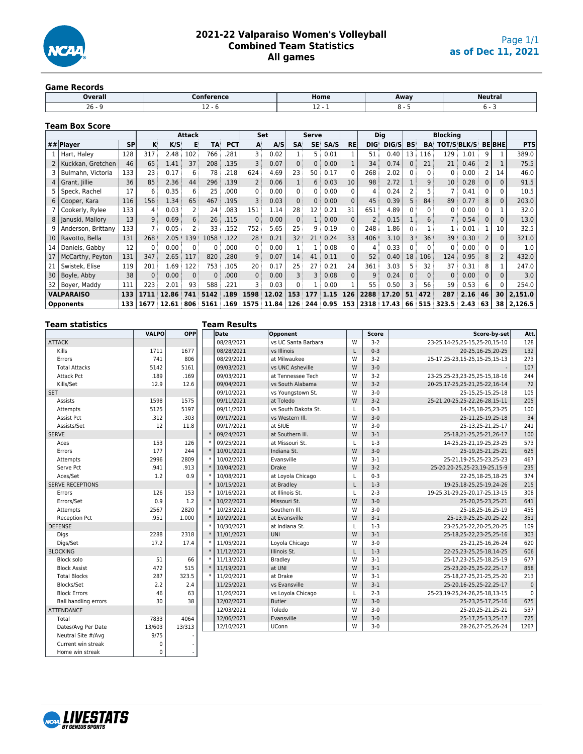

### **2021-22 Valparaiso Women's Volleyball Combined Team Statistics All games**

#### **Game Records**

| <b>Overall</b> | Conference  | Home | Away | <b>Neutral</b> |
|----------------|-------------|------|------|----------------|
| $\cap c$<br>Zυ | ᆠ<br>$\sim$ |      | ~    |                |

#### **Team Box Score**

|                 | <b>Attack</b>            |           |      |       |                |            | Set<br>Serve |                |            |                |                   |                          | <b>Blocking</b><br>Dig |                |            |            |              |                 |      |              |              |            |
|-----------------|--------------------------|-----------|------|-------|----------------|------------|--------------|----------------|------------|----------------|-------------------|--------------------------|------------------------|----------------|------------|------------|--------------|-----------------|------|--------------|--------------|------------|
|                 | $##$ Player              | <b>SP</b> | K.   | K/S   | E              | <b>TA:</b> | <b>PCT</b>   | A              | A/S        | <b>SA</b>      | <b>SE:</b>        | SA/S                     | <b>RE</b>              | <b>DIG</b>     | DIG/S      | <b>BS:</b> | <b>BA</b>    | TOT/S BLK/S     |      |              | <b>BEBHE</b> | <b>PTS</b> |
|                 | Hart, Haley              | 128       | 317  | 2.48  | 102            | 766        | .281         | 3              | 0.02       |                | 5:                | 0.01                     |                        | 51             | 0.40       | 13         | 116          | 129             | 1.01 | 9            |              | 389.0      |
|                 | Kuckkan, Gretchen        | 46        | 65   | 1.41  | 37             | 208        | .135         | 3              | 0.07       | 0:             | 0 <sup>3</sup>    | 0.00                     |                        | 34             | 0.74       |            | 21           | 21:             | 0.46 | 2            |              | 75.5       |
|                 | Bulmahn, Victoria        | 133       | 23   | 0.17  | 6              | 78         | .218         | 624            | 4.69       | 23             | 50 <sup>3</sup>   | 0.17                     | $\Omega$               | 268            | 2.02       | $\Omega$   | 0            | 0               | 0.00 |              | 14           | 46.0       |
|                 | Grant, Jillie            | 36        | 85   | 2.36  | 44             | 296        | .139         | $\overline{2}$ | 0.06       |                | 6 <sup>3</sup>    | 0.03                     | 10                     | 98             | 2.72       |            | 9:           | 10 <sup>3</sup> | 0.28 | $\Omega$     | $\Omega$     | 91.5       |
|                 | Speck, Rachel            | 17        | 6    | 0.35  | 6              | 25         | .000         | $\mathbf{0}$   | 0.00       | 0              | $\Omega$ :        | 0.00                     | 0                      | 4              | 0.24       |            | 5.           |                 | 0.41 | $\mathbf{0}$ | 0            | 10.5       |
| 6               | Cooper, Kara             | 116       | 156  | 1.34  | 65             | 467        | .195         | 3              | 0.03       | 0 <sup>1</sup> | 0                 | 0.00                     | $\Omega$               | 45             | 0.39       |            | 84           | 89              | 0.77 | 8            | $\Omega$     | 203.0      |
|                 | Cookerly, Rylee          | 133       | 4    | 0.03  | 2 <sup>3</sup> | 24         | .083         | 151            | 1.14       | 28             | 12 <sup>1</sup>   | 0.21                     | 31                     | 651            | 4.89       | $\Omega$   | $\mathbf{0}$ | 0:              | 0.00 | $\Omega$     |              | 32.0       |
| 8               | Januski, Mallory         | 13        | 9:   | 0.69  | 6:             | 26         | .115         | $\mathbf{0}$   | 0.00       | 0:             | 1:                | 0.00                     | $\Omega$               | $\overline{2}$ | 0.15       |            | 6:           | 7:              | 0.54 | $\Omega$     | $\Omega$     | 13.0       |
|                 | Anderson, Brittany       | 133       |      | 0.05  | $\overline{2}$ | 33         | .152         | 752            | 5.65       | 25             | $Q_{\frac{1}{2}}$ | 0.19                     | $\Omega$               | 248            | 1.86       | 0          |              | 1:              | 0.01 |              | 10           | 32.5       |
| 10 <sup>°</sup> | Ravotto, Bella           | 131       | 268  | 2.05  | 139            | 1058       | .122         | 28             | 0.21       | 32             | 21                | 0.24                     | 33                     | 406:           | 3.10       | 3          | 36           | 39:             | 0.30 | 2            | $\Omega$     | 321.0      |
| 14              | Daniels, Gabby           | 12        | 0    | 0.00  | $\Omega$       | 0          | .000         | $\mathbf{0}$   | 0.00       |                |                   | 0.08                     | 0                      | 4              | 0.33       | $\Omega$   | 0            | 0:              | 0.00 | 0            | 0            | 1.0        |
| 17              | McCarthy, Peyton         | 131       | 347  | 2.65  | 117            | 820        | .280         | 9              | 0.07       | 14             | 41                | 0.11                     | $\Omega$               | 52             | 0.40       | 18         | 106          | 124             | 0.95 | 8            |              | 432.0      |
| 21              | Swistek, Elise           | 119       | 201  | 1.69  | 122            | 753        | .105         | 20             | 0.17       | 25             | 27 <sup>1</sup>   | 0.21                     | 24                     | 361            | 3.03       |            | 32           | 37 <sup>1</sup> | 0.31 | 8            |              | 247.0      |
| 30              | Boyle, Abby              | 38        | 0:   | 0.00  | $\Omega$       | $0^{\pm}$  | .000         | 0              | 0.00       | 3 <sup>1</sup> | 3                 | 0.08                     | $\Omega$               | 9              | 0.24       |            | 0            | 0 <sup>1</sup>  | 0.00 | $\Omega$     |              | 3.0        |
|                 | Boyer, Maddy             | 111       | 223  | 2.01  | 93             | 588        | .221         | 3              | 0.03       | 0              |                   | 0.00                     |                        | 55             | 0.50       | 3          | 56           | 59:             | 0.53 | 6            | 0            | 254.0      |
|                 | 133<br><b>VALPARAISO</b> |           | 1711 | 12.86 | 741            | 5142       | .189         | 1598           | 12.02      | 153            | 177               | 1.15                     | 126                    | 2288           | 17.20      | 51         | 472          | 287             | 2.16 | 46           | 30           | 2,151.0    |
|                 | <b>Opponents</b>         | 133       | 1677 | 12.61 | 806            | 5161 .169  |              |                | 1575 11.84 |                |                   | $126 \div 244 \div 0.95$ | 153                    |                | 2318 17.43 | 66         | 515          | 323.5           | 2.43 | 63           | 38           | 2,126.5    |
|                 |                          |           |      |       |                |            |              |                |            |                |                   |                          |                        |                |            |            |              |                 |      |              |              |            |

| <b>VALPO</b><br>OPP<br>Date<br>Opponent<br><b>Score</b><br>Score-by-set<br>Att.<br>08/28/2021<br>vs UC Santa Barbara<br>W<br>128<br>$3-2$<br>23-25,14-25,25-15,25-20,15-10<br>$0 - 3$<br>132<br>Kills<br>1711<br>1677<br>08/28/2021<br>vs Illinois<br>20-25,16-25,20-25<br>L.<br>741<br>806<br>W<br>273<br>08/29/2021<br>at Milwaukee<br>$3-2$<br>25-17, 25-23, 15-25, 15-25, 15-13<br>Errors<br>107<br>5161<br>W<br>$3 - 0$<br><b>Total Attacks</b><br>5142<br>09/03/2021<br>vs UNC Asheville<br>09/03/2021<br>at Tennessee Tech<br>W<br>$3 - 2$<br>244<br>Attack Pct<br>.189<br>.169<br>23-25, 25-23, 23-25, 25-15, 18-16<br>Kills/Set<br>12.9<br>12.6<br>09/04/2021<br>W<br>$3 - 2$<br>72<br>vs South Alabama<br>20-25,17-25,25-21,25-22,16-14<br>105<br>09/10/2021<br>W<br>vs Youngstown St.<br>$3-0$<br>25-15.25-15.25-18<br>205<br>at Toledo<br>W<br>$3 - 2$<br>Assists<br>1598<br>1575<br>09/11/2021<br>25-21, 20-25, 25-22, 26-28, 15-11<br>5125<br>5197<br>09/11/2021<br>vs South Dakota St.<br>$0 - 3$<br>100<br>14-25,18-25,23-25<br>Attempts<br>L<br>W<br>34<br>.312<br>.303<br>$3 - 0$<br>Assist Pct<br>09/17/2021<br>vs Western III.<br>25-11,25-19,25-18<br>12<br>at SIUE<br>W<br>Assists/Set<br>09/17/2021<br>$3 - 0$<br>241<br>11.8<br>25-13,25-21,25-17<br>W<br>100<br>$\ast$<br>09/24/2021<br>at Southern III.<br>$3-1$<br>25-18,21-25,25-21,26-17<br>09/25/2021<br>573<br>126<br>at Missouri St.<br>$1-3$<br>Aces<br>153<br>L<br>14-25, 25-21, 19-25, 23-25<br>177<br>10/01/2021<br>$3 - 0$<br>625<br>Errors<br>244<br>Indiana St.<br>W<br>25-19,25-21,25-21<br>2996<br>2809<br>10/02/2021<br>Evansville<br>W<br>$3-1$<br>467<br>25-21, 19-25, 25-23, 25-23<br>Attempts<br>W<br>.941<br>.913<br><b>Drake</b><br>$3 - 2$<br>235<br>Serve Pct<br>$\ast$<br>10/04/2021<br>25-20, 20-25, 25-23, 19-25, 15-9<br>1.2<br>10/08/2021<br>at Loyola Chicago<br>$0 - 3$<br>374<br>Aces/Set<br>0.9<br>22-25,18-25,18-25<br>L<br>215<br>10/15/2021<br>$1-3$<br>at Bradley<br>L.<br>19-25, 18-25, 25-19, 24-26<br>153<br>10/16/2021<br>at Illinois St.<br>308<br>126<br>$2 - 3$<br>19-25, 31-29, 25-20, 17-25, 13-15<br>Errors<br>L<br>0.9<br>10/22/2021<br>Missouri St.<br>W<br>$3 - 0$<br>641<br>Errors/Set<br>1.2<br>25-20,25-23,25-21<br>Southern III.<br>W<br>455<br>2567<br>2820<br>10/23/2021<br>$3 - 0$<br>Attempts<br>25-18,25-16,25-19<br>W<br>351<br>.951<br>1.000<br>at Evansville<br>$3-1$<br>Reception Pct<br>$\ast$<br>10/29/2021<br>25-13, 9-25, 25-20, 25-22<br>109<br>10/30/2021<br>at Indiana St.<br>$1-3$<br>23-25,25-22,20-25,20-25<br>L<br>11/01/2021<br><b>UNI</b><br>W<br>$3 - 1$<br>303<br>2288<br>2318<br>$\ast$<br>25-18,25-22,23-25,25-16<br>Digs<br>11/05/2021<br>W<br>620<br>Digs/Set<br>17.2<br>17.4<br>Loyola Chicago<br>$3 - 0$<br>25-21,25-16,26-24<br>$1-3$<br>606<br>11/12/2021<br>Illinois St.<br>22-25, 23-25, 25-18, 14-25<br>L.<br><b>Bradley</b><br>W<br>$3 - 1$<br>677<br>Block solo<br>51<br>11/13/2021<br>66<br>25-17, 23-25, 25-18, 25-19<br>W<br>472<br>515<br>at UNI<br>$3-1$<br>858<br><b>Block Assist</b><br>$\ast$<br>11/19/2021<br>25-23, 20-25, 25-22, 25-17<br>323.5<br>11/20/2021<br>at Drake<br>W<br>$3-1$<br>213<br><b>Total Blocks</b><br>287<br>25-18,27-25,21-25,25-20<br>2.2<br>11/25/2021<br>vs Evansville<br>W<br>$3 - 1$<br>$\mathbf 0$<br>Blocks/Set<br>2.4<br>25-20, 16-25, 25-22, 25-17<br><b>Block Errors</b><br>46<br>63<br>11/26/2021<br>$\mathbf 0$<br>vs Loyola Chicago<br>L<br>$2 - 3$<br>25-23,19-25,24-26,25-18,13-15<br>675<br>38<br>12/02/2021<br><b>Butler</b><br>W<br>$3 - 0$<br><b>Ball handling errors</b><br>30<br>25-23,25-17,25-16<br>Toledo<br>W<br>12/03/2021<br>$3-0$<br>537<br>25-20,25-21,25-21<br>ATTENDANCE<br>W<br>$3-0$<br>725<br>4064<br>12/06/2021<br>Evansville<br>25-17, 25-13, 25-17<br>Total<br>7833<br>W<br>12/10/2021<br>UConn<br>$3-0$<br>1267<br>28-26, 27-25, 26-24<br>13/313<br>Dates/Avg Per Date<br>13/603<br>9/75<br>Neutral Site #/Avg | <b>Team statistics</b>  |             |  | <b>Team Results</b> |  |  |  |
|----------------------------------------------------------------------------------------------------------------------------------------------------------------------------------------------------------------------------------------------------------------------------------------------------------------------------------------------------------------------------------------------------------------------------------------------------------------------------------------------------------------------------------------------------------------------------------------------------------------------------------------------------------------------------------------------------------------------------------------------------------------------------------------------------------------------------------------------------------------------------------------------------------------------------------------------------------------------------------------------------------------------------------------------------------------------------------------------------------------------------------------------------------------------------------------------------------------------------------------------------------------------------------------------------------------------------------------------------------------------------------------------------------------------------------------------------------------------------------------------------------------------------------------------------------------------------------------------------------------------------------------------------------------------------------------------------------------------------------------------------------------------------------------------------------------------------------------------------------------------------------------------------------------------------------------------------------------------------------------------------------------------------------------------------------------------------------------------------------------------------------------------------------------------------------------------------------------------------------------------------------------------------------------------------------------------------------------------------------------------------------------------------------------------------------------------------------------------------------------------------------------------------------------------------------------------------------------------------------------------------------------------------------------------------------------------------------------------------------------------------------------------------------------------------------------------------------------------------------------------------------------------------------------------------------------------------------------------------------------------------------------------------------------------------------------------------------------------------------------------------------------------------------------------------------------------------------------------------------------------------------------------------------------------------------------------------------------------------------------------------------------------------------------------------------------------------------------------------------------------------------------------------------------------------------------------------------------------------------------------------------------------------------------------------------------------------------------------------------------------------------------------------------------------------------------------------------------------------------------------------------------------------------------------------------------------------------|-------------------------|-------------|--|---------------------|--|--|--|
|                                                                                                                                                                                                                                                                                                                                                                                                                                                                                                                                                                                                                                                                                                                                                                                                                                                                                                                                                                                                                                                                                                                                                                                                                                                                                                                                                                                                                                                                                                                                                                                                                                                                                                                                                                                                                                                                                                                                                                                                                                                                                                                                                                                                                                                                                                                                                                                                                                                                                                                                                                                                                                                                                                                                                                                                                                                                                                                                                                                                                                                                                                                                                                                                                                                                                                                                                                                                                                                                                                                                                                                                                                                                                                                                                                                                                                                                                                                                                          |                         |             |  |                     |  |  |  |
|                                                                                                                                                                                                                                                                                                                                                                                                                                                                                                                                                                                                                                                                                                                                                                                                                                                                                                                                                                                                                                                                                                                                                                                                                                                                                                                                                                                                                                                                                                                                                                                                                                                                                                                                                                                                                                                                                                                                                                                                                                                                                                                                                                                                                                                                                                                                                                                                                                                                                                                                                                                                                                                                                                                                                                                                                                                                                                                                                                                                                                                                                                                                                                                                                                                                                                                                                                                                                                                                                                                                                                                                                                                                                                                                                                                                                                                                                                                                                          | ATTACK                  |             |  |                     |  |  |  |
|                                                                                                                                                                                                                                                                                                                                                                                                                                                                                                                                                                                                                                                                                                                                                                                                                                                                                                                                                                                                                                                                                                                                                                                                                                                                                                                                                                                                                                                                                                                                                                                                                                                                                                                                                                                                                                                                                                                                                                                                                                                                                                                                                                                                                                                                                                                                                                                                                                                                                                                                                                                                                                                                                                                                                                                                                                                                                                                                                                                                                                                                                                                                                                                                                                                                                                                                                                                                                                                                                                                                                                                                                                                                                                                                                                                                                                                                                                                                                          |                         |             |  |                     |  |  |  |
|                                                                                                                                                                                                                                                                                                                                                                                                                                                                                                                                                                                                                                                                                                                                                                                                                                                                                                                                                                                                                                                                                                                                                                                                                                                                                                                                                                                                                                                                                                                                                                                                                                                                                                                                                                                                                                                                                                                                                                                                                                                                                                                                                                                                                                                                                                                                                                                                                                                                                                                                                                                                                                                                                                                                                                                                                                                                                                                                                                                                                                                                                                                                                                                                                                                                                                                                                                                                                                                                                                                                                                                                                                                                                                                                                                                                                                                                                                                                                          |                         |             |  |                     |  |  |  |
|                                                                                                                                                                                                                                                                                                                                                                                                                                                                                                                                                                                                                                                                                                                                                                                                                                                                                                                                                                                                                                                                                                                                                                                                                                                                                                                                                                                                                                                                                                                                                                                                                                                                                                                                                                                                                                                                                                                                                                                                                                                                                                                                                                                                                                                                                                                                                                                                                                                                                                                                                                                                                                                                                                                                                                                                                                                                                                                                                                                                                                                                                                                                                                                                                                                                                                                                                                                                                                                                                                                                                                                                                                                                                                                                                                                                                                                                                                                                                          |                         |             |  |                     |  |  |  |
|                                                                                                                                                                                                                                                                                                                                                                                                                                                                                                                                                                                                                                                                                                                                                                                                                                                                                                                                                                                                                                                                                                                                                                                                                                                                                                                                                                                                                                                                                                                                                                                                                                                                                                                                                                                                                                                                                                                                                                                                                                                                                                                                                                                                                                                                                                                                                                                                                                                                                                                                                                                                                                                                                                                                                                                                                                                                                                                                                                                                                                                                                                                                                                                                                                                                                                                                                                                                                                                                                                                                                                                                                                                                                                                                                                                                                                                                                                                                                          |                         |             |  |                     |  |  |  |
|                                                                                                                                                                                                                                                                                                                                                                                                                                                                                                                                                                                                                                                                                                                                                                                                                                                                                                                                                                                                                                                                                                                                                                                                                                                                                                                                                                                                                                                                                                                                                                                                                                                                                                                                                                                                                                                                                                                                                                                                                                                                                                                                                                                                                                                                                                                                                                                                                                                                                                                                                                                                                                                                                                                                                                                                                                                                                                                                                                                                                                                                                                                                                                                                                                                                                                                                                                                                                                                                                                                                                                                                                                                                                                                                                                                                                                                                                                                                                          |                         |             |  |                     |  |  |  |
|                                                                                                                                                                                                                                                                                                                                                                                                                                                                                                                                                                                                                                                                                                                                                                                                                                                                                                                                                                                                                                                                                                                                                                                                                                                                                                                                                                                                                                                                                                                                                                                                                                                                                                                                                                                                                                                                                                                                                                                                                                                                                                                                                                                                                                                                                                                                                                                                                                                                                                                                                                                                                                                                                                                                                                                                                                                                                                                                                                                                                                                                                                                                                                                                                                                                                                                                                                                                                                                                                                                                                                                                                                                                                                                                                                                                                                                                                                                                                          | <b>SET</b>              |             |  |                     |  |  |  |
|                                                                                                                                                                                                                                                                                                                                                                                                                                                                                                                                                                                                                                                                                                                                                                                                                                                                                                                                                                                                                                                                                                                                                                                                                                                                                                                                                                                                                                                                                                                                                                                                                                                                                                                                                                                                                                                                                                                                                                                                                                                                                                                                                                                                                                                                                                                                                                                                                                                                                                                                                                                                                                                                                                                                                                                                                                                                                                                                                                                                                                                                                                                                                                                                                                                                                                                                                                                                                                                                                                                                                                                                                                                                                                                                                                                                                                                                                                                                                          |                         |             |  |                     |  |  |  |
|                                                                                                                                                                                                                                                                                                                                                                                                                                                                                                                                                                                                                                                                                                                                                                                                                                                                                                                                                                                                                                                                                                                                                                                                                                                                                                                                                                                                                                                                                                                                                                                                                                                                                                                                                                                                                                                                                                                                                                                                                                                                                                                                                                                                                                                                                                                                                                                                                                                                                                                                                                                                                                                                                                                                                                                                                                                                                                                                                                                                                                                                                                                                                                                                                                                                                                                                                                                                                                                                                                                                                                                                                                                                                                                                                                                                                                                                                                                                                          |                         |             |  |                     |  |  |  |
|                                                                                                                                                                                                                                                                                                                                                                                                                                                                                                                                                                                                                                                                                                                                                                                                                                                                                                                                                                                                                                                                                                                                                                                                                                                                                                                                                                                                                                                                                                                                                                                                                                                                                                                                                                                                                                                                                                                                                                                                                                                                                                                                                                                                                                                                                                                                                                                                                                                                                                                                                                                                                                                                                                                                                                                                                                                                                                                                                                                                                                                                                                                                                                                                                                                                                                                                                                                                                                                                                                                                                                                                                                                                                                                                                                                                                                                                                                                                                          |                         |             |  |                     |  |  |  |
|                                                                                                                                                                                                                                                                                                                                                                                                                                                                                                                                                                                                                                                                                                                                                                                                                                                                                                                                                                                                                                                                                                                                                                                                                                                                                                                                                                                                                                                                                                                                                                                                                                                                                                                                                                                                                                                                                                                                                                                                                                                                                                                                                                                                                                                                                                                                                                                                                                                                                                                                                                                                                                                                                                                                                                                                                                                                                                                                                                                                                                                                                                                                                                                                                                                                                                                                                                                                                                                                                                                                                                                                                                                                                                                                                                                                                                                                                                                                                          |                         |             |  |                     |  |  |  |
|                                                                                                                                                                                                                                                                                                                                                                                                                                                                                                                                                                                                                                                                                                                                                                                                                                                                                                                                                                                                                                                                                                                                                                                                                                                                                                                                                                                                                                                                                                                                                                                                                                                                                                                                                                                                                                                                                                                                                                                                                                                                                                                                                                                                                                                                                                                                                                                                                                                                                                                                                                                                                                                                                                                                                                                                                                                                                                                                                                                                                                                                                                                                                                                                                                                                                                                                                                                                                                                                                                                                                                                                                                                                                                                                                                                                                                                                                                                                                          | <b>SERVE</b>            |             |  |                     |  |  |  |
|                                                                                                                                                                                                                                                                                                                                                                                                                                                                                                                                                                                                                                                                                                                                                                                                                                                                                                                                                                                                                                                                                                                                                                                                                                                                                                                                                                                                                                                                                                                                                                                                                                                                                                                                                                                                                                                                                                                                                                                                                                                                                                                                                                                                                                                                                                                                                                                                                                                                                                                                                                                                                                                                                                                                                                                                                                                                                                                                                                                                                                                                                                                                                                                                                                                                                                                                                                                                                                                                                                                                                                                                                                                                                                                                                                                                                                                                                                                                                          |                         |             |  |                     |  |  |  |
|                                                                                                                                                                                                                                                                                                                                                                                                                                                                                                                                                                                                                                                                                                                                                                                                                                                                                                                                                                                                                                                                                                                                                                                                                                                                                                                                                                                                                                                                                                                                                                                                                                                                                                                                                                                                                                                                                                                                                                                                                                                                                                                                                                                                                                                                                                                                                                                                                                                                                                                                                                                                                                                                                                                                                                                                                                                                                                                                                                                                                                                                                                                                                                                                                                                                                                                                                                                                                                                                                                                                                                                                                                                                                                                                                                                                                                                                                                                                                          |                         |             |  |                     |  |  |  |
|                                                                                                                                                                                                                                                                                                                                                                                                                                                                                                                                                                                                                                                                                                                                                                                                                                                                                                                                                                                                                                                                                                                                                                                                                                                                                                                                                                                                                                                                                                                                                                                                                                                                                                                                                                                                                                                                                                                                                                                                                                                                                                                                                                                                                                                                                                                                                                                                                                                                                                                                                                                                                                                                                                                                                                                                                                                                                                                                                                                                                                                                                                                                                                                                                                                                                                                                                                                                                                                                                                                                                                                                                                                                                                                                                                                                                                                                                                                                                          |                         |             |  |                     |  |  |  |
|                                                                                                                                                                                                                                                                                                                                                                                                                                                                                                                                                                                                                                                                                                                                                                                                                                                                                                                                                                                                                                                                                                                                                                                                                                                                                                                                                                                                                                                                                                                                                                                                                                                                                                                                                                                                                                                                                                                                                                                                                                                                                                                                                                                                                                                                                                                                                                                                                                                                                                                                                                                                                                                                                                                                                                                                                                                                                                                                                                                                                                                                                                                                                                                                                                                                                                                                                                                                                                                                                                                                                                                                                                                                                                                                                                                                                                                                                                                                                          |                         |             |  |                     |  |  |  |
|                                                                                                                                                                                                                                                                                                                                                                                                                                                                                                                                                                                                                                                                                                                                                                                                                                                                                                                                                                                                                                                                                                                                                                                                                                                                                                                                                                                                                                                                                                                                                                                                                                                                                                                                                                                                                                                                                                                                                                                                                                                                                                                                                                                                                                                                                                                                                                                                                                                                                                                                                                                                                                                                                                                                                                                                                                                                                                                                                                                                                                                                                                                                                                                                                                                                                                                                                                                                                                                                                                                                                                                                                                                                                                                                                                                                                                                                                                                                                          |                         |             |  |                     |  |  |  |
|                                                                                                                                                                                                                                                                                                                                                                                                                                                                                                                                                                                                                                                                                                                                                                                                                                                                                                                                                                                                                                                                                                                                                                                                                                                                                                                                                                                                                                                                                                                                                                                                                                                                                                                                                                                                                                                                                                                                                                                                                                                                                                                                                                                                                                                                                                                                                                                                                                                                                                                                                                                                                                                                                                                                                                                                                                                                                                                                                                                                                                                                                                                                                                                                                                                                                                                                                                                                                                                                                                                                                                                                                                                                                                                                                                                                                                                                                                                                                          | <b>SERVE RECEPTIONS</b> |             |  |                     |  |  |  |
|                                                                                                                                                                                                                                                                                                                                                                                                                                                                                                                                                                                                                                                                                                                                                                                                                                                                                                                                                                                                                                                                                                                                                                                                                                                                                                                                                                                                                                                                                                                                                                                                                                                                                                                                                                                                                                                                                                                                                                                                                                                                                                                                                                                                                                                                                                                                                                                                                                                                                                                                                                                                                                                                                                                                                                                                                                                                                                                                                                                                                                                                                                                                                                                                                                                                                                                                                                                                                                                                                                                                                                                                                                                                                                                                                                                                                                                                                                                                                          |                         |             |  |                     |  |  |  |
|                                                                                                                                                                                                                                                                                                                                                                                                                                                                                                                                                                                                                                                                                                                                                                                                                                                                                                                                                                                                                                                                                                                                                                                                                                                                                                                                                                                                                                                                                                                                                                                                                                                                                                                                                                                                                                                                                                                                                                                                                                                                                                                                                                                                                                                                                                                                                                                                                                                                                                                                                                                                                                                                                                                                                                                                                                                                                                                                                                                                                                                                                                                                                                                                                                                                                                                                                                                                                                                                                                                                                                                                                                                                                                                                                                                                                                                                                                                                                          |                         |             |  |                     |  |  |  |
|                                                                                                                                                                                                                                                                                                                                                                                                                                                                                                                                                                                                                                                                                                                                                                                                                                                                                                                                                                                                                                                                                                                                                                                                                                                                                                                                                                                                                                                                                                                                                                                                                                                                                                                                                                                                                                                                                                                                                                                                                                                                                                                                                                                                                                                                                                                                                                                                                                                                                                                                                                                                                                                                                                                                                                                                                                                                                                                                                                                                                                                                                                                                                                                                                                                                                                                                                                                                                                                                                                                                                                                                                                                                                                                                                                                                                                                                                                                                                          |                         |             |  |                     |  |  |  |
|                                                                                                                                                                                                                                                                                                                                                                                                                                                                                                                                                                                                                                                                                                                                                                                                                                                                                                                                                                                                                                                                                                                                                                                                                                                                                                                                                                                                                                                                                                                                                                                                                                                                                                                                                                                                                                                                                                                                                                                                                                                                                                                                                                                                                                                                                                                                                                                                                                                                                                                                                                                                                                                                                                                                                                                                                                                                                                                                                                                                                                                                                                                                                                                                                                                                                                                                                                                                                                                                                                                                                                                                                                                                                                                                                                                                                                                                                                                                                          |                         |             |  |                     |  |  |  |
|                                                                                                                                                                                                                                                                                                                                                                                                                                                                                                                                                                                                                                                                                                                                                                                                                                                                                                                                                                                                                                                                                                                                                                                                                                                                                                                                                                                                                                                                                                                                                                                                                                                                                                                                                                                                                                                                                                                                                                                                                                                                                                                                                                                                                                                                                                                                                                                                                                                                                                                                                                                                                                                                                                                                                                                                                                                                                                                                                                                                                                                                                                                                                                                                                                                                                                                                                                                                                                                                                                                                                                                                                                                                                                                                                                                                                                                                                                                                                          | <b>DEFENSE</b>          |             |  |                     |  |  |  |
|                                                                                                                                                                                                                                                                                                                                                                                                                                                                                                                                                                                                                                                                                                                                                                                                                                                                                                                                                                                                                                                                                                                                                                                                                                                                                                                                                                                                                                                                                                                                                                                                                                                                                                                                                                                                                                                                                                                                                                                                                                                                                                                                                                                                                                                                                                                                                                                                                                                                                                                                                                                                                                                                                                                                                                                                                                                                                                                                                                                                                                                                                                                                                                                                                                                                                                                                                                                                                                                                                                                                                                                                                                                                                                                                                                                                                                                                                                                                                          |                         |             |  |                     |  |  |  |
|                                                                                                                                                                                                                                                                                                                                                                                                                                                                                                                                                                                                                                                                                                                                                                                                                                                                                                                                                                                                                                                                                                                                                                                                                                                                                                                                                                                                                                                                                                                                                                                                                                                                                                                                                                                                                                                                                                                                                                                                                                                                                                                                                                                                                                                                                                                                                                                                                                                                                                                                                                                                                                                                                                                                                                                                                                                                                                                                                                                                                                                                                                                                                                                                                                                                                                                                                                                                                                                                                                                                                                                                                                                                                                                                                                                                                                                                                                                                                          |                         |             |  |                     |  |  |  |
|                                                                                                                                                                                                                                                                                                                                                                                                                                                                                                                                                                                                                                                                                                                                                                                                                                                                                                                                                                                                                                                                                                                                                                                                                                                                                                                                                                                                                                                                                                                                                                                                                                                                                                                                                                                                                                                                                                                                                                                                                                                                                                                                                                                                                                                                                                                                                                                                                                                                                                                                                                                                                                                                                                                                                                                                                                                                                                                                                                                                                                                                                                                                                                                                                                                                                                                                                                                                                                                                                                                                                                                                                                                                                                                                                                                                                                                                                                                                                          | <b>BLOCKING</b>         |             |  |                     |  |  |  |
|                                                                                                                                                                                                                                                                                                                                                                                                                                                                                                                                                                                                                                                                                                                                                                                                                                                                                                                                                                                                                                                                                                                                                                                                                                                                                                                                                                                                                                                                                                                                                                                                                                                                                                                                                                                                                                                                                                                                                                                                                                                                                                                                                                                                                                                                                                                                                                                                                                                                                                                                                                                                                                                                                                                                                                                                                                                                                                                                                                                                                                                                                                                                                                                                                                                                                                                                                                                                                                                                                                                                                                                                                                                                                                                                                                                                                                                                                                                                                          |                         |             |  |                     |  |  |  |
|                                                                                                                                                                                                                                                                                                                                                                                                                                                                                                                                                                                                                                                                                                                                                                                                                                                                                                                                                                                                                                                                                                                                                                                                                                                                                                                                                                                                                                                                                                                                                                                                                                                                                                                                                                                                                                                                                                                                                                                                                                                                                                                                                                                                                                                                                                                                                                                                                                                                                                                                                                                                                                                                                                                                                                                                                                                                                                                                                                                                                                                                                                                                                                                                                                                                                                                                                                                                                                                                                                                                                                                                                                                                                                                                                                                                                                                                                                                                                          |                         |             |  |                     |  |  |  |
|                                                                                                                                                                                                                                                                                                                                                                                                                                                                                                                                                                                                                                                                                                                                                                                                                                                                                                                                                                                                                                                                                                                                                                                                                                                                                                                                                                                                                                                                                                                                                                                                                                                                                                                                                                                                                                                                                                                                                                                                                                                                                                                                                                                                                                                                                                                                                                                                                                                                                                                                                                                                                                                                                                                                                                                                                                                                                                                                                                                                                                                                                                                                                                                                                                                                                                                                                                                                                                                                                                                                                                                                                                                                                                                                                                                                                                                                                                                                                          |                         |             |  |                     |  |  |  |
|                                                                                                                                                                                                                                                                                                                                                                                                                                                                                                                                                                                                                                                                                                                                                                                                                                                                                                                                                                                                                                                                                                                                                                                                                                                                                                                                                                                                                                                                                                                                                                                                                                                                                                                                                                                                                                                                                                                                                                                                                                                                                                                                                                                                                                                                                                                                                                                                                                                                                                                                                                                                                                                                                                                                                                                                                                                                                                                                                                                                                                                                                                                                                                                                                                                                                                                                                                                                                                                                                                                                                                                                                                                                                                                                                                                                                                                                                                                                                          |                         |             |  |                     |  |  |  |
|                                                                                                                                                                                                                                                                                                                                                                                                                                                                                                                                                                                                                                                                                                                                                                                                                                                                                                                                                                                                                                                                                                                                                                                                                                                                                                                                                                                                                                                                                                                                                                                                                                                                                                                                                                                                                                                                                                                                                                                                                                                                                                                                                                                                                                                                                                                                                                                                                                                                                                                                                                                                                                                                                                                                                                                                                                                                                                                                                                                                                                                                                                                                                                                                                                                                                                                                                                                                                                                                                                                                                                                                                                                                                                                                                                                                                                                                                                                                                          |                         |             |  |                     |  |  |  |
|                                                                                                                                                                                                                                                                                                                                                                                                                                                                                                                                                                                                                                                                                                                                                                                                                                                                                                                                                                                                                                                                                                                                                                                                                                                                                                                                                                                                                                                                                                                                                                                                                                                                                                                                                                                                                                                                                                                                                                                                                                                                                                                                                                                                                                                                                                                                                                                                                                                                                                                                                                                                                                                                                                                                                                                                                                                                                                                                                                                                                                                                                                                                                                                                                                                                                                                                                                                                                                                                                                                                                                                                                                                                                                                                                                                                                                                                                                                                                          |                         |             |  |                     |  |  |  |
|                                                                                                                                                                                                                                                                                                                                                                                                                                                                                                                                                                                                                                                                                                                                                                                                                                                                                                                                                                                                                                                                                                                                                                                                                                                                                                                                                                                                                                                                                                                                                                                                                                                                                                                                                                                                                                                                                                                                                                                                                                                                                                                                                                                                                                                                                                                                                                                                                                                                                                                                                                                                                                                                                                                                                                                                                                                                                                                                                                                                                                                                                                                                                                                                                                                                                                                                                                                                                                                                                                                                                                                                                                                                                                                                                                                                                                                                                                                                                          |                         |             |  |                     |  |  |  |
|                                                                                                                                                                                                                                                                                                                                                                                                                                                                                                                                                                                                                                                                                                                                                                                                                                                                                                                                                                                                                                                                                                                                                                                                                                                                                                                                                                                                                                                                                                                                                                                                                                                                                                                                                                                                                                                                                                                                                                                                                                                                                                                                                                                                                                                                                                                                                                                                                                                                                                                                                                                                                                                                                                                                                                                                                                                                                                                                                                                                                                                                                                                                                                                                                                                                                                                                                                                                                                                                                                                                                                                                                                                                                                                                                                                                                                                                                                                                                          |                         |             |  |                     |  |  |  |
|                                                                                                                                                                                                                                                                                                                                                                                                                                                                                                                                                                                                                                                                                                                                                                                                                                                                                                                                                                                                                                                                                                                                                                                                                                                                                                                                                                                                                                                                                                                                                                                                                                                                                                                                                                                                                                                                                                                                                                                                                                                                                                                                                                                                                                                                                                                                                                                                                                                                                                                                                                                                                                                                                                                                                                                                                                                                                                                                                                                                                                                                                                                                                                                                                                                                                                                                                                                                                                                                                                                                                                                                                                                                                                                                                                                                                                                                                                                                                          |                         |             |  |                     |  |  |  |
|                                                                                                                                                                                                                                                                                                                                                                                                                                                                                                                                                                                                                                                                                                                                                                                                                                                                                                                                                                                                                                                                                                                                                                                                                                                                                                                                                                                                                                                                                                                                                                                                                                                                                                                                                                                                                                                                                                                                                                                                                                                                                                                                                                                                                                                                                                                                                                                                                                                                                                                                                                                                                                                                                                                                                                                                                                                                                                                                                                                                                                                                                                                                                                                                                                                                                                                                                                                                                                                                                                                                                                                                                                                                                                                                                                                                                                                                                                                                                          |                         |             |  |                     |  |  |  |
|                                                                                                                                                                                                                                                                                                                                                                                                                                                                                                                                                                                                                                                                                                                                                                                                                                                                                                                                                                                                                                                                                                                                                                                                                                                                                                                                                                                                                                                                                                                                                                                                                                                                                                                                                                                                                                                                                                                                                                                                                                                                                                                                                                                                                                                                                                                                                                                                                                                                                                                                                                                                                                                                                                                                                                                                                                                                                                                                                                                                                                                                                                                                                                                                                                                                                                                                                                                                                                                                                                                                                                                                                                                                                                                                                                                                                                                                                                                                                          | Current win streak      | $\mathbf 0$ |  |                     |  |  |  |
| $\Omega$<br>Home win streak                                                                                                                                                                                                                                                                                                                                                                                                                                                                                                                                                                                                                                                                                                                                                                                                                                                                                                                                                                                                                                                                                                                                                                                                                                                                                                                                                                                                                                                                                                                                                                                                                                                                                                                                                                                                                                                                                                                                                                                                                                                                                                                                                                                                                                                                                                                                                                                                                                                                                                                                                                                                                                                                                                                                                                                                                                                                                                                                                                                                                                                                                                                                                                                                                                                                                                                                                                                                                                                                                                                                                                                                                                                                                                                                                                                                                                                                                                                              |                         |             |  |                     |  |  |  |

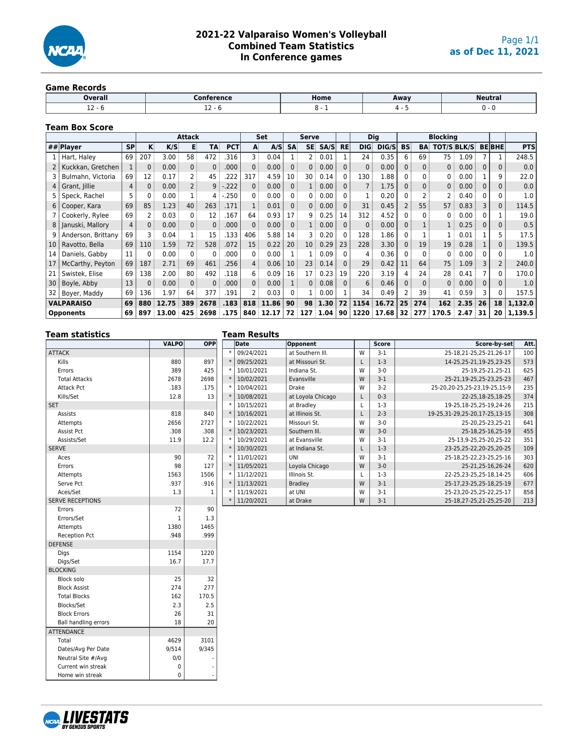

### **2021-22 Valparaiso Women's Volleyball Combined Team Statistics In Conference games**

#### **Game Records**

| Overall      |                | Home | Away |  |
|--------------|----------------|------|------|--|
| $\sim$<br>-- | . .<br><b></b> |      |      |  |

### **Team Box Score**

| <b>Attack</b> |                         |           |            |       |                | Set<br><b>Serve</b> |            |                   |       |              | <b>Blocking</b><br><b>Dig</b> |          |           |                   |       |                 |              |                 |                   |          |                 |            |
|---------------|-------------------------|-----------|------------|-------|----------------|---------------------|------------|-------------------|-------|--------------|-------------------------------|----------|-----------|-------------------|-------|-----------------|--------------|-----------------|-------------------|----------|-----------------|------------|
|               | ## $Player$             | <b>SP</b> | κŧ         | K/S   | E              | TA:                 | <b>PCT</b> | A                 | A/S   | <b>SA</b>    | SE:                           | SA/S     | <b>RE</b> | <b>DIG:</b>       | DIG/S | <b>BS</b>       | BA           | TOT/S BLK/S     |                   |          | <b>BEBHE</b>    | <b>PTS</b> |
|               | Hart, Haley             | 69        | 207        | 3.00  | 58             | 472                 | 316        | 3 :               | 0.04  |              | 2:                            | 0.01     |           | 24:               | 0.35  | 6               | 69           | 75              | 1.09              |          |                 | 248.5      |
|               | Kuckkan, Gretchen       |           |            | 0.00  | 0 <sup>3</sup> | $\Omega$            | .000       | $\Omega$          | 0.00  | 0            | 0:                            | 0.00     |           | 0:                | 0.00  |                 | $\Omega$     | 0:              | 0.00              |          | 0               | 0.0        |
|               | Bulmahn, Victoria       | 69        | 12         | 0.17  | $\overline{2}$ | 45                  | 222        | 317               | 4.59  | 10           | 30 <sup>1</sup>               | 0.14     |           | 130               | 1.88  |                 | 0            | 0               | 0.00              |          | q               | 22.0       |
| 4             | Grant, Jillie           | 4         |            | 0.00  | $\overline{2}$ | 9                   | .222       | 0:                | 0.00  | 0            | 1:                            | 0.00     |           |                   | 1.75  |                 | $\Omega$     | $\mathbf{0}$    | 0.00              | 0        | 0               | 0.0        |
|               | Speck, Rachel           | 5         |            | 0.00  | 1:             | 4 :                 | .250       | 0                 | 0.00  | $\Omega$     | 0:                            | 0.00     |           |                   | 0.20  |                 |              | 2               | 0.40              |          |                 | 1.0        |
| 6             | Cooper, Kara            | 69        | 85         | 1.23  | 40             | 263                 | .171       |                   | 0.01  | $\Omega$     | $0^{\frac{1}{2}}$             | 0.00     | $\Omega$  | 31                | 0.45  |                 | 55           | 57:             | 0.83              |          | $\Omega$        | 114.5      |
|               | Cookerly, Rylee         | 69        |            | 0.03  | $\overline{0}$ | 12                  | 167        | 64                | 0.93  | 17           | 9:                            | 0.25     | 14        | 312               | 4.52  |                 | $\Omega$     | 0               | 0.00              | 0        |                 | 19.0       |
| 8             | Januski, Mallory        | 4         | $\Omega$ : | 0.00  | 0 <sup>3</sup> | 0:                  | .000       | 0                 | 0.00  | $\mathbf{0}$ | 1:                            | 0.00     | $\Omega$  | 0                 | 0.00  | 0               |              |                 | 0.25              | $\Omega$ | 0               | 0.5        |
| q             | Anderson, Brittany      | 69        |            | 0.04  | 1:             | 15                  | .133       | 406               | 5.88  | 14           | 3 :                           | 0.20     | $\Omega$  | 128               | 1.86  |                 |              |                 | 0.01              |          | 5               | 17.5       |
| 10            | Ravotto, Bella          | 69        | 110        | 1.59  | 72             | 528                 | .072       | 15                | 0.22  | 20           | 10 <sup>1</sup>               | 0.29     | 23        | 228               | 3.30  | 0:              | 19           | 19 <sup>1</sup> | 0.28              |          | $\Omega$        | 139.5      |
| 14            | Daniels, Gabby          | 11        |            | 0.00  | $\overline{0}$ | 0                   | .000       | 0:                | 0.00  |              | 1:                            | 0.09     |           | 4                 | 0.36  |                 | $\Omega$     | 0               | 0.00              | 0        | 0               | 1.0        |
| 17            | McCarthy, Peyton        | 69        | 187        | 2.71  | 69             | 461                 | .256       | 4:                | 0.06  | 10           | 23:                           | 0.14     |           | 29                | 0.42  | 11              | 64           | 75:             | 1.09              | 3        |                 | 240.0      |
| 21            | Swistek, Elise          | 69        | 138        | 2.00  | 80             | 492                 | 118        | 6                 | 0.09  | 16           | 17 <sup>1</sup>               | 0.23     | 19        | 220               | 3.19  | 4               | 24           | 28 <sup>3</sup> | 0.41              |          | 0               | 170.0      |
| 30            | Boyle, Abby             | 13        |            | 0.00  | $\overline{0}$ | $\Omega$            | .000       | $0^{\frac{1}{2}}$ | 0.00  |              | $0^{\frac{1}{2}}$             | 0.08     |           | $6^{\frac{1}{3}}$ | 0.46  |                 | $\mathbf{0}$ | 0:              | 0.00              | $\Omega$ |                 | 1.0        |
| 32            | Boyer, Maddy            | 69        | 136        | 1.97  | 64             | 377                 | 191        |                   | 0.03  | $\Omega$     | 1:                            | 0.00     |           | 34                | 0.49  |                 | 39           | 41              | 0.59              |          |                 | 157.5      |
|               | <b>VALPARAISO</b><br>69 |           |            | 12.75 | 389            | 2678                | .183       | 818               | 11.86 | 90           |                               | 98 1.30  | 72        | 1154              | 16.72 | 25 <sup>3</sup> | 274          | 162             | 2.35              | : 26     | 18 <sup>1</sup> | 1,132.0    |
|               | <b>Opponents</b>        | 69        | 897        | 13.00 | 425            | 2698                | .175       | 840               | 12.17 | 72 :         |                               | 127 1.04 | 90        | 1220              | 17.68 |                 | 32 277       | 170.5           | 2.47 <sup>°</sup> | 31       | 20              | 1,139.5    |

| <b>Team statistics</b>      |              |             | <b>Team Results</b> |                   |   |              |                                   |      |
|-----------------------------|--------------|-------------|---------------------|-------------------|---|--------------|-----------------------------------|------|
|                             | <b>VALPO</b> | OPP         | Date                | Opponent          |   | <b>Score</b> | Score-by-set                      | Att. |
| <b>ATTACK</b>               |              |             | 09/24/2021          | at Southern III.  | W | $3-1$        | 25-18,21-25,25-21,26-17           | 100  |
| Kills                       | 880          | 897         | 09/25/2021          | at Missouri St.   | Г | $1-3$        | 14-25,25-21,19-25,23-25           | 573  |
| Errors                      | 389          | 425         | 10/01/2021          | Indiana St.       | W | $3 - 0$      | 25-19,25-21,25-21                 | 625  |
| <b>Total Attacks</b>        | 2678         | 2698        | 10/02/2021          | Evansville        | W | $3-1$        | 25-21,19-25,25-23,25-23           | 467  |
| <b>Attack Pct</b>           | .183         | .175        | 10/04/2021          | Drake             | W | $3-2$        | 25-20, 20-25, 25-23, 19-25, 15-9  | 235  |
| Kills/Set                   | 12.8         | 13          | 10/08/2021          | at Loyola Chicago | Г | $0 - 3$      | 22-25,18-25,18-25                 | 374  |
| <b>SET</b>                  |              |             | 10/15/2021          | at Bradley        | L | $1-3$        | 19-25, 18-25, 25-19, 24-26        | 215  |
| Assists                     | 818          | 840         | 10/16/2021          | at Illinois St.   | L | $2 - 3$      | 19-25, 31-29, 25-20, 17-25, 13-15 | 308  |
| Attempts                    | 2656         | 2727        | 10/22/2021          | Missouri St.      | W | $3 - 0$      | 25-20, 25-23, 25-21               | 641  |
| Assist Pct                  | .308         | .308        | 10/23/2021          | Southern III.     | W | $3 - 0$      | 25-18,25-16,25-19                 | 455  |
| Assists/Set                 | 11.9         | 12.2        | 10/29/2021          | at Evansville     | W | $3-1$        | 25-13,9-25,25-20,25-22            | 351  |
| <b>SERVE</b>                |              |             | 10/30/2021          | at Indiana St.    | L | $1-3$        | 23-25,25-22,20-25,20-25           | 109  |
| Aces                        | 90           | 72          | 11/01/2021          | UNI               | W | $3-1$        | 25-18,25-22,23-25,25-16           | 303  |
| Errors                      | 98           | 127         | 11/05/2021          | Loyola Chicago    | W | $3 - 0$      | 25-21,25-16,26-24                 | 620  |
| Attempts                    | 1563         | 1506        | 11/12/2021          | Illinois St.      | L | $1-3$        | 22-25, 23-25, 25-18, 14-25        | 606  |
| Serve Pct                   | .937         | .916        | 11/13/2021          | <b>Bradley</b>    | W | $3-1$        | 25-17,23-25,25-18,25-19           | 677  |
| Aces/Set                    | 1.3          | $\mathbf 1$ | 11/19/2021          | at UNI            | W | $3-1$        | 25-23, 20-25, 25-22, 25-17        | 858  |
| <b>SERVE RECEPTIONS</b>     |              |             | 11/20/2021          | at Drake          | W | $3-1$        | 25-18,27-25,21-25,25-20           | 213  |
| Errors                      | 72           | 90          |                     |                   |   |              |                                   |      |
| Errors/Set                  | $\mathbf{1}$ | 1.3         |                     |                   |   |              |                                   |      |
| Attempts                    | 1380         | 1465        |                     |                   |   |              |                                   |      |
| <b>Reception Pct</b>        | .948         | .999        |                     |                   |   |              |                                   |      |
| <b>DEFENSE</b>              |              |             |                     |                   |   |              |                                   |      |
| Digs                        | 1154         | 1220        |                     |                   |   |              |                                   |      |
| Digs/Set                    | 16.7         | 17.7        |                     |                   |   |              |                                   |      |
| <b>BLOCKING</b>             |              |             |                     |                   |   |              |                                   |      |
| <b>Block solo</b>           | 25           | 32          |                     |                   |   |              |                                   |      |
| <b>Block Assist</b>         | 274          | 277         |                     |                   |   |              |                                   |      |
| <b>Total Blocks</b>         | 162          | 170.5       |                     |                   |   |              |                                   |      |
| Blocks/Set                  | 2.3          | 2.5         |                     |                   |   |              |                                   |      |
| <b>Block Errors</b>         | 26           | 31          |                     |                   |   |              |                                   |      |
| <b>Ball handling errors</b> | 18           | 20          |                     |                   |   |              |                                   |      |
| ATTENDANCE                  |              |             |                     |                   |   |              |                                   |      |
| Total                       | 4629         | 3101        |                     |                   |   |              |                                   |      |
| Dates/Avg Per Date          | 9/514        | 9/345       |                     |                   |   |              |                                   |      |
| Neutral Site #/Avg          | 0/0          |             |                     |                   |   |              |                                   |      |
| Current win streak          | $\Omega$     |             |                     |                   |   |              |                                   |      |



Home win streak  $\begin{array}{ccc} \vert & \vert & \vert & \vert \end{array}$  -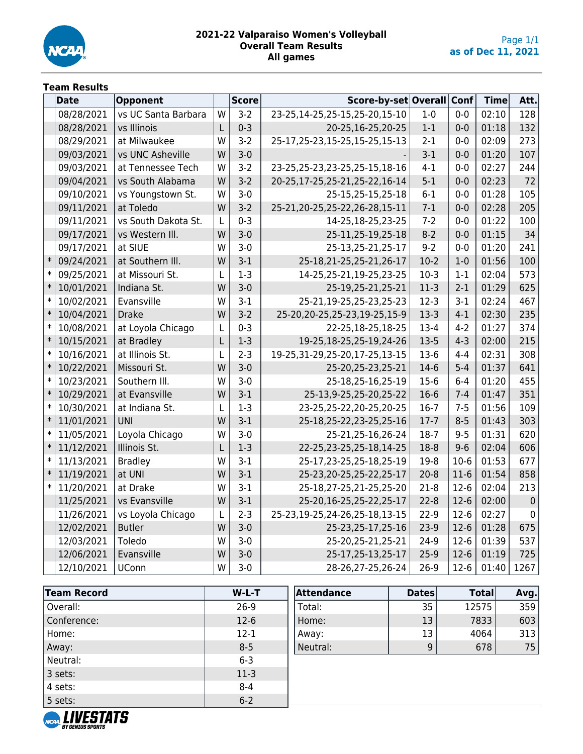

#### **2021-22 Valparaiso Women's Volleyball Overall Team Results All games**

## **Team Results**

| <b>Date</b>          | Opponent            |   | <b>Score</b> | Score-by-set Overall Conf         |          |         | <b>Time</b> | Att.        |
|----------------------|---------------------|---|--------------|-----------------------------------|----------|---------|-------------|-------------|
| 08/28/2021           | vs UC Santa Barbara | W | $3-2$        | 23-25,14-25,25-15,25-20,15-10     | $1-0$    | $0 - 0$ | 02:10       | 128         |
| 08/28/2021           | vs Illinois         | L | $0 - 3$      | 20-25,16-25,20-25                 | $1 - 1$  | $0-0$   | 01:18       | 132         |
| 08/29/2021           | at Milwaukee        | W | $3-2$        | 25-17, 25-23, 15-25, 15-25, 15-13 | $2 - 1$  | $0-0$   | 02:09       | 273         |
| 09/03/2021           | vs UNC Asheville    | W | $3-0$        |                                   | $3-1$    | $0 - 0$ | 01:20       | 107         |
| 09/03/2021           | at Tennessee Tech   | W | $3-2$        | 23-25, 25-23, 23-25, 25-15, 18-16 | $4 - 1$  | $0 - 0$ | 02:27       | 244         |
| 09/04/2021           | vs South Alabama    | W | $3-2$        | 20-25,17-25,25-21,25-22,16-14     | $5-1$    | $0 - 0$ | 02:23       | 72          |
| 09/10/2021           | vs Youngstown St.   | W | $3-0$        | 25-15,25-15,25-18                 | $6-1$    | $0-0$   | 01:28       | 105         |
| 09/11/2021           | at Toledo           | W | $3-2$        | 25-21, 20-25, 25-22, 26-28, 15-11 | $7-1$    | $0 - 0$ | 02:28       | 205         |
| 09/11/2021           | vs South Dakota St. | L | $0 - 3$      | 14-25, 18-25, 23-25               | $7-2$    | $0 - 0$ | 01:22       | 100         |
| 09/17/2021           | vs Western III.     | W | $3 - 0$      | 25-11,25-19,25-18                 | $8-2$    | $0 - 0$ | 01:15       | 34          |
| 09/17/2021           | at SIUE             | W | $3 - 0$      | 25-13,25-21,25-17                 | $9 - 2$  | $0 - 0$ | 01:20       | 241         |
| $\ast$<br>09/24/2021 | at Southern III.    | W | $3-1$        | 25-18,21-25,25-21,26-17           | $10-2$   | $1 - 0$ | 01:56       | 100         |
| $\ast$<br>09/25/2021 | at Missouri St.     | L | $1-3$        | 14-25,25-21,19-25,23-25           | $10-3$   | $1 - 1$ | 02:04       | 573         |
| $\ast$<br>10/01/2021 | Indiana St.         | W | $3 - 0$      | 25-19,25-21,25-21                 | $11-3$   | $2 - 1$ | 01:29       | 625         |
| $\ast$<br>10/02/2021 | Evansville          | W | $3-1$        | 25-21,19-25,25-23,25-23           | $12-3$   | $3-1$   | 02:24       | 467         |
| $\ast$<br>10/04/2021 | <b>Drake</b>        | W | $3-2$        | 25-20, 20-25, 25-23, 19-25, 15-9  | $13-3$   | $4 - 1$ | 02:30       | 235         |
| $\ast$<br>10/08/2021 | at Loyola Chicago   | L | $0 - 3$      | 22-25,18-25,18-25                 | $13-4$   | $4 - 2$ | 01:27       | 374         |
| $\ast$<br>10/15/2021 | at Bradley          | Г | $1-3$        | 19-25, 18-25, 25-19, 24-26        | $13-5$   | $4 - 3$ | 02:00       | 215         |
| $\ast$<br>10/16/2021 | at Illinois St.     | L | $2 - 3$      | 19-25, 31-29, 25-20, 17-25, 13-15 | $13-6$   | $4 - 4$ | 02:31       | 308         |
| $\ast$<br>10/22/2021 | Missouri St.        | W | $3 - 0$      | 25-20, 25-23, 25-21               | $14-6$   | $5 - 4$ | 01:37       | 641         |
| $\ast$<br>10/23/2021 | Southern III.       | W | $3-0$        | 25-18,25-16,25-19                 | $15-6$   | $6-4$   | 01:20       | 455         |
| $\ast$<br>10/29/2021 | at Evansville       | W | $3-1$        | 25-13,9-25,25-20,25-22            | $16-6$   | $7 - 4$ | 01:47       | 351         |
| $\ast$<br>10/30/2021 | at Indiana St.      | L | $1-3$        | 23-25,25-22,20-25,20-25           | $16-7$   | $7 - 5$ | 01:56       | 109         |
| $\ast$<br>11/01/2021 | <b>UNI</b>          | W | $3-1$        | 25-18,25-22,23-25,25-16           | $17 - 7$ | $8 - 5$ | 01:43       | 303         |
| $\ast$<br>11/05/2021 | Loyola Chicago      | W | $3-0$        | 25-21,25-16,26-24                 | $18-7$   | $9 - 5$ | 01:31       | 620         |
| $\ast$<br>11/12/2021 | Illinois St.        | L | $1-3$        | 22-25, 23-25, 25-18, 14-25        | $18 - 8$ | $9 - 6$ | 02:04       | 606         |
| $\ast$<br>11/13/2021 | <b>Bradley</b>      | W | $3-1$        | 25-17,23-25,25-18,25-19           | $19 - 8$ | $10-6$  | 01:53       | 677         |
| $\ast$<br>11/19/2021 | at UNI              | W | $3-1$        | 25-23, 20-25, 25-22, 25-17        | $20 - 8$ | $11-6$  | 01:54       | 858         |
| $\ast$<br>11/20/2021 | at Drake            | W | $3-1$        | 25-18,27-25,21-25,25-20           | $21-8$   | $12-6$  | 02:04       | 213         |
| 11/25/2021           | vs Evansville       | W | $3-1$        | 25-20, 16-25, 25-22, 25-17        | $22 - 8$ | $12-6$  | 02:00       | $\pmb{0}$   |
| 11/26/2021           | vs Loyola Chicago   | L | $2 - 3$      | 25-23, 19-25, 24-26, 25-18, 13-15 | $22-9$   | $12-6$  | 02:27       | $\mathbf 0$ |
| 12/02/2021           | <b>Butler</b>       | W | $3 - 0$      | 25-23, 25-17, 25-16               | $23-9$   | $12-6$  | 01:28       | 675         |
| 12/03/2021           | Toledo              | W | $3-0$        | 25-20,25-21,25-21                 | 24-9     | $12-6$  | 01:39       | 537         |
| 12/06/2021           | Evansville          | W | $3 - 0$      | 25-17, 25-13, 25-17               | $25-9$   | $12-6$  | 01:19       | 725         |
| 12/10/2021           | <b>UConn</b>        | W | $3 - 0$      | 28-26, 27-25, 26-24               | $26-9$   | $12-6$  | 01:40       | 1267        |

| <b>Team Record</b> | $W-L-T$  | <b>Attendance</b> | <b>Dates</b> | <b>Total</b> | Avg. |
|--------------------|----------|-------------------|--------------|--------------|------|
| Overall:           | $26-9$   | Total:            | 35           | 12575        | 359  |
| Conference:        | $12-6$   | Home:             | 13           | 7833         | 603  |
| Home:              | $12 - 1$ | Away:             | 13           | 4064         | 313  |
| Away:              | $8 - 5$  | Neutral:          | 9            | 678          | 75   |
| Neutral:           | $6 - 3$  |                   |              |              |      |
| 3 sets:            | $11-3$   |                   |              |              |      |
| $ 4$ sets:         | $8 - 4$  |                   |              |              |      |
| 5 sets:            | $6 - 2$  |                   |              |              |      |

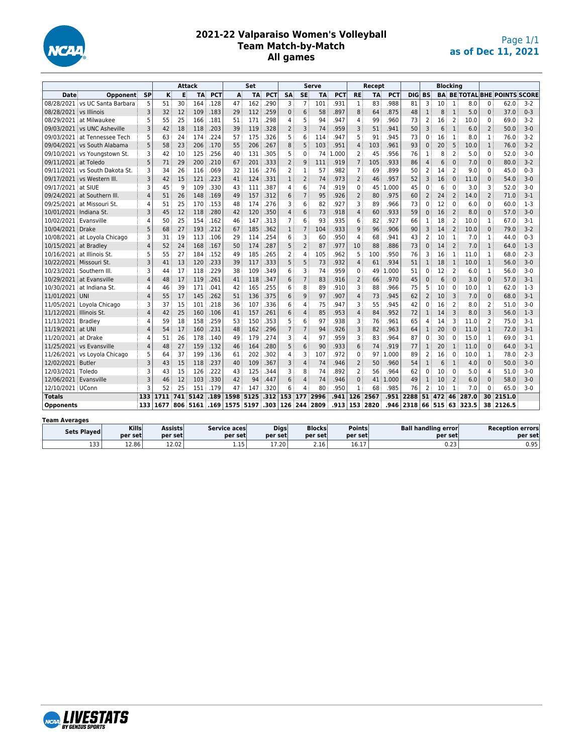

### **2021-22 Valparaiso Women's Volleyball Team Match-by-Match All games**

|                         |                                        |           | <b>Attack</b> |                           |           | Set             |                                |           | Serve      |                |                | Recept                   |      |                          |           | Blockina   |                            |                |        |                          |          |                |                                     |         |
|-------------------------|----------------------------------------|-----------|---------------|---------------------------|-----------|-----------------|--------------------------------|-----------|------------|----------------|----------------|--------------------------|------|--------------------------|-----------|------------|----------------------------|----------------|--------|--------------------------|----------|----------------|-------------------------------------|---------|
| Date                    | Opponent                               | <b>SP</b> | к             | E                         | <b>TA</b> | PC <sub>1</sub> | A                              | <b>TA</b> | <b>PCT</b> | SA             | <b>SE</b>      | TA                       | PCT  | RE                       | <b>TA</b> | <b>PCT</b> | DIGI                       | <b>BS</b>      |        |                          |          |                | <b>BA BE TOTAL BHE POINTS SCORE</b> |         |
|                         | 08/28/2021 vs UC Santa Barbara         | 5         | 51            | 30                        | 164       | 128             | 47                             | 162       | 290        | 3              | 7              | 101                      | .931 | $\mathbf{1}$             | 83        | 988        | 81                         | В              | 10     | $\mathbf{1}$             | 8.0      | $\Omega$       | 62.0                                | $3-2$   |
| 08/28/2021 vs Illinois  |                                        | 3         | 32            | 12                        | 109       | .183            | 29                             | 112       | .259       | $\mathbf 0$    | 6              | 58                       | .897 | 8                        | 64        | .875       | 48                         | $\mathbf{1}$   | 8      | $\mathbf{1}$             | 5.0      | $\mathbf{0}$   | 37.0                                | $0 - 3$ |
|                         | 08/29/2021 at Milwaukee                | 5         | 55            | 25                        | 166       | .181            | 51                             | 171       | .298       | 4              | 5              | 94                       | .947 | 4                        | 99        | 960        | 73                         | 2              | 16     | $\overline{2}$           | 10.0     | $\Omega$       | 69.0                                | $3-2$   |
|                         | 09/03/2021 vs UNC Asheville            | 3         | 42            | 18                        | 118       | .203            | 39                             | 119       | .328       | $\overline{2}$ | 3              | 74                       | .959 | 3                        | 51        | 941        | 50                         |                | 6      | $\mathbf{1}$             | 6.0      | $\overline{2}$ | 50.0                                | $3 - 0$ |
|                         | 09/03/2021 at Tennessee Tech           | 5         | 63            | 24                        | 174       | 224             | 57                             | 175       | 326        | 5              | 6              | 114                      | .947 | 5                        | 91        | 945        | 73                         | O              | 16     | 1                        | 8.0      | 1              | 76.0                                | $3-2$   |
|                         | 09/04/2021 vs South Alabama            | 5         | 58            | 23                        | 206       | .170            | 55                             | 206       | 267        | 8              | 5              | 103                      | .951 | $\overline{4}$           | 103       | 961        | 93                         | $\Omega$       | 20     | 5                        | 10.0     | $\mathbf{1}$   | 76.0                                | $3-2$   |
|                         | 09/10/2021 vs Youngstown St.           | 3         | 42            | 10                        | 125       | .256            | 40                             | 131       | .305       | 5              | 0              | 74                       | .000 | 2                        | 45        | 956        | 76                         | 1              | 8      | $\overline{2}$           | 5.0      | $\Omega$       | 52.0                                | $3-0$   |
| 09/11/2021 at Toledo    |                                        | 5         | 71            | 29                        | 200       | 210             | 67                             | 201       | .333       | $\overline{2}$ | 9              | 111                      | .919 | $\overline{7}$           | 105       | 933        | 86                         |                | 6      |                          | 7.0      | $\mathbf{0}$   | 80.0                                | $3-2$   |
|                         | 09/11/2021 vs South Dakota St.         | 3         | 34            | 26                        | 116       | .069            | 32                             | 116       | .276       | $\overline{2}$ | 1              | 57                       | .982 | $\overline{7}$           | 69        | 899        | 50                         | 2              | 14     | $\overline{2}$           | 9.0      | $\Omega$       | 45.0                                | $0 - 3$ |
|                         | 09/17/2021 vs Western III.             | ξ         | 42            | 15                        | 121       | .223            | 41                             | 124       | .331       | $\mathbf{1}$   | $\overline{2}$ | 74                       | .973 | $\overline{2}$           | 46        | .957       | 52                         | 3              | 16     | $\Omega$                 | 11.0     | $\Omega$       | 54.0                                | $3-0$   |
| 09/17/2021 at SIUE      |                                        | 3         | 45            | 9                         | 109       | .330            | 43                             | 111       | .387       | 4              | 6              | 74                       | .919 | 0                        | 45        | .000       | 45                         | $\Omega$       | 6      | $\Omega$                 | 3.0      | 3              | 52.0                                | $3-0$   |
|                         | 09/24/2021 at Southern III.            | 4         | 51            | 26                        | 148       | .169            | 49                             | 157       | 312        | 6              | $\overline{7}$ | 95                       | 926  | $\overline{2}$           | 80        | .975       | 60                         | $\overline{2}$ | 24     | $\overline{\phantom{0}}$ | 14.0     | $\overline{2}$ | 71.0                                | $3-1$   |
|                         | 09/25/2021 at Missouri St.             | 4         | 51            | 25                        | 170       | .153            | 48                             | 174       | .276       | 3              | 6              | 82                       | .927 | 3                        | 89        | 966        | 73                         | $\Omega$       | 12     | $\Omega$                 | 6.0      | $\Omega$       | 60.0                                | $1-3$   |
| 10/01/2021 Indiana St.  |                                        | ξ         | 45            | 12                        | 118       | .280            | 42                             | 120       | .350       | $\overline{4}$ | 6              | 73                       | .918 | $\overline{4}$           | 60        | 933        | 59                         | $\Omega$       | 16     | $\overline{2}$           | 8.0      | $\Omega$       | 57.0                                | $3 - 0$ |
| 10/02/2021 Evansville   |                                        | Δ         | 50            | 25                        | 154       | .162            | 46                             | 147       | .313       | $\overline{7}$ | 6              | 93                       | 935  | 6                        | 82        | 927        | 66                         |                | 18     | $\overline{2}$           | 10.0     | 1              | 67.0                                | $3-1$   |
| 10/04/2021              | <b>Drake</b>                           | 5         | 68            | 27                        | 193       | .212            | 67                             | 185       | .362       | 1              | $\overline{7}$ | 104                      | .933 | 9                        | 96        | .906       | 90                         | 3              | 14     |                          | 10.0     | $\Omega$       | 79.0                                | $3-2$   |
|                         | 10/08/2021 at Loyola Chicago           | 3         | 31            | 19                        | 113       | .106            | 29                             | 114       | 254        | 6              | 3              | 60                       | .950 | 4                        | 68        | 941        | 43                         | 2              | 10     | $\mathbf{1}$             | 7.0      | $\mathbf{1}$   | 44.0                                | $0 - 3$ |
| 10/15/2021 at Bradley   |                                        | 4         | 52            | 24                        | 168       | .167            | 50                             | 174       | 287        | 5              | $\overline{2}$ | 87                       | .977 | 10                       | 88        | 886        | 73                         | $\Omega$       | 14     | $\overline{2}$           | 7.0      | $\mathbf{1}$   | 64.0                                | $1 - 3$ |
| 10/16/2021              | at Illinois St.                        | 5         | 55            | 27                        | 184       | .152            | 49                             | 185       | 265        | $\overline{2}$ | 4              | 105                      | .962 | 5                        | 100       | 950        | 76                         | 3              | 16     | 1                        | 11.0     | $\mathbf{1}$   | 68.0                                | $2 - 3$ |
| 10/22/2021              | Missouri St.                           | 3         | 41            | 13                        | 120       | .233            | 39                             | 117       | .333       | 5              | 5              | 73                       | .932 | $\overline{\mathbf{4}}$  | 61        | .934       | 51                         | $\mathbf{1}$   | 18     | $\mathbf{1}$             | 10.0     | $\mathbf{1}$   | 56.0                                | $3-0$   |
|                         | 10/23/2021 Southern III.               | 3         | 44            | 17                        | 118       | .229            | 38                             | 109       | .349       | 6              | 3              | 74                       | .959 | 0                        | 49        | .000       | 51                         | $\Omega$       | 12     | $\overline{2}$           | 6.0      | $\mathbf{1}$   | 56.0                                | $3-0$   |
| 10/29/2021              | at Evansville                          | 4         | 48            | 17                        | 119       | .261            | 41                             | 118       | .347       | 6              | $\overline{7}$ | 83                       | .916 | $\overline{2}$           | 66        | .970       | 45                         | $\Omega$       | 6      | $\Omega$                 | 3.0      | $\mathbf{0}$   | 57.0                                | $3-1$   |
| 10/30/2021              | at Indiana St.                         | 4         | 46            | 39                        | 171       | .041            | 42                             | 165       | 255        | 6              | 8              | 89                       | .910 | 3                        | 88        | 966        | 75                         | 5              | 10     | $\Omega$                 | 10.0     | $\mathbf{1}$   | 62.0                                | $1-3$   |
| 11/01/2021 UN           |                                        | 4         | 55            | 17                        | 145       | .262            | 51                             | 136       | .375       | 6              | 9              | 97                       | .907 | $\overline{4}$           | 73        | 945        | 62                         | $\overline{2}$ | 10     | $\overline{3}$           | 7.0      | $\Omega$       | 68.0                                | $3-1$   |
|                         | 11/05/2021 Loyola Chicago              | 3         | 37            | 15                        | 101       | .218            | 36                             | 107       | 336        | 6              | 4              | 75                       | 947  | 3                        | 55        | 945        | 42                         | $\Omega$       | 16     | $\overline{2}$           | 8.0      | $\overline{2}$ | 51.0                                | $3-0$   |
| 11/12/2021 Illinois St. |                                        | 4         | 42            | 25                        | 160       | .106            | 41                             | 157       | .261       | 6              | 4              | 85                       | .953 | $\sqrt{4}$               | 84        | .952       | 72                         | $\mathbf{1}$   | 14     | $\overline{3}$           | 8.0      | 3              | 56.0                                | $1-3$   |
| 11/13/2021 Bradley      |                                        | 4         | 59            | 18                        | 158       | 259             | 53                             | 150       | 353        | 5              | 6              | 97                       | 938  | 3                        | 76        | 961        | 65                         | Δ              | 14     | 3                        | 11.0     | $\overline{2}$ | 75.0                                | $3-1$   |
| 11/19/2021 at UNI       |                                        | 4         | 54            | 17                        | 160       | .231            | 48                             | 162       | .296       | $\overline{7}$ | $\overline{7}$ | 94                       | .926 | 3                        | 82        | .963       | 64                         | $\mathbf{1}$   | 20     | $\Omega$                 | 11.0     | $\mathbf{1}$   | 72.0                                | $3-1$   |
| 11/20/2021 at Drake     |                                        | 4         | 51            | 26                        | 178       | .140            | 49                             | 179       | .274       | 3              | 4              | 97                       | .959 | 3                        | 83        | 964        | 87                         | $\Omega$       | 30     | $\Omega$                 | 15.0     | $\mathbf{1}$   | 69.0                                | $3-1$   |
|                         | 11/25/2021 vs Evansville               | 4         | 48            | 27                        | 159       | .132            | 46                             | 164       | .280       | 5              | 6              | 90                       | .933 | 6                        | 74        | .919       | 77                         |                | 20     |                          | 11.0     | $\mathbf{0}$   | 64.0                                | $3-1$   |
|                         | 11/26/2021 vs Loyola Chicago           | 5         | 64            | 37                        | 199       | .136            | 61                             | 202       | .302       | 4              | 3              | 107                      | .972 | $\mathbf{0}$             | 97        | 000        | 89                         | 2              | 16     | $\Omega$                 | 10.0     | 1              | 78.0                                | $2 - 3$ |
| 12/02/2021 Butler       |                                        | 3         | 43            | 15                        | 118       | .237            | 40                             | 109       | .367       | 3              | $\overline{4}$ | 74                       | .946 | $\overline{2}$           | 50        | .960       | 54                         | $\mathbf{1}$   | 6      | $\mathbf{1}$             | 4.0      | $\mathbf{0}$   | 50.0                                | $3 - 0$ |
| 12/03/2021 Toledo       |                                        | 3         | 43            | 15                        | 126       | .222            | 43                             | 125       | .344       | 3              | 8              | 74                       | .892 | $\overline{2}$           | 56        | .964       | 62                         | 0              | 10     | $\Omega$                 | 5.0      | 4              | 51.0                                | $3-0$   |
| 12/06/2021 Evansville   |                                        | ξ         | 46            | 12                        | 103       | .330            | 42                             | 94        | .447       | 6              | 4              | 74                       | .946 | $\mathbf{0}$             | 41        | 1.000      | 49                         |                | 10     | $\overline{2}$           | 6.0      | $\Omega$       | 58.0                                | $3-0$   |
| 12/10/2021 UConn        |                                        | 3         | 52            | 25                        | 151       | .179            | 47                             | 147       | .320       | 6              | 4              | 80                       | .950 | $\mathbf{1}$             | 68        | .985       | 76                         | $\mathcal{P}$  | 10     | -1                       | 7.0      | $\Omega$       | 65.0                                | $3-0$   |
| <b>Totals</b>           |                                        | 133       | 1711          | 741                       | 5142      | .189            |                                | 1598 5125 | .312       | 153 177        |                | 2996                     | .941 | 126                      | 2567      | .951       | 2288                       | 51             | 472    | 46                       | 287.0    |                | 30 2151.0                           |         |
| <b>Opponents</b>        |                                        | 133       | 1677          | 806                       | 5161      | .169            | 1575 5197                      |           | .303       | 126            | 244            | 2809                     | .913 | 153                      | 2820      | .946       | 2318                       |                | 66 515 |                          | 63 323.5 |                | 38 2126.5                           |         |
| <b>Team Averages</b>    |                                        |           |               |                           |           |                 |                                |           |            |                |                |                          |      |                          |           |            |                            |                |        |                          |          |                |                                     |         |
|                         | Kills<br><b>Sets Played</b><br>per set |           |               | <b>Assists</b><br>per set |           |                 | <b>Service aces</b><br>per set |           | per set    | <b>Digs</b>    |                | <b>Blocks</b><br>per set |      | <b>Points</b><br>per set |           |            | <b>Ball handling error</b> |                |        | per set                  |          |                | <b>Reception errors</b>             | per set |

133 12.86 12.02 1.15 17.20 2.16 16.17 0.23 0.95

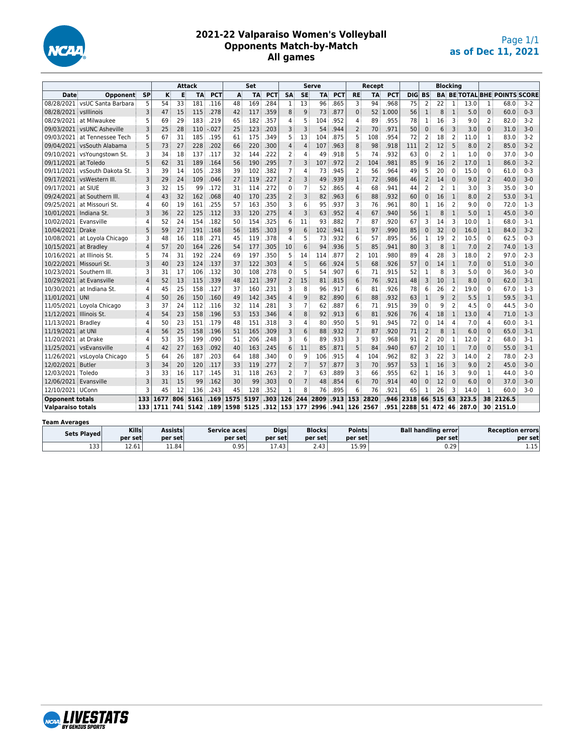

### **2021-22 Valparaiso Women's Volleyball Opponents Match-by-Match All games**

|                          |                               |                |      | <b>Attack</b> |           |            |      | Set       |            |                |                | <b>Serve</b> |                 |                | Recept |            |      | Blockina       |                |                          |       |                |                                     |         |
|--------------------------|-------------------------------|----------------|------|---------------|-----------|------------|------|-----------|------------|----------------|----------------|--------------|-----------------|----------------|--------|------------|------|----------------|----------------|--------------------------|-------|----------------|-------------------------------------|---------|
| <b>Date</b>              | Opponent                      | <b>SP</b>      | κ    | E             | <b>TA</b> | <b>PCT</b> | A    | <b>TA</b> | <b>PCT</b> | <b>SA</b>      | <b>SE</b>      | TA           | PC <sub>1</sub> | RE             | TA     | <b>PCT</b> | DIG  | <b>BS</b>      |                |                          |       |                | <b>BA BE TOTAL BHE POINTS SCORE</b> |         |
|                          | 08/28/2021 vsUC Santa Barbara | 5              | 54   | 33            | 181       | .116       | 48   | 169       | .284       | 1              | 13             | 96           | .865            | 3              | 94     | .968       | 75   |                | 22             | $\mathbf{1}$             | 13.0  | $\mathbf{1}$   | 68.0                                | $3-2$   |
| 08/28/2021 vslllinois    |                               | 3              | 47   | 15            | 115       | 278        | 42   | 117       | .359       | 8              | 9              | 73           | .877            | $\mathbf{0}$   | 52     | .000       | 56   |                | 8              | $\mathbf{1}$             | 5.0   | $\mathbf{0}$   | 60.0                                | $0 - 3$ |
|                          | 08/29/2021 at Milwaukee       | 5              | 69   | 29            | 183       | .219       | 65   | 182       | .357       | 4              | 5              | 104          | .952            | $\overline{4}$ | 89     | .955       | 78   |                | 16             | 3                        | 9.0   | $\overline{2}$ | 82.0                                | $3-2$   |
|                          | 09/03/2021 vsUNC Asheville    | 3              | 25   | 28            | 110       | $-0.027$   | 25   | 123       | .203       | 3              | 3              | 54           | .944            | $\overline{2}$ | 70     | .971       | 50   | $\mathbf{0}$   | 6              | $\overline{3}$           | 3.0   | $\mathbf{0}$   | 31.0                                | $3-0$   |
|                          | 09/03/2021 at Tennessee Tech  | 5              | 67   | 31            | 185       | .195       | 61   | 175       | 349        | 5              | 13             | 104          | .875            | 5              | 108    | .954       | 72   | $\overline{2}$ | 18             | 2                        | 11.0  | $\mathbf{1}$   | 83.0                                | $3-2$   |
|                          | 09/04/2021 vsSouth Alabama    | 5              | 73   | 27            | 228       | .202       | 66   | 220       | .300       | $\overline{4}$ | $\overline{4}$ | 107          | .963            | 8              | 98     | .918       | 111  |                | 12             | 5                        | 8.0   | $\overline{2}$ | 85.0                                | $3 - 2$ |
|                          | 09/10/2021 vsYoungstown St.   | 3              | 34   | 18            | 137       | .117       | 32   | 144       | .222       | 2              | 4              | 49           | .918            | 5              | 74     | .932       | 63   | $\Omega$       | $\overline{a}$ | 1                        | 1.0   | $\Omega$       | 37.0                                | $3-0$   |
| 09/11/2021 at Toledo     |                               |                | 62   | 31            | 189       | .164       | 56   | 190       | .295       | $\overline{7}$ | 3              | 107          | .972            | $\overline{2}$ | 104    | .981       | 85   |                | 16             | $\overline{\phantom{0}}$ | 17.0  | $\mathbf{1}$   | 86.0                                | $3 - 2$ |
|                          | 09/11/2021 vsSouth Dakota St. | 3              | 39   | 14            | 105       | 238        | 39   | 102       | 382        | 7              | 4              | 73           | .945            | $\overline{2}$ | 56     | 964        | 49   |                | 20             | $\Omega$                 | 15.0  | $\Omega$       | 61.0                                | $0 - 3$ |
|                          | 09/17/2021 vsWestern III.     | 3              | 29   | 24            | 109       | .046       | 27   | 119       | .227       | $\overline{2}$ | 3              | 49           | .939            | $\mathbf{1}$   | 72     | .986       | 46   | 2              | 14             | $\Omega$                 | 9.0   | $\overline{2}$ | 40.0                                | $3-0$   |
| 09/17/2021 at SIUE       |                               | 3              | 32   | 15            | 99        | .172       | 31   | 114       | .272       | 0              | $\overline{7}$ | 52           | .865            | $\overline{4}$ | 68     | 941        | 44   | 2              | $\overline{2}$ | 1                        | 3.0   | 3              | 35.0                                | $3-0$   |
|                          | 09/24/2021 at Southern III.   | $\overline{4}$ | 43   | 32            | 162       | .068       | 40   | 170       | .235       | $\overline{2}$ | 3              | 82           | .963            | 6              | 88     | .932       | 60   | $\Omega$       | 16             | $\mathbf{1}$             | 8.0   | $\overline{2}$ | 53.0                                | $3-1$   |
|                          | 09/25/2021 at Missouri St.    | 4              | 60   | 19            | 161       | 255        | 57   | 163       | .350       | 3              | 6              | 95           | .937            | 3              | 76     | .961       | 80   | 1              | 16             | 2                        | 9.0   | $\Omega$       | 72.0                                | $1-3$   |
| 10/01/2021 Indiana St.   |                               | 3              | 36   | 22            | 125       | .112       | 33   | 120       | .275       | $\overline{4}$ | 3              | 63           | .952            | $\overline{4}$ | 67     | .940       | 56   |                | 8              | $\mathbf{1}$             | 5.0   | $\mathbf{1}$   | 45.0                                | $3-0$   |
| 10/02/2021 Evansville    |                               | $\overline{4}$ | 52   | 24            | 154       | 182        | 50   | 154       | 325        | 6              | 11             | 93           | .882            | $\overline{7}$ | 87     | .920       | 67   |                | 14             | З                        | 10.0  | 1              | 68.0                                | $3-1$   |
| 10/04/2021 Drake         |                               |                | 59   | 27            | 191       | .168       | 56   | 185       | .303       | 9              | 6              | 102          | .941            | $\mathbf{1}$   | 97     | .990       | 85   | $\Omega$       | 32             | $\Omega$                 | 16.0  | $\mathbf{1}$   | 84.0                                | $3-2$   |
|                          | 10/08/2021 at Loyola Chicago  | 3              | 48   | 16            | 118       | .271       | 45   | 119       | .378       | 4              | 5              | 73           | .932            | 6              | 57     | 895        | 56   | 1              | 19             | $\overline{2}$           | 10.5  | $\mathbf 0$    | 62.5                                | $0 - 3$ |
| 10/15/2021 at Bradley    |                               | $\overline{4}$ | 57   | 20            | 164       | .226       | 54   | 177       | .305       | 10             | 6              | 94           | .936            | 5              | 85     | 941        | 80   | 3              | 8              | $\mathbf{1}$             | 7.0   | $\overline{2}$ | 74.0                                | $1-3$   |
|                          | 10/16/2021 at Illinois St.    | 5              | 74   | 31            | 192       | .224       | 69   | 197       | .350       | 5              | 14             | 114          | .877            | $\overline{2}$ | 101    | 980        | 89   | 4              | 28             | 3                        | 18.0  | $\overline{2}$ | 97.0                                | $2 - 3$ |
|                          | 10/22/2021 Missouri St.       | 3              | 40   | 23            | 124       | .137       | 37   | 122       | .303       | $\overline{4}$ | 5              | 66           | .924            | 5              | 68     | .926       | 57   | $\mathbf{0}$   | 14             | $\mathbf{1}$             | 7.0   | $\mathbf{0}$   | 51.0                                | $3-0$   |
|                          | 10/23/2021 Southern III.      | 3              | 31   | 17            | 106       | .132       | 30   | 108       | .278       | 0              | 5              | 54           | .907            | 6              | 71     | 915        | 52   |                | 8              | 3                        | 5.0   | $\Omega$       | 36.0                                | $3-0$   |
|                          | 10/29/2021 at Evansville      | $\overline{4}$ | 52   | 13            | 115       | .339       | 48   | 121       | .397       | $\overline{2}$ | 15             | 81           | .815            | 6              | 76     | 921        | 48   | 3              | 10             | $\mathbf{1}$             | 8.0   | $\Omega$       | 62.0                                | $3-1$   |
|                          | 10/30/2021 at Indiana St.     | 4              | 45   | 25            | 158       | .127       | 37   | 160       | .231       | 3              | 8              | 96           | .917            | 6              | 81     | 926        | 78   | 6              | 26             | $\overline{2}$           | 19.0  | $\Omega$       | 67.0                                | $1-3$   |
| 11/01/2021 UNI           |                               | $\Delta$       | 50   | 26            | 150       | .160       | 49   | 142       | .345       | $\overline{4}$ | 9              | 82           | .890            | 6              | 88     | .932       | 63   |                | 9              | $\overline{2}$           | 5.5   | $\mathbf{1}$   | 59.5                                | $3-1$   |
|                          | 11/05/2021 Loyola Chicago     | 3              | 37   | 24            | 112       | .116       | 32   | 114       | 281        | 3              | $\overline{7}$ | 62           | .887            | 6              | 71     | .915       | 39   | $\Omega$       | q              | 2                        | 4.5   | $\Omega$       | 44.5                                | $3-0$   |
| 11/12/2021 Illinois St.  |                               | $\overline{4}$ | 54   | 23            | 158       | .196       | 53   | 153       | .346       | 4              | 8              | 92           | .913            | 6              | 81     | .926       | 76   | 4              | 18             | $\mathbf{1}$             | 13.0  | $\overline{4}$ | 71.0                                | $1-3$   |
| 11/13/2021 Bradley       |                               | $\Delta$       | 50   | 23            | 151       | .179       | 48   | 151       | .318       | 3              | 4              | 80           | .950            | 5              | 91     | .945       | 72   | O              | 14             | 4                        | 7.0   | 4              | 60.0                                | $3-1$   |
| 11/19/2021 at UN         |                               | Δ              | 56   | 25            | 158       | .196       | 51   | 165       | .309       | 3              | 6              | 88           | .932            | $\overline{7}$ | 87     | .920       | 71   |                | 8              | $\mathbf{1}$             | 6.0   | $\Omega$       | 65.0                                | $3 - 1$ |
| 11/20/2021 at Drake      |                               | 4              | 53   | 35            | 199       | .090       | 51   | 206       | .248       | 3              | 6              | 89           | .933            | 3              | 93     | 968        | 91   |                | 20             | 1                        | 12.0  | $\overline{2}$ | 68.0                                | $3-1$   |
|                          | 11/25/2021 vsEvansville       | $\overline{4}$ | 42   | 27            | 163       | .092       | 40   | 163       | .245       | 6              | 11             | 85           | .871            | 5              | 84     | .940       | 67   | $\overline{2}$ | 10             | $\mathbf{1}$             | 7.0   | $\mathbf{0}$   | 55.0                                | $3 - 1$ |
|                          | 11/26/2021 vsLoyola Chicago   | 5              | 64   | 26            | 187       | 203        | 64   | 188       | 340        | $\mathbf{0}$   | 9              | 106          | .915            | $\overline{4}$ | 104    | .962       | 82   | 3              | 22             | 3                        | 14.0  | $\overline{2}$ | 78.0                                | $2 - 3$ |
| 12/02/2021 Butler        |                               | 3              | 34   | 20            | 120       | .117       | 33   | 119       | .277       | $\overline{2}$ | $\overline{7}$ | 57           | .877            | 3              | 70     | .957       | 53   | $\mathbf{1}$   | 16             | 3                        | 9.0   | $\overline{2}$ | 45.0                                | $3 - 0$ |
| 12/03/2021 Toledo        |                               | 3              | 33   | 16            | 117       | .145       | 31   | 118       | .263       | $\overline{2}$ | $\overline{7}$ | 63           | .889            | 3              | 66     | .955       | 62   |                | 16             | 3                        | 9.0   | $\mathbf{1}$   | 44.0                                | $3-0$   |
| 12/06/2021 Evansville    |                               |                | 31   | 15            | 99        | .162       | 30   | 99        | .303       | $\Omega$       | $\overline{7}$ | 48           | .854            | 6              | 70     | .914       | 40   |                | 12             | $\Omega$                 | 6.0   | $\Omega$       | 37.0                                | $3 - 0$ |
| 12/10/2021 UConn         |                               | 3              | 45   | 12            | 136       | .243       | 45   | 128       | .352       |                | 8              | 76           | .895            | 6              | 76     | .921       | 65   | 1              | 26             | 3                        | 14.0  | $\mathbf{1}$   | 60.0                                | $3-0$   |
| <b>Opponent totals</b>   |                               | 133            | 1677 | 806           | 5161      | .169       | 1575 | 5197      | .303       | 126            | 244            | 2809         | .913            | 153            | 2820   | .946       | 2318 | 66             | 515            | 63                       | 323.5 | 38             | 2126.5                              |         |
| <b>Valparaiso totals</b> |                               | 133            | 1711 | 741           | 5142      | .189       | 1598 | 5125      | .312       |                | 153 177        | 2996         | .941            | 126            | 2567   | .951       | 2288 | 51             | 472            | 46                       | 287.0 |                | 30 2151.0                           |         |
|                          |                               |                |      |               |           |            |      |           |            |                |                |              |                 |                |        |            |      |                |                |                          |       |                |                                     |         |

#### **Team Averages**

| Sets Played | <b>Kills</b> | <b>Assists</b> | Service aces | <b>Digs</b>  | <b>Blocks</b>       | <b>Points</b>        | <b>Ball handling error</b> | <b>Reception errors</b> |
|-------------|--------------|----------------|--------------|--------------|---------------------|----------------------|----------------------------|-------------------------|
|             | per set      | per set        | per set      | per set      | per set             | per set              | per set                    | per set                 |
| 133         | 12.61        | 11.84          | 0.95         | 43<br>11. TJ | $\sqrt{2}$<br>د 4.4 | 15.99<br><b>____</b> | $\sim$ $\sim$<br>u.zy      | 75<br><b></b>           |

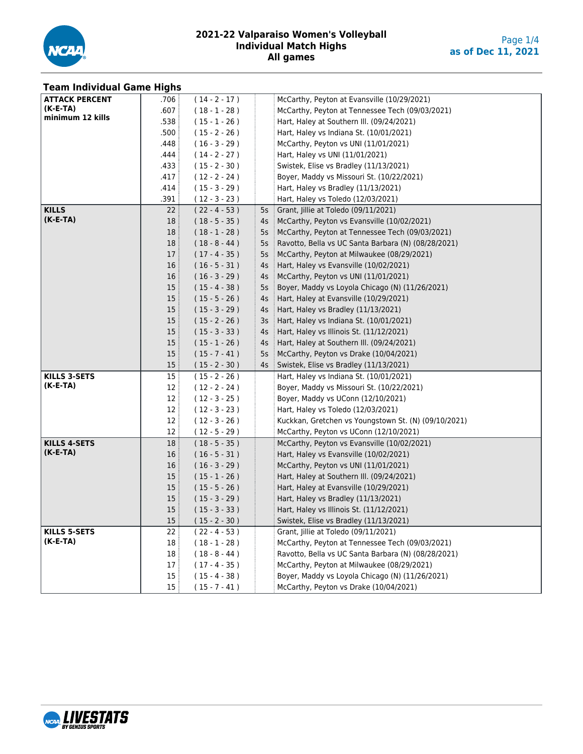

| <b>Team Individual Game Highs</b> |                 |                 |    |                                                      |
|-----------------------------------|-----------------|-----------------|----|------------------------------------------------------|
| <b>ATTACK PERCENT</b>             | .706            | $(14 - 2 - 17)$ |    | McCarthy, Peyton at Evansville (10/29/2021)          |
| $(K-E-TA)$                        | .607            | $(18 - 1 - 28)$ |    | McCarthy, Peyton at Tennessee Tech (09/03/2021)      |
| minimum 12 kills                  | .538            | $(15 - 1 - 26)$ |    | Hart, Haley at Southern III. (09/24/2021)            |
|                                   | .500            | $(15 - 2 - 26)$ |    | Hart, Haley vs Indiana St. (10/01/2021)              |
|                                   | .448            | $(16 - 3 - 29)$ |    | McCarthy, Peyton vs UNI (11/01/2021)                 |
|                                   | .444            | $(14 - 2 - 27)$ |    | Hart, Haley vs UNI (11/01/2021)                      |
|                                   | .433            | $(15 - 2 - 30)$ |    | Swistek, Elise vs Bradley (11/13/2021)               |
|                                   | .417            | $(12 - 2 - 24)$ |    | Boyer, Maddy vs Missouri St. (10/22/2021)            |
|                                   | .414            | $(15 - 3 - 29)$ |    | Hart, Haley vs Bradley (11/13/2021)                  |
|                                   | .391            | $(12 - 3 - 23)$ |    | Hart, Haley vs Toledo (12/03/2021)                   |
| <b>KILLS</b>                      | 22:             | $(22 - 4 - 53)$ | 5s | Grant, Jillie at Toledo (09/11/2021)                 |
| $(K-E-TA)$                        | 18              | $(18 - 5 - 35)$ | 4s | McCarthy, Peyton vs Evansville (10/02/2021)          |
|                                   | 18              | $(18 - 1 - 28)$ | 5s | McCarthy, Peyton at Tennessee Tech (09/03/2021)      |
|                                   | 18              | $(18 - 8 - 44)$ | 5s | Ravotto, Bella vs UC Santa Barbara (N) (08/28/2021)  |
|                                   | 17 <sup>3</sup> | $(17 - 4 - 35)$ | 5s | McCarthy, Peyton at Milwaukee (08/29/2021)           |
|                                   | 16              | $(16 - 5 - 31)$ | 4s | Hart, Haley vs Evansville (10/02/2021)               |
|                                   | 16              | $(16 - 3 - 29)$ | 4s | McCarthy, Peyton vs UNI (11/01/2021)                 |
|                                   | 15:             | $(15 - 4 - 38)$ | 5s | Boyer, Maddy vs Loyola Chicago (N) (11/26/2021)      |
|                                   | 15:             | $(15 - 5 - 26)$ | 4s | Hart, Haley at Evansville (10/29/2021)               |
|                                   | 15:             | $(15 - 3 - 29)$ | 4s | Hart, Haley vs Bradley (11/13/2021)                  |
|                                   | 15 <sup>1</sup> | $(15 - 2 - 26)$ | 3s | Hart, Haley vs Indiana St. (10/01/2021)              |
|                                   | 15 <sup>3</sup> | $(15 - 3 - 33)$ | 4s | Hart, Haley vs Illinois St. (11/12/2021)             |
|                                   | 15 <sup>3</sup> | $(15 - 1 - 26)$ | 4s | Hart, Haley at Southern III. (09/24/2021)            |
|                                   | 15 <sub>1</sub> | $(15 - 7 - 41)$ | 5s | McCarthy, Peyton vs Drake (10/04/2021)               |
|                                   | 15 <sup>3</sup> | $(15 - 2 - 30)$ | 4s | Swistek, Elise vs Bradley (11/13/2021)               |
| <b>KILLS 3-SETS</b>               | 15 <sup>1</sup> | $(15 - 2 - 26)$ |    | Hart, Haley vs Indiana St. (10/01/2021)              |
| (K-E-TA)                          | 12              | $(12 - 2 - 24)$ |    | Boyer, Maddy vs Missouri St. (10/22/2021)            |
|                                   | 12              | $(12 - 3 - 25)$ |    | Boyer, Maddy vs UConn (12/10/2021)                   |
|                                   | 12              | $(12 - 3 - 23)$ |    | Hart, Haley vs Toledo (12/03/2021)                   |
|                                   | 12              | $(12 - 3 - 26)$ |    | Kuckkan, Gretchen vs Youngstown St. (N) (09/10/2021) |
|                                   | 12              | $(12 - 5 - 29)$ |    | McCarthy, Peyton vs UConn (12/10/2021)               |
| <b>KILLS 4-SETS</b>               | 18 <sup>3</sup> | $(18 - 5 - 35)$ |    | McCarthy, Peyton vs Evansville (10/02/2021)          |
| $(K-E-TA)$                        | 16              | $(16 - 5 - 31)$ |    | Hart, Haley vs Evansville (10/02/2021)               |
|                                   | 16              | $(16 - 3 - 29)$ |    | McCarthy, Peyton vs UNI (11/01/2021)                 |
|                                   | 15 <sup>3</sup> | $(15 - 1 - 26)$ |    | Hart, Haley at Southern III. (09/24/2021)            |
|                                   | 15:             | $(15 - 5 - 26)$ |    | Hart, Haley at Evansville (10/29/2021)               |
|                                   | 15 <sub>1</sub> | $(15 - 3 - 29)$ |    | Hart, Haley vs Bradley (11/13/2021)                  |
|                                   | 15              | $(15 - 3 - 33)$ |    | Hart, Haley vs Illinois St. (11/12/2021)             |
|                                   | 15:             | $(15 - 2 - 30)$ |    | Swistek, Elise vs Bradley (11/13/2021)               |
| <b>KILLS 5-SETS</b>               | 22              | $(22 - 4 - 53)$ |    | Grant, Jillie at Toledo (09/11/2021)                 |
| (K-E-TA)                          | 18 <sup>3</sup> | $(18 - 1 - 28)$ |    | McCarthy, Peyton at Tennessee Tech (09/03/2021)      |
|                                   | 18              | $(18 - 8 - 44)$ |    | Ravotto, Bella vs UC Santa Barbara (N) (08/28/2021)  |
|                                   | 17:             | $(17 - 4 - 35)$ |    | McCarthy, Peyton at Milwaukee (08/29/2021)           |
|                                   | 15              | $(15 - 4 - 38)$ |    | Boyer, Maddy vs Loyola Chicago (N) (11/26/2021)      |
|                                   | 15:             | $(15 - 7 - 41)$ |    | McCarthy, Peyton vs Drake (10/04/2021)               |

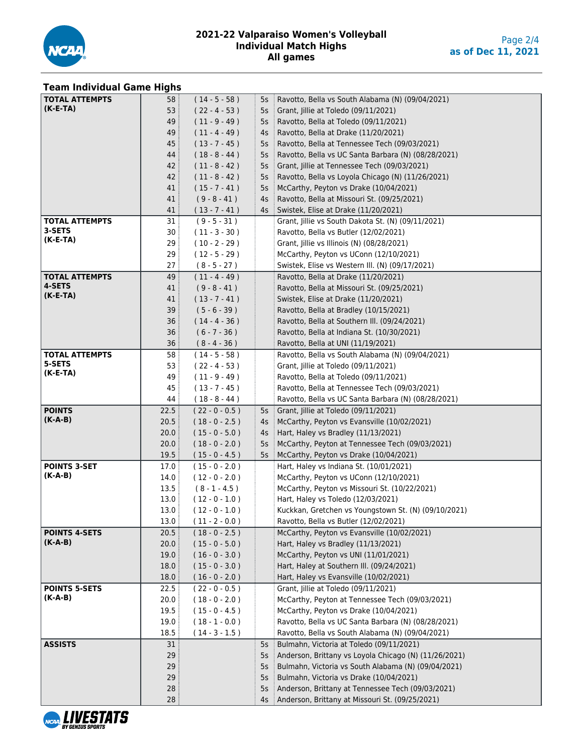

### **Team Individual Game Highs**

| <b>TOTAL ATTEMPTS</b> | 58:               | $(14 - 5 - 58)$  | 5s     | Ravotto, Bella vs South Alabama (N) (09/04/2021)      |
|-----------------------|-------------------|------------------|--------|-------------------------------------------------------|
| $(K-E-TA)$            | 53                | $(22 - 4 - 53)$  | 5s     | Grant, Jillie at Toledo (09/11/2021)                  |
|                       | 49                | $(11 - 9 - 49)$  | 5s     | Ravotto, Bella at Toledo (09/11/2021)                 |
|                       | 49                | $(11 - 4 - 49)$  | 4s     | Ravotto, Bella at Drake (11/20/2021)                  |
|                       | 45                | $(13 - 7 - 45)$  | $5s$ : | Ravotto, Bella at Tennessee Tech (09/03/2021)         |
|                       | 44                | $(18 - 8 - 44)$  | $5s$ : | Ravotto, Bella vs UC Santa Barbara (N) (08/28/2021)   |
|                       | 42                | $(11 - 8 - 42)$  | 5s     | Grant, Jillie at Tennessee Tech (09/03/2021)          |
|                       | 42                | $(11 - 8 - 42)$  | $5s$ : | Ravotto, Bella vs Loyola Chicago (N) (11/26/2021)     |
|                       | 41                | $(15 - 7 - 41)$  | $5s$ : | McCarthy, Peyton vs Drake (10/04/2021)                |
|                       | 41                | $(9 - 8 - 41)$   | $4s$ : | Ravotto, Bella at Missouri St. (09/25/2021)           |
|                       | 41                | $(13 - 7 - 41)$  | $4s$ : | Swistek, Elise at Drake (11/20/2021)                  |
| <b>TOTAL ATTEMPTS</b> | 31                | $(9 - 5 - 31)$   |        | Grant, Jillie vs South Dakota St. (N) (09/11/2021)    |
| 3-SETS                | 30 <sup>3</sup>   | $(11 - 3 - 30)$  |        | Ravotto, Bella vs Butler (12/02/2021)                 |
| $(K-E-TA)$            | 29 <sup>3</sup>   | $(10 - 2 - 29)$  |        | Grant, Jillie vs Illinois (N) (08/28/2021)            |
|                       | 29 <sup>3</sup>   | $(12 - 5 - 29)$  |        | McCarthy, Peyton vs UConn (12/10/2021)                |
|                       | 27 :              | $(8 - 5 - 27)$   |        | Swistek, Elise vs Western III. (N) (09/17/2021)       |
| <b>TOTAL ATTEMPTS</b> | 49:               | $(11 - 4 - 49)$  |        | Ravotto, Bella at Drake (11/20/2021)                  |
| 4-SETS                | 41                | $(9 - 8 - 41)$   |        | Ravotto, Bella at Missouri St. (09/25/2021)           |
| $(K-E-TA)$            | 41                | $(13 - 7 - 41)$  |        | Swistek, Elise at Drake (11/20/2021)                  |
|                       | 39                | $(5 - 6 - 39)$   |        | Ravotto, Bella at Bradley (10/15/2021)                |
|                       | 36                | $(14 - 4 - 36)$  |        | Ravotto, Bella at Southern III. (09/24/2021)          |
|                       | 36                | $(6 - 7 - 36)$   |        | Ravotto, Bella at Indiana St. (10/30/2021)            |
|                       | 36 <sup>3</sup>   | $(8 - 4 - 36)$   |        | Ravotto, Bella at UNI (11/19/2021)                    |
| <b>TOTAL ATTEMPTS</b> | 58 <sub>1</sub>   | $(14 - 5 - 58)$  |        | Ravotto, Bella vs South Alabama (N) (09/04/2021)      |
| 5-SETS                | 53                | $(22 - 4 - 53)$  |        | Grant, Jillie at Toledo (09/11/2021)                  |
| $(K-E-TA)$            | 49                | $(11 - 9 - 49)$  |        | Ravotto, Bella at Toledo (09/11/2021)                 |
|                       | 45                | $(13 - 7 - 45)$  |        | Ravotto, Bella at Tennessee Tech (09/03/2021)         |
|                       | 44                | $(18 - 8 - 44)$  |        | Ravotto, Bella vs UC Santa Barbara (N) (08/28/2021)   |
| <b>POINTS</b>         | 22.5              | $(22 - 0 - 0.5)$ |        | 5s Grant, Jillie at Toledo (09/11/2021)               |
| $(K-A-B)$             | 20.5              | $(18 - 0 - 2.5)$ | $4s$ : | McCarthy, Peyton vs Evansville (10/02/2021)           |
|                       | 20.0              | $(15 - 0 - 5.0)$ | 4s     | Hart, Haley vs Bradley (11/13/2021)                   |
|                       | 20.0              | $(18 - 0 - 2.0)$ | $5s$ : | McCarthy, Peyton at Tennessee Tech (09/03/2021)       |
|                       | 19.5              | $(15 - 0 - 4.5)$ | $5s$ : | McCarthy, Peyton vs Drake (10/04/2021)                |
| <b>POINTS 3-SET</b>   | 17.0              | $(15 - 0 - 2.0)$ |        | Hart, Haley vs Indiana St. (10/01/2021)               |
| (K-A-B)               | 14.0              | $(12 - 0 - 2.0)$ |        | McCarthy, Peyton vs UConn (12/10/2021)                |
|                       | 13.5              | $(8 - 1 - 4.5)$  |        | McCarthy, Peyton vs Missouri St. (10/22/2021)         |
|                       | 13.0 <sub>1</sub> | $(12 - 0 - 1.0)$ |        | Hart, Haley vs Toledo (12/03/2021)                    |
|                       | 13.0              | $(12 - 0 - 1.0)$ |        | Kuckkan, Gretchen vs Youngstown St. (N) (09/10/2021)  |
|                       | 13.0              | $(11 - 2 - 0.0)$ |        | Ravotto, Bella vs Butler (12/02/2021)                 |
| <b>POINTS 4-SETS</b>  | 20.5              | $(18 - 0 - 2.5)$ |        | McCarthy, Peyton vs Evansville (10/02/2021)           |
| $(K-A-B)$             | 20.0              | $(15 - 0 - 5.0)$ |        | Hart, Haley vs Bradley (11/13/2021)                   |
|                       | 19.0              | $(16 - 0 - 3.0)$ |        | McCarthy, Peyton vs UNI (11/01/2021)                  |
|                       | 18.0              | $(15 - 0 - 3.0)$ |        | Hart, Haley at Southern III. (09/24/2021)             |
|                       | 18.0              | $(16 - 0 - 2.0)$ |        | Hart, Haley vs Evansville (10/02/2021)                |
| <b>POINTS 5-SETS</b>  | 22.5              | $(22 - 0 - 0.5)$ |        | Grant, Jillie at Toledo (09/11/2021)                  |
| $(K-A-B)$             | 20.0              | $(18 - 0 - 2.0)$ |        | McCarthy, Peyton at Tennessee Tech (09/03/2021)       |
|                       | 19.5              | $(15 - 0 - 4.5)$ |        | McCarthy, Peyton vs Drake (10/04/2021)                |
|                       | 19.0              | $(18 - 1 - 0.0)$ |        | Ravotto, Bella vs UC Santa Barbara (N) (08/28/2021)   |
|                       | 18.5              | $(14 - 3 - 1.5)$ |        | Ravotto, Bella vs South Alabama (N) (09/04/2021)      |
| <b>ASSISTS</b>        | 31                |                  | 5s     | Bulmahn, Victoria at Toledo (09/11/2021)              |
|                       | 29                |                  | 5s     | Anderson, Brittany vs Loyola Chicago (N) (11/26/2021) |
|                       | 29                |                  | 5s     | Bulmahn, Victoria vs South Alabama (N) (09/04/2021)   |
|                       | 29                |                  | 5s     | Bulmahn, Victoria vs Drake (10/04/2021)               |
|                       | 28                |                  | 5s     | Anderson, Brittany at Tennessee Tech (09/03/2021)     |
|                       | 28 <sup>3</sup>   |                  | 4s :   | Anderson, Brittany at Missouri St. (09/25/2021)       |

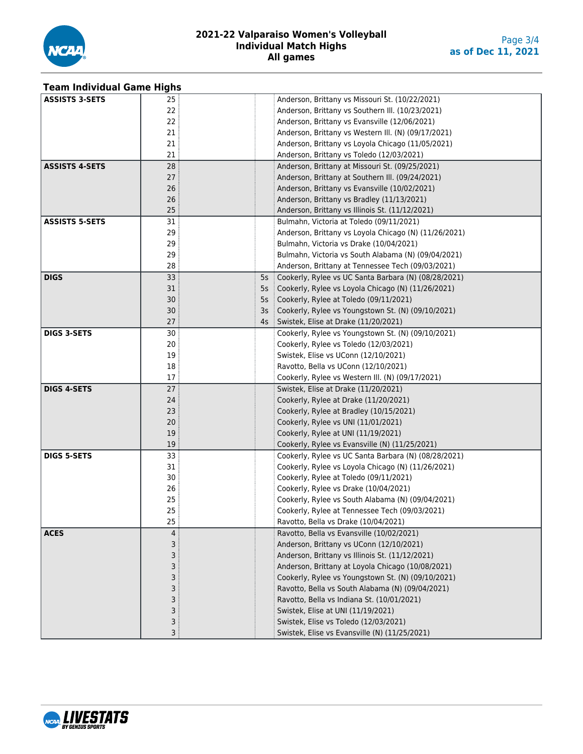

| <b>Team Individual Game Highs</b> |                 |        |                                                       |
|-----------------------------------|-----------------|--------|-------------------------------------------------------|
| <b>ASSISTS 3-SETS</b>             | 25 <sup>1</sup> |        | Anderson, Brittany vs Missouri St. (10/22/2021)       |
|                                   | 22              |        | Anderson, Brittany vs Southern III. (10/23/2021)      |
|                                   | 22              |        | Anderson, Brittany vs Evansville (12/06/2021)         |
|                                   | 21              |        | Anderson, Brittany vs Western III. (N) (09/17/2021)   |
|                                   | 21              |        | Anderson, Brittany vs Loyola Chicago (11/05/2021)     |
|                                   | 21              |        | Anderson, Brittany vs Toledo (12/03/2021)             |
| <b>ASSISTS 4-SETS</b>             | 28              |        | Anderson, Brittany at Missouri St. (09/25/2021)       |
|                                   | 27              |        | Anderson, Brittany at Southern III. (09/24/2021)      |
|                                   | 26              |        | Anderson, Brittany vs Evansville (10/02/2021)         |
|                                   | 26              |        | Anderson, Brittany vs Bradley (11/13/2021)            |
|                                   | 25              |        | Anderson, Brittany vs Illinois St. (11/12/2021)       |
| <b>ASSISTS 5-SETS</b>             | 31              |        | Bulmahn, Victoria at Toledo (09/11/2021)              |
|                                   | 29              |        | Anderson, Brittany vs Loyola Chicago (N) (11/26/2021) |
|                                   | 29              |        | Bulmahn, Victoria vs Drake (10/04/2021)               |
|                                   | 29              |        | Bulmahn, Victoria vs South Alabama (N) (09/04/2021)   |
|                                   | 28              |        | Anderson, Brittany at Tennessee Tech (09/03/2021)     |
| <b>DIGS</b>                       | 33              | 5s     | Cookerly, Rylee vs UC Santa Barbara (N) (08/28/2021)  |
|                                   | 31              | $5s$ : | Cookerly, Rylee vs Loyola Chicago (N) (11/26/2021)    |
|                                   | 30              | $5s$ : | Cookerly, Rylee at Toledo (09/11/2021)                |
|                                   | 30              | 3s     | Cookerly, Rylee vs Youngstown St. (N) (09/10/2021)    |
|                                   | 27              | $4s$ : | Swistek, Elise at Drake (11/20/2021)                  |
| <b>DIGS 3-SETS</b>                | 30              |        | Cookerly, Rylee vs Youngstown St. (N) (09/10/2021)    |
|                                   | 20              |        | Cookerly, Rylee vs Toledo (12/03/2021)                |
|                                   | 19              |        | Swistek, Elise vs UConn (12/10/2021)                  |
|                                   | 18              |        | Ravotto, Bella vs UConn (12/10/2021)                  |
|                                   | 17              |        | Cookerly, Rylee vs Western III. (N) (09/17/2021)      |
| <b>DIGS 4-SETS</b>                | 27              |        | Swistek, Elise at Drake (11/20/2021)                  |
|                                   | 24              |        | Cookerly, Rylee at Drake (11/20/2021)                 |
|                                   | 23              |        | Cookerly, Rylee at Bradley (10/15/2021)               |
|                                   | 20              |        | Cookerly, Rylee vs UNI (11/01/2021)                   |
|                                   | 19              |        | Cookerly, Rylee at UNI (11/19/2021)                   |
|                                   | 19              |        | Cookerly, Rylee vs Evansville (N) (11/25/2021)        |
| <b>DIGS 5-SETS</b>                | 33              |        | Cookerly, Rylee vs UC Santa Barbara (N) (08/28/2021)  |
|                                   | 31              |        | Cookerly, Rylee vs Loyola Chicago (N) (11/26/2021)    |
|                                   | 30              |        | Cookerly, Rylee at Toledo (09/11/2021)                |
|                                   | 26              |        | Cookerly, Rylee vs Drake (10/04/2021)                 |
|                                   | 25              |        | Cookerly, Rylee vs South Alabama (N) (09/04/2021)     |
|                                   | 25              |        | Cookerly, Rylee at Tennessee Tech (09/03/2021)        |
|                                   | 25              |        | Ravotto, Bella vs Drake (10/04/2021)                  |
| <b>ACES</b>                       | $\overline{4}$  |        | Ravotto, Bella vs Evansville (10/02/2021)             |
|                                   | 3               |        | Anderson, Brittany vs UConn (12/10/2021)              |
|                                   | 3               |        | Anderson, Brittany vs Illinois St. (11/12/2021)       |
|                                   | 3               |        | Anderson, Brittany at Loyola Chicago (10/08/2021)     |
|                                   | 3               |        | Cookerly, Rylee vs Youngstown St. (N) (09/10/2021)    |
|                                   | 3               |        | Ravotto, Bella vs South Alabama (N) (09/04/2021)      |
|                                   | 3               |        | Ravotto, Bella vs Indiana St. (10/01/2021)            |
|                                   | 3               |        | Swistek, Elise at UNI (11/19/2021)                    |
|                                   | 3               |        | Swistek, Elise vs Toledo (12/03/2021)                 |
|                                   | 3               |        | Swistek, Elise vs Evansville (N) (11/25/2021)         |

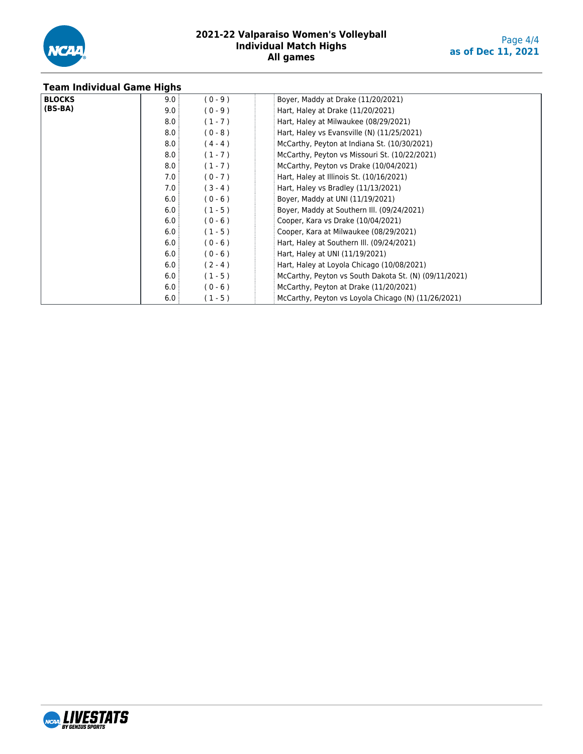

| <b>Team Individual Game Highs</b> |      |           |                                                       |
|-----------------------------------|------|-----------|-------------------------------------------------------|
| <b>BLOCKS</b>                     | 9.0  | $(0 - 9)$ | Boyer, Maddy at Drake (11/20/2021)                    |
| $(BS-BA)$                         | 9.0  | $(0 - 9)$ | Hart, Haley at Drake (11/20/2021)                     |
|                                   | 8.0  | $(1 - 7)$ | Hart, Haley at Milwaukee (08/29/2021)                 |
|                                   | 8.0: | $(0 - 8)$ | Hart, Haley vs Evansville (N) (11/25/2021)            |
|                                   | 8.0: | $(4 - 4)$ | McCarthy, Peyton at Indiana St. (10/30/2021)          |
|                                   | 8.0: | $(1 - 7)$ | McCarthy, Peyton vs Missouri St. (10/22/2021)         |
|                                   | 8.0  | $(1 - 7)$ | McCarthy, Peyton vs Drake (10/04/2021)                |
|                                   | 7.0: | $(0 - 7)$ | Hart, Haley at Illinois St. (10/16/2021)              |
|                                   | 7.0: | $(3 - 4)$ | Hart, Haley vs Bradley (11/13/2021)                   |
|                                   | 6.0  | $(0 - 6)$ | Boyer, Maddy at UNI (11/19/2021)                      |
|                                   | 6.0: | $(1 - 5)$ | Boyer, Maddy at Southern III. (09/24/2021)            |
|                                   | 6.0: | $(0 - 6)$ | Cooper, Kara vs Drake (10/04/2021)                    |
|                                   | 6.0  | $(1 - 5)$ | Cooper, Kara at Milwaukee (08/29/2021)                |
|                                   | 6.0: | $(0 - 6)$ | Hart, Haley at Southern III. (09/24/2021)             |
|                                   | 6.0: | $(0 - 6)$ | Hart, Haley at UNI (11/19/2021)                       |
|                                   | 6.0: | $(2 - 4)$ | Hart, Haley at Loyola Chicago (10/08/2021)            |
|                                   | 6.0: | $(1 - 5)$ | McCarthy, Peyton vs South Dakota St. (N) (09/11/2021) |
|                                   | 6.0: | $(0 - 6)$ | McCarthy, Peyton at Drake (11/20/2021)                |
|                                   | 6.0  | $(1 - 5)$ | McCarthy, Peyton vs Loyola Chicago (N) (11/26/2021)   |

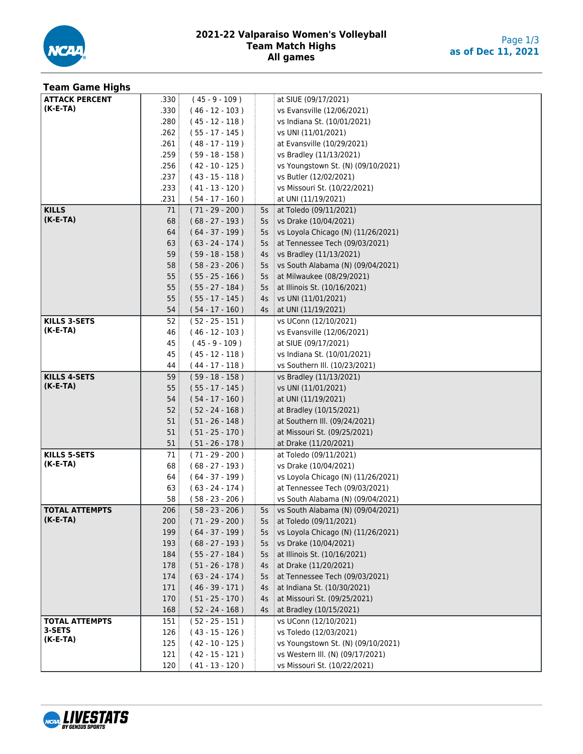

| <b>Team Game Highs</b> |                 |                   |    |                                        |
|------------------------|-----------------|-------------------|----|----------------------------------------|
| <b>ATTACK PERCENT</b>  | .330 i          | $(45 - 9 - 109)$  |    | at SIUE (09/17/2021)                   |
| (K-E-TA)               | .330            | $(46 - 12 - 103)$ |    | vs Evansville (12/06/2021)             |
|                        | .280            | $(45 - 12 - 118)$ |    | vs Indiana St. (10/01/2021)            |
|                        | .262            | $(55 - 17 - 145)$ |    | vs UNI (11/01/2021)                    |
|                        | .261            | $(48 - 17 - 119)$ |    | at Evansville (10/29/2021)             |
|                        | .259            | $(59 - 18 - 158)$ |    | vs Bradley (11/13/2021)                |
|                        | .256            | $(42 - 10 - 125)$ |    | vs Youngstown St. (N) (09/10/2021)     |
|                        | .237            | $(43 - 15 - 118)$ |    | vs Butler (12/02/2021)                 |
|                        | .233            | $(41 - 13 - 120)$ |    | vs Missouri St. (10/22/2021)           |
|                        | .231            | $(54 - 17 - 160)$ |    | at UNI (11/19/2021)                    |
| <b>KILLS</b>           | 71 :            | $(71 - 29 - 200)$ | 5s | at Toledo (09/11/2021)                 |
| $(K-E-TA)$             | 68:             | $(68 - 27 - 193)$ | 5s | $\frac{1}{2}$ vs Drake (10/04/2021)    |
|                        | 64:             | $(64 - 37 - 199)$ | 5s | vs Loyola Chicago (N) (11/26/2021)     |
|                        | 63:             | $(63 - 24 - 174)$ | 5s | at Tennessee Tech (09/03/2021)         |
|                        | 59:             | $(59 - 18 - 158)$ | 4s | vs Bradley (11/13/2021)                |
|                        | 58:             | $(58 - 23 - 206)$ | 5s | vs South Alabama (N) (09/04/2021)      |
|                        | 55:             | $(55 - 25 - 166)$ | 5s | at Milwaukee (08/29/2021)              |
|                        | 55:             | $(55 - 27 - 184)$ | 5s | at Illinois St. (10/16/2021)           |
|                        | 55:             | $(55 - 17 - 145)$ | 4s | $\frac{1}{2}$ vs UNI (11/01/2021)      |
|                        | 54:             | $(54 - 17 - 160)$ | 4s | at UNI (11/19/2021)                    |
| <b>KILLS 3-SETS</b>    | 52:             | $(52 - 25 - 151)$ |    | vs UConn (12/10/2021)                  |
| (K-E-TA)               | 46 :            | $(46 - 12 - 103)$ |    | vs Evansville (12/06/2021)             |
|                        | 45              | $(45 - 9 - 109)$  |    | at SIUE (09/17/2021)                   |
|                        | 45 :            | $(45 - 12 - 118)$ |    | vs Indiana St. (10/01/2021)            |
|                        | 44 :            | $(44 - 17 - 118)$ |    | vs Southern III. (10/23/2021)          |
| <b>KILLS 4-SETS</b>    | 59:             | $(59 - 18 - 158)$ |    | vs Bradley (11/13/2021)                |
| $(K-E-TA)$             | 55:             | $(55 - 17 - 145)$ |    | vs UNI (11/01/2021)                    |
|                        | 54:             | $(54 - 17 - 160)$ |    | at UNI (11/19/2021)                    |
|                        | 52:             | $(52 - 24 - 168)$ |    | at Bradley (10/15/2021)                |
|                        | 51:             | $(51 - 26 - 148)$ |    | at Southern III. (09/24/2021)          |
|                        | 51:             | $(51 - 25 - 170)$ |    | at Missouri St. (09/25/2021)           |
|                        | 51              | $(51 - 26 - 178)$ |    | at Drake (11/20/2021)                  |
| <b>KILLS 5-SETS</b>    | 71 :            | $(71 - 29 - 200)$ |    | at Toledo (09/11/2021)                 |
| (K-E-TA)               | 68:             | $(68 - 27 - 193)$ |    | vs Drake (10/04/2021)                  |
|                        | 64 ÷            | $(64 - 37 - 199)$ |    | vs Loyola Chicago (N) (11/26/2021)     |
|                        | 63 i            | $(63 - 24 - 174)$ |    | at Tennessee Tech (09/03/2021)         |
|                        | 58 <sup>3</sup> | $(58 - 23 - 206)$ |    | vs South Alabama (N) (09/04/2021)      |
| <b>TOTAL ATTEMPTS</b>  | 206             | $(58 - 23 - 206)$ |    | 5s   vs South Alabama (N) (09/04/2021) |
| $(K-E-TA)$             | 200             | $(71 - 29 - 200)$ | 5s | at Toledo (09/11/2021)                 |
|                        | 199             | $(64 - 37 - 199)$ | 5s | vs Loyola Chicago (N) (11/26/2021)     |
|                        | 193             | $(68 - 27 - 193)$ | 5s | vs Drake (10/04/2021)                  |
|                        | 184             | $(55 - 27 - 184)$ | 5s | at Illinois St. (10/16/2021)           |
|                        | 178             | $(51 - 26 - 178)$ | 4s | at Drake (11/20/2021)                  |
|                        | 174             | $(63 - 24 - 174)$ | 5s | at Tennessee Tech (09/03/2021)         |
|                        | 171             | $(46 - 39 - 171)$ | 4s | at Indiana St. (10/30/2021)            |
|                        | 170             | $(51 - 25 - 170)$ | 4s | at Missouri St. (09/25/2021)           |
|                        | 168             | $(52 - 24 - 168)$ | 4s | at Bradley (10/15/2021)                |
| <b>TOTAL ATTEMPTS</b>  | 151             | $(52 - 25 - 151)$ |    | vs UConn (12/10/2021)                  |
| 3-SETS                 | 126             | $(43 - 15 - 126)$ |    | vs Toledo (12/03/2021)                 |
| $(K-E-TA)$             | 125             | $(42 - 10 - 125)$ |    | vs Youngstown St. (N) (09/10/2021)     |
|                        | 121             | $(42 - 15 - 121)$ |    | vs Western III. (N) (09/17/2021)       |
|                        | 120             | $(41 - 13 - 120)$ |    | vs Missouri St. (10/22/2021)           |

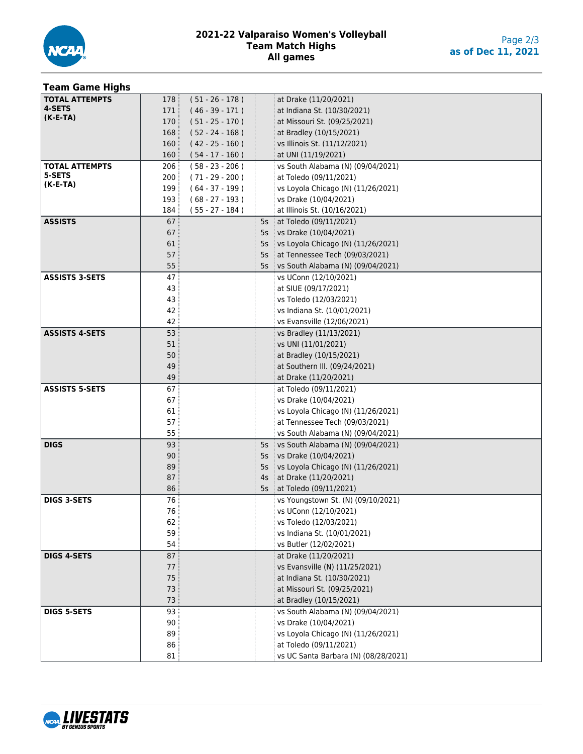

| <b>Team Game Highs</b> |     |                   |    |                                      |
|------------------------|-----|-------------------|----|--------------------------------------|
| <b>TOTAL ATTEMPTS</b>  | 178 | $(51 - 26 - 178)$ |    | at Drake (11/20/2021)                |
| 4-SETS                 | 171 | $(46 - 39 - 171)$ |    | at Indiana St. (10/30/2021)          |
| $(K-E-TA)$             | 170 | $(51 - 25 - 170)$ |    | at Missouri St. (09/25/2021)         |
|                        | 168 | $(52 - 24 - 168)$ |    | at Bradley (10/15/2021)              |
|                        | 160 | $(42 - 25 - 160)$ |    | vs Illinois St. (11/12/2021)         |
|                        | 160 | $(54 - 17 - 160)$ |    | at UNI (11/19/2021)                  |
| <b>TOTAL ATTEMPTS</b>  | 206 | $(58 - 23 - 206)$ |    | vs South Alabama (N) (09/04/2021)    |
| 5-SETS                 | 200 | $(71 - 29 - 200)$ |    | at Toledo (09/11/2021)               |
| $(K-E-TA)$             | 199 | $(64 - 37 - 199)$ |    | vs Loyola Chicago (N) (11/26/2021)   |
|                        | 193 | $(68 - 27 - 193)$ |    | vs Drake (10/04/2021)                |
|                        | 184 | $(55 - 27 - 184)$ |    | at Illinois St. (10/16/2021)         |
| <b>ASSISTS</b>         | 67  |                   |    | at Toledo (09/11/2021)               |
|                        | 67  |                   | 5s |                                      |
|                        |     |                   | 5s | vs Drake (10/04/2021)                |
|                        | 61  |                   | 5s | vs Loyola Chicago (N) (11/26/2021)   |
|                        | 57  |                   | 5s | at Tennessee Tech (09/03/2021)       |
|                        | 55  |                   | 5s | vs South Alabama (N) (09/04/2021)    |
| <b>ASSISTS 3-SETS</b>  | 47  |                   |    | vs UConn (12/10/2021)                |
|                        | 43  |                   |    | at SIUE (09/17/2021)                 |
|                        | 43  |                   |    | vs Toledo (12/03/2021)               |
|                        | 42  |                   |    | vs Indiana St. (10/01/2021)          |
|                        | 42  |                   |    | vs Evansville (12/06/2021)           |
| <b>ASSISTS 4-SETS</b>  | 53  |                   |    | vs Bradley (11/13/2021)              |
|                        | 51  |                   |    | vs UNI (11/01/2021)                  |
|                        | 50  |                   |    | at Bradley (10/15/2021)              |
|                        | 49  |                   |    | at Southern III. (09/24/2021)        |
|                        | 49  |                   |    | at Drake (11/20/2021)                |
| <b>ASSISTS 5-SETS</b>  | 67  |                   |    | at Toledo (09/11/2021)               |
|                        | 67  |                   |    | vs Drake (10/04/2021)                |
|                        | 61  |                   |    | vs Loyola Chicago (N) (11/26/2021)   |
|                        | 57  |                   |    | at Tennessee Tech (09/03/2021)       |
|                        | 55  |                   |    | vs South Alabama (N) (09/04/2021)    |
| <b>DIGS</b>            | 93  |                   | 5s | vs South Alabama (N) (09/04/2021)    |
|                        | 90  |                   | 5s | vs Drake (10/04/2021)                |
|                        | 89  |                   | 5s | vs Loyola Chicago (N) (11/26/2021)   |
|                        | 87  |                   | 4s | at Drake (11/20/2021)                |
|                        | 86  |                   | 5s | at Toledo (09/11/2021)               |
| <b>DIGS 3-SETS</b>     | 76  |                   |    | vs Youngstown St. (N) (09/10/2021)   |
|                        | 76  |                   |    | vs UConn (12/10/2021)                |
|                        | 62  |                   |    | vs Toledo (12/03/2021)               |
|                        | 59  |                   |    | vs Indiana St. (10/01/2021)          |
|                        | 54  |                   |    | vs Butler (12/02/2021)               |
| <b>DIGS 4-SETS</b>     | 87  |                   |    | at Drake (11/20/2021)                |
|                        | 77  |                   |    | vs Evansville (N) (11/25/2021)       |
|                        | 75  |                   |    | at Indiana St. (10/30/2021)          |
|                        | 73  |                   |    | at Missouri St. (09/25/2021)         |
|                        | 73  |                   |    | at Bradley (10/15/2021)              |
| <b>DIGS 5-SETS</b>     | 93  |                   |    | vs South Alabama (N) (09/04/2021)    |
|                        | 90  |                   |    | vs Drake (10/04/2021)                |
|                        | 89  |                   |    | vs Loyola Chicago (N) (11/26/2021)   |
|                        | 86  |                   |    | at Toledo (09/11/2021)               |
|                        | 81  |                   |    | vs UC Santa Barbara (N) (08/28/2021) |

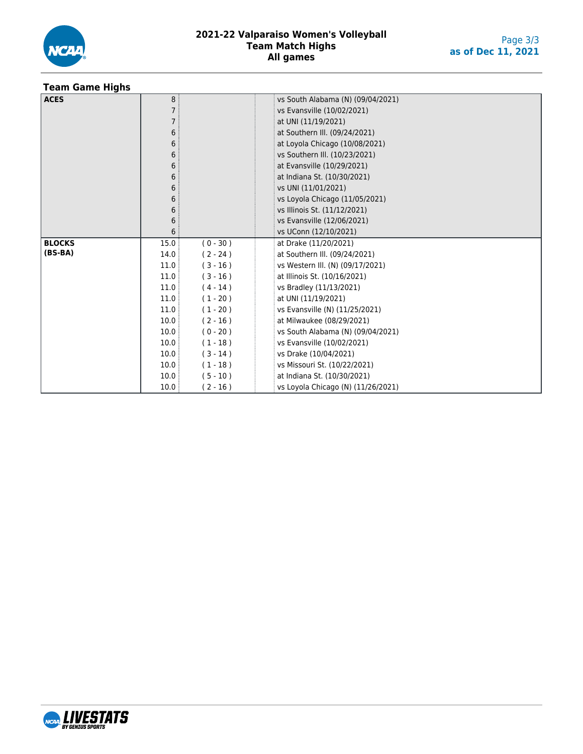

### **Team Game Highs**

| <b>ACES</b>   | 8    |            | vs South Alabama (N) (09/04/2021)  |
|---------------|------|------------|------------------------------------|
|               |      |            | vs Evansville (10/02/2021)         |
|               |      |            | at UNI (11/19/2021)                |
|               | 6    |            | at Southern III. (09/24/2021)      |
|               | 6    |            | at Loyola Chicago (10/08/2021)     |
|               | 6    |            | vs Southern III. (10/23/2021)      |
|               | 6    |            | at Evansville (10/29/2021)         |
|               | 6    |            | at Indiana St. (10/30/2021)        |
|               | 6    |            | vs UNI (11/01/2021)                |
|               | 6    |            | vs Loyola Chicago (11/05/2021)     |
|               | 6    |            | vs Illinois St. (11/12/2021)       |
|               | 6    |            | vs Evansville (12/06/2021)         |
|               | 6    |            | vs UConn (12/10/2021)              |
| <b>BLOCKS</b> | 15.0 | $(0 - 30)$ | at Drake (11/20/2021)              |
| $(BS-BA)$     | 14.0 | $(2 - 24)$ | at Southern III. (09/24/2021)      |
|               | 11.0 | $(3 - 16)$ | vs Western III. (N) (09/17/2021)   |
|               | 11.0 | $(3 - 16)$ | at Illinois St. (10/16/2021)       |
|               | 11.0 | $(4 - 14)$ | vs Bradley (11/13/2021)            |
|               | 11.0 | $(1 - 20)$ | at UNI (11/19/2021)                |
|               | 11.0 | $(1 - 20)$ | vs Evansville (N) (11/25/2021)     |
|               | 10.0 | $(2 - 16)$ | at Milwaukee (08/29/2021)          |
|               | 10.0 | $(0 - 20)$ | vs South Alabama (N) (09/04/2021)  |
|               | 10.0 | $(1 - 18)$ | vs Evansville (10/02/2021)         |
|               | 10.0 | $(3 - 14)$ | vs Drake (10/04/2021)              |
|               | 10.0 | $(1 - 18)$ | vs Missouri St. (10/22/2021)       |
|               | 10.0 | $(5 - 10)$ | at Indiana St. (10/30/2021)        |
|               | 10.0 | $(2 - 16)$ | vs Loyola Chicago (N) (11/26/2021) |

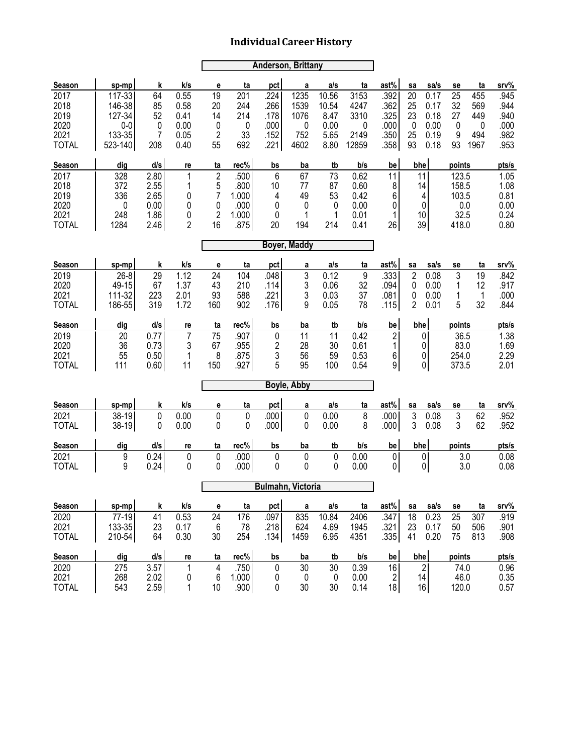|                                                      |                                       |                                              |                              |                                                       |                                                |                              | <b>Anderson, Brittany</b>       |                                |                                              |                                                        |                               |                                |                                                 |                                  |                                              |
|------------------------------------------------------|---------------------------------------|----------------------------------------------|------------------------------|-------------------------------------------------------|------------------------------------------------|------------------------------|---------------------------------|--------------------------------|----------------------------------------------|--------------------------------------------------------|-------------------------------|--------------------------------|-------------------------------------------------|----------------------------------|----------------------------------------------|
| Season                                               | sp-mp                                 | k                                            | k/s                          | e                                                     | ta                                             | pct                          | a                               | a/s                            | ta                                           | ast%                                                   | sa                            | sa/s                           | se                                              | ta                               | srv%                                         |
| 2017<br>2018<br>2019<br>2020                         | 117-33<br>146-38<br>127-34<br>$0-0$   | 64<br>85<br>52<br>0                          | 0.55<br>0.58<br>0.41<br>0.00 | 19<br>20<br>14<br>0                                   | 201<br>244<br>214<br>0                         | .224<br>.266<br>.178<br>.000 | 1235<br>1539<br>1076<br>0       | 10.56<br>10.54<br>8.47<br>0.00 | 3153<br>4247<br>3310<br>0                    | .392<br>.362<br>.325<br>.000                           | 20<br>25<br>23<br>$\mathbf 0$ | 0.17<br>0.17<br>0.18<br>0.00   | 25<br>32<br>27<br>0                             | 455<br>569<br>449<br>$\mathbf 0$ | .945<br>.944<br>.940<br>.000                 |
| 2021<br><b>TOTAL</b>                                 | 133-35<br>523-140                     | 7<br>208                                     | 0.05<br>0.40                 | 2<br>55                                               | 33<br>692                                      | .152<br>.221                 | 752<br>4602                     | 5.65<br>8.80                   | 2149<br>12859                                | .350<br>.358                                           | 25<br>93                      | 0.19<br>0.18                   | 9<br>93                                         | 494<br>1967                      | .982<br>.953                                 |
| Season                                               | dig                                   | d/s                                          | re                           | ta                                                    | rec%                                           | bs                           | ba                              | tb<br>73                       | b/s                                          | be                                                     | bhe                           |                                | points                                          |                                  | pts/s                                        |
| 2017<br>2018<br>2019<br>2020<br>2021<br><b>TOTAL</b> | 328<br>372<br>336<br>0<br>248<br>1284 | 2.80<br>2.55<br>2.65<br>0.00<br>1.86<br>2.46 | 1<br>1<br>0<br>0<br>0<br>2   | $\overline{2}$<br>5<br>7<br>0<br>$\overline{2}$<br>16 | .500<br>.800<br>1.000<br>.000<br>1.000<br>.875 | 6<br>10<br>4<br>0<br>0<br>20 | 67<br>77<br>49<br>0<br>1<br>194 | 87<br>53<br>0<br>1<br>214      | 0.62<br>0.60<br>0.42<br>0.00<br>0.01<br>0.41 | 11<br>8<br>6<br>0<br>1<br>26                           |                               | 11<br>14<br>4<br>0<br>10<br>39 | 123.5<br>158.5<br>103.5<br>0.0<br>32.5<br>418.0 |                                  | 1.05<br>1.08<br>0.81<br>0.00<br>0.24<br>0.80 |
|                                                      |                                       |                                              |                              |                                                       |                                                |                              | <b>Boyer, Maddy</b>             |                                |                                              |                                                        |                               |                                |                                                 |                                  |                                              |
| Season                                               | sp-mp                                 | k                                            | k/s                          | е                                                     | ta                                             | pct                          | a                               | a/s                            | ta                                           | ast%                                                   | sa                            | sa/s                           | se                                              | ta                               | srv%                                         |
| 2019<br>2020<br>2021<br><b>TOTAL</b>                 | $26 - 8$<br>49-15<br>111-32<br>186-55 | 29<br>67<br>223<br>319                       | 1.12<br>1.37<br>2.01<br>1.72 | 24<br>43<br>93<br>160                                 | 104<br>210<br>588<br>902                       | .048<br>.114<br>.221<br>.176 | 3<br>3<br>3<br>9                | 0.12<br>0.06<br>0.03<br>0.05   | 9<br>32<br>37<br>78                          | .333<br>.094<br>.081<br>.115                           | $\overline{2}$<br>0<br>0<br>2 | 0.08<br>0.00<br>0.00<br>0.01   | 3<br>1<br>1<br>5                                | 19<br>12<br>$\mathbf{1}$<br>32   | .842<br>.917<br>.000<br>.844                 |
| Season                                               | dig                                   | d/s                                          | re                           | ta                                                    | rec%                                           | bs                           | ba                              | tb                             | b/s                                          | be                                                     | bhe                           |                                | points                                          |                                  | pts/s                                        |
| 2019<br>2020<br>2021<br><b>TOTAL</b>                 | 20<br>36<br>55<br>111                 | 0.77<br>0.73<br>0.50<br>0.60                 | 7<br>3<br>1<br>11            | 75<br>67<br>8<br>150                                  | .907<br>.955<br>.875<br>.927                   | 0<br>2<br>3<br>5             | 11<br>28<br>56<br>95            | 11<br>30<br>59<br>100          | 0.42<br>0.61<br>0.53<br>0.54                 | $\overline{c}$<br>$\mathbf{1}$<br>6 <sup>1</sup><br> 9 |                               | 0<br>0<br>0<br>$\pmb{0}$       | 36.5<br>83.0<br>254.0<br>373.5                  |                                  | 1.38<br>1.69<br>2.29<br>2.01                 |
|                                                      |                                       |                                              |                              |                                                       |                                                |                              | Boyle, Abby                     |                                |                                              |                                                        |                               |                                |                                                 |                                  |                                              |
| Season                                               | sp-mp                                 | k                                            | k/s                          | е                                                     | ta                                             | pct                          | a                               | a/s                            | ta                                           | ast%                                                   | sa                            | sa/s                           | se                                              | ta                               | srv%                                         |
| 2021<br><b>TOTAL</b>                                 | 38-19<br>$38-19$                      | $\mathbf{0}$<br>0                            | 0.00<br>0.00                 | 0<br>0                                                | $\mathbf 0$<br>0                               | .000<br>.000                 | 0<br>0                          | 0.00<br>0.00                   | 8<br>8                                       | .000<br>.000                                           | 3<br>3                        | 0.08<br>0.08                   | 3<br>3                                          | 62<br>62                         | .952<br>.952                                 |
| Season                                               | dig                                   | d/s                                          | re                           | ta                                                    | rec%                                           | bs                           | ba                              | tb                             | b/s                                          | be                                                     | bhe                           |                                | points                                          |                                  | pts/s                                        |
| 2021<br><b>TOTAL</b>                                 | 9<br>9                                | 0.24<br>0.24                                 | 0<br>0                       | 0<br>0                                                | .000<br>.000                                   | 0<br>0                       | $\mathbf 0$<br>0                | 0<br>0                         | 0.00<br>0.00                                 | 0<br>$\overline{0}$                                    |                               | $\pmb{0}$<br>$\pmb{0}$         | 3.0<br>3.0                                      |                                  | 0.08<br>0.08                                 |
|                                                      |                                       |                                              |                              |                                                       |                                                |                              | <b>Bulmahn, Victoria</b>        |                                |                                              |                                                        |                               |                                |                                                 |                                  |                                              |
| Season                                               | sp-mp                                 | k                                            | k/s                          | е                                                     | ta                                             | pct                          | a                               | a/s                            | ta                                           | ast%                                                   | sa                            | sa/s                           | se                                              | ta                               | srv%                                         |
| 2020<br>2021<br><b>TOTAL</b>                         | 77-19<br>133-35<br>210-54             | 41<br>23<br>64                               | 0.53<br>0.17<br>0.30         | 24<br>6<br>30                                         | 176<br>78<br>254                               | .097<br>.218<br>.134         | 835<br>624<br>1459              | 10.84<br>4.69<br>6.95          | 2406<br>1945<br>4351                         | .347<br>.321<br>.335                                   | 18<br>23<br>41                | 0.23<br>0.17<br>0.20           | 25<br>50<br>75                                  | 307<br>506<br>813                | .919<br>.901<br>.908                         |
| Season                                               | dig                                   | d/s                                          | re                           | ta                                                    | rec%                                           | bs                           | ba                              | tb                             | b/s                                          | be                                                     | bhe                           |                                | points                                          |                                  | pts/s                                        |
| 2020<br>2021<br><b>TOTAL</b>                         | 275<br>268<br>543                     | 3.57<br>2.02<br>2.59                         | 1<br>0<br>1                  | $\overline{4}$<br>6<br>10                             | .750<br>1.000<br>.900                          | 0<br>0<br>0                  | 30<br>0<br>30                   | 30<br>$\pmb{0}$<br>30          | 0.39<br>0.00<br>0.14                         | 16<br>$\overline{2}$<br>18                             |                               | $\overline{2}$<br>14<br>16     | 74.0<br>46.0<br>120.0                           |                                  | 0.96<br>0.35<br>0.57                         |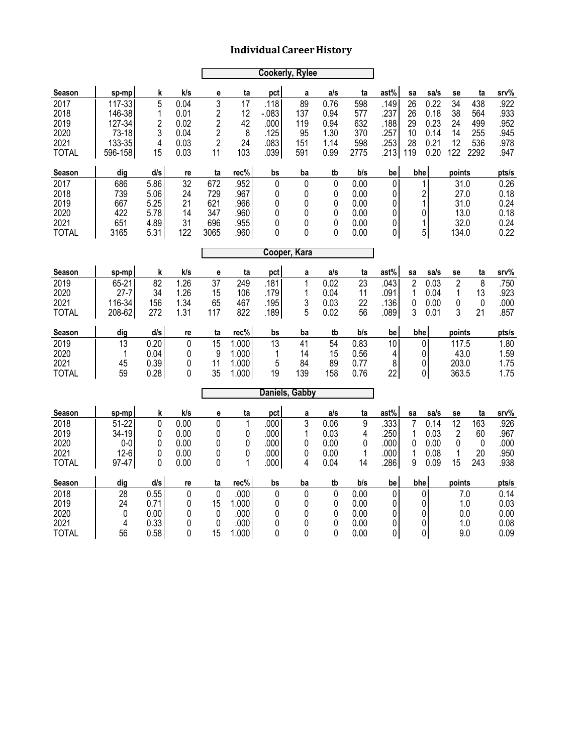|                                                      | <b>Cookerly, Rylee</b>                                   |                                              |                                                |                                                                    |                                               |                                                |                                      |                                              |                                              |                                                              |                                    |                                              |                                               |                                         |                                              |
|------------------------------------------------------|----------------------------------------------------------|----------------------------------------------|------------------------------------------------|--------------------------------------------------------------------|-----------------------------------------------|------------------------------------------------|--------------------------------------|----------------------------------------------|----------------------------------------------|--------------------------------------------------------------|------------------------------------|----------------------------------------------|-----------------------------------------------|-----------------------------------------|----------------------------------------------|
| Season                                               | sp-mp                                                    | k                                            | k/s                                            | e                                                                  | ta                                            | pct                                            | a                                    | a/s                                          | ta                                           | ast%                                                         | sa                                 | sa/s                                         | se                                            | ta                                      | srv%                                         |
| 2017<br>2018<br>2019<br>2020<br>2021<br><b>TOTAL</b> | 117-33<br>146-38<br>127-34<br>73-18<br>133-35<br>596-158 | 5<br>1<br>$\overline{c}$<br>3<br>4<br>15     | 0.04<br>0.01<br>0.02<br>0.04<br>0.03<br>0.03   | 3<br>$\overline{c}$<br>2<br>$\overline{c}$<br>$\overline{2}$<br>11 | $\overline{17}$<br>12<br>42<br>8<br>24<br>103 | .118<br>$-083$<br>.000<br>.125<br>.083<br>.039 | 89<br>137<br>119<br>95<br>151<br>591 | 0.76<br>0.94<br>0.94<br>1.30<br>1.14<br>0.99 | 598<br>577<br>632<br>370<br>598<br>2775      | .149<br>.237<br>.188<br>.257<br>.253<br>.213                 | 26<br>26<br>29<br>10<br>28<br>119  | 0.22<br>0.18<br>0.23<br>0.14<br>0.21<br>0.20 | 34<br>38<br>24<br>14<br>12<br>122             | 438<br>564<br>499<br>255<br>536<br>2292 | .922<br>.933<br>.952<br>.945<br>.978<br>.947 |
| Season                                               | dig                                                      | d/s                                          | re                                             | ta                                                                 | rec%                                          | bs                                             | ba                                   | tb                                           | b/s                                          | be                                                           | bhe                                |                                              | points                                        |                                         | pts/s                                        |
| 2017<br>2018<br>2019<br>2020<br>2021<br><b>TOTAL</b> | 686<br>739<br>667<br>422<br>651<br>3165                  | 5.86<br>5.06<br>5.25<br>5.78<br>4.89<br>5.31 | $\overline{32}$<br>24<br>21<br>14<br>31<br>122 | 672<br>729<br>621<br>347<br>696<br>3065                            | .952<br>.967<br>.966<br>.960<br>.955<br>.960  | $\mathbf 0$<br>0<br>0<br>0<br>0<br>0           | $\mathbf 0$<br>0<br>0<br>0<br>0<br>0 | 0<br>0<br>0<br>0<br>0<br>0                   | 0.00<br>0.00<br>0.00<br>0.00<br>0.00<br>0.00 | 0<br>0<br>0<br>0<br>$\overline{0}$<br> 0                     |                                    | 1<br>$\overline{c}$<br>1<br>0<br>1<br>5      | 31.0<br>27.0<br>31.0<br>13.0<br>32.0<br>134.0 |                                         | 0.26<br>0.18<br>0.24<br>0.18<br>0.24<br>0.22 |
|                                                      |                                                          |                                              |                                                |                                                                    |                                               | Cooper, Kara                                   |                                      |                                              |                                              |                                                              |                                    |                                              |                                               |                                         |                                              |
| Season                                               | sp-mp                                                    | k                                            | k/s                                            | e                                                                  | ta                                            | pct                                            | a                                    | a/s                                          | ta                                           | ast%                                                         | sa                                 | sa/s                                         | se                                            | ta                                      | srv%                                         |
| 2019<br>2020<br>2021<br><b>TOTAL</b>                 | 65-21<br>$27 - 7$<br>116-34<br>208-62                    | 82<br>34<br>156<br>272                       | 1.26<br>1.26<br>1.34<br>1.31                   | 37<br>15<br>65<br>117                                              | 249<br>106<br>467<br>822                      | .181<br>.179<br>.195<br>.189                   | $\mathbf{1}$<br>1<br>3<br>5          | 0.02<br>0.04<br>0.03<br>0.02                 | 23<br>11<br>22<br>56                         | .043<br>.091<br>.136<br>.089                                 | $\overline{2}$<br>1<br>0<br>3      | 0.03<br>0.04<br>0.00<br>0.01                 | $\overline{2}$<br>1<br>0<br>3                 | 8<br>13<br>$\mathbf 0$<br>21            | .750<br>.923<br>.000<br>.857                 |
| Season                                               | dig                                                      | d/s                                          | re                                             | ta                                                                 | rec%                                          | bs                                             | ba                                   | tb                                           | b/s                                          | be                                                           | bhe                                |                                              | points                                        |                                         | pts/s                                        |
| 2019<br>2020<br>2021<br><b>TOTAL</b>                 | 13<br>1<br>45<br>59                                      | 0.20<br>0.04<br>0.39<br>0.28                 | $\mathbf{0}$<br>0<br>0<br>0                    | 15<br>9<br>11<br>35                                                | 1.000<br>1.000<br>1.000<br>1.000              | $\overline{13}$<br>1<br>5<br>19                | 41<br>14<br>84<br>139                | $\overline{54}$<br>15<br>89<br>158           | 0.83<br>0.56<br>0.77<br>0.76                 | 10 <sup>1</sup><br>4<br>8 <sup>1</sup><br>22                 | 0<br>0<br>0<br>0                   |                                              | 117.5<br>43.0<br>203.0<br>363.5               |                                         | 1.80<br>1.59<br>1.75<br>1.75                 |
|                                                      |                                                          |                                              |                                                |                                                                    |                                               | <b>Daniels, Gabby</b>                          |                                      |                                              |                                              |                                                              |                                    |                                              |                                               |                                         |                                              |
| Season                                               | sp-mp                                                    | k                                            | k/s                                            | e                                                                  | ta                                            | pct                                            | a                                    | a/s                                          | ta                                           | ast%                                                         | sa                                 | sa/s                                         | se                                            | ta                                      | $srv\%$                                      |
| 2018<br>2019<br>2020<br>2021<br><b>TOTAL</b>         | $51 - 22$<br>34-19<br>$0-0$<br>$12-6$<br>97-47           | 0<br>0<br>0<br>0<br>0                        | 0.00<br>0.00<br>0.00<br>0.00<br>0.00           | 0<br>0<br>0<br>0<br>0                                              | $\mathbf{1}$<br>0<br>0<br>0<br>1              | .000<br>.000<br>.000<br>.000<br>.000           | 3<br>1<br>0<br>0<br>4                | 0.06<br>0.03<br>0.00<br>0.00<br>0.04         | 9<br>4<br>0<br>1<br>14                       | .333<br>.250<br>.000<br>.000<br>.286                         | $\overline{7}$<br>1<br>0<br>1<br>9 | 0.14<br>0.03<br>0.00<br>0.08<br>0.09         | 12<br>$\overline{2}$<br>$\Omega$<br>1<br>15   | 163<br>60<br>$\mathbf 0$<br>20<br>243   | .926<br>.967<br>.000<br>.950<br>.938         |
| Season                                               | dig                                                      | d/s                                          | re                                             | ta                                                                 | rec%                                          | bs                                             | ba                                   | tb                                           | b/s                                          | be                                                           | bhe                                |                                              | points                                        |                                         | pts/s                                        |
| 2018<br>2019<br>2020<br>2021<br><b>TOTAL</b>         | $\overline{28}$<br>24<br>0<br>4<br>56                    | 0.55<br>0.71<br>0.00<br>0.33<br>0.58         | $\pmb{0}$<br>0<br>$\mathbf{0}$<br>0<br>0       | $\mathbf 0$<br>15<br>$\mathbf 0$<br>0<br>15                        | .000<br>1.000<br>.000<br>.000<br>1.000        | $\pmb{0}$<br>0<br>0<br>0<br>0                  | $\mathbf 0$<br>0<br>0<br>0<br>0      | $\mathbf 0$<br>0<br>0<br>0<br>0              | 0.00<br>0.00<br>0.00<br>0.00<br>0.00         | $\overline{0}$<br>$\overline{0}$<br>0<br>0<br>$\overline{0}$ |                                    | 0<br>0<br>0<br>0<br>0                        | 7.0<br>1.0<br>0.0<br>1.0<br>9.0               |                                         | 0.14<br>0.03<br>0.00<br>0.08<br>0.09         |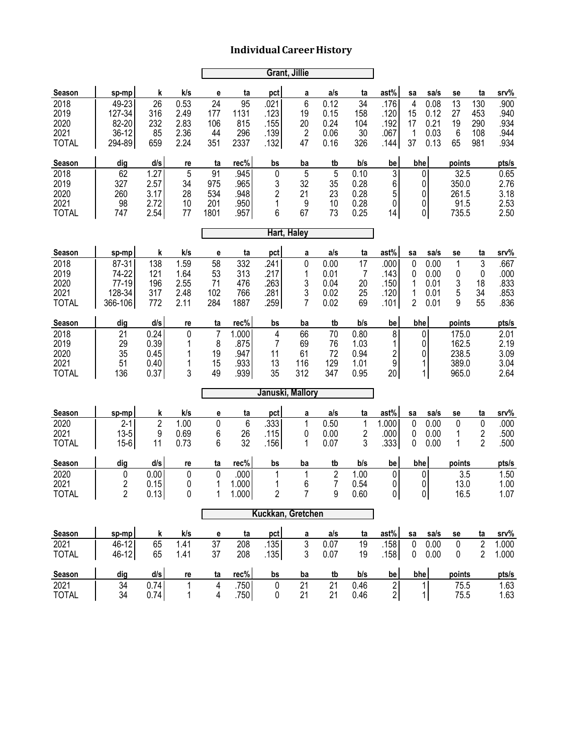|                      | <b>Grant, Jillie</b> |                     |                |                      |                |                     |                     |                |              |                       |                |                   |                |                                  |                |
|----------------------|----------------------|---------------------|----------------|----------------------|----------------|---------------------|---------------------|----------------|--------------|-----------------------|----------------|-------------------|----------------|----------------------------------|----------------|
| Season               | sp-mp                | k                   | k/s            | e                    | ta             | pct                 | a                   | a/s            | ta           | ast%                  | sa             | sa/s              | se             | ta                               | srv%           |
| 2018                 | 49-23                | 26                  | 0.53           | 24                   | 95             | .021                | 6                   | 0.12           | 34           | .176                  | $\overline{4}$ | 0.08              | 13             | 130                              | .900           |
| 2019<br>2020         | 127-34<br>82-20      | 316<br>232          | 2.49<br>2.83   | 177<br>106           | 1131<br>815    | .123<br>.155        | 19<br>20            | 0.15<br>0.24   | 158<br>104   | .120<br>.192          | 15<br>17       | 0.12<br>0.21      | 27<br>19       | 453<br>290                       | .940<br>.934   |
| 2021                 | 36-12                | 85                  | 2.36           | 44                   | 296            | .139                | 2                   | 0.06           | 30           | .067                  | 1              | 0.03              | 6              | 108                              | .944           |
| <b>TOTAL</b>         | 294-89               | 659                 | 2.24           | 351                  | 2337           | .132                | 47                  | 0.16           | 326          | .144                  | 37             | 0.13              | 65             | 981                              | .934           |
| Season               | dig                  | d/s                 | re             | ta                   | rec%           | bs                  | ba                  | tb             | b/s          | be                    | bhe            |                   | points         |                                  | pts/s          |
| 2018                 | 62                   | 1.27                | 5              | 91                   | .945           | 0                   | 5                   | 5              | 0.10         | 3 <sup>1</sup>        |                | $\overline{0}$    | 32.5           |                                  | 0.65           |
| 2019<br>2020         | 327<br>260           | 2.57<br>3.17        | 34<br>28       | 975<br>534           | .965<br>.948   | 3<br>$\overline{c}$ | 32<br>21            | 35<br>23       | 0.28<br>0.28 | 6<br>5                |                | 0<br>0            | 350.0<br>261.5 |                                  | 2.76<br>3.18   |
| 2021                 | 98                   | 2.72                | 10             | 201                  | .950           | 1                   | 9                   | 10             | 0.28         | $\overline{0}$        |                | 0                 | 91.5           |                                  | 2.53           |
| <b>TOTAL</b>         | 747                  | 2.54                | 77             | 1801                 | .957           | 6                   | 67                  | 73             | 0.25         | 4                     |                | 0                 | 735.5          |                                  | 2.50           |
| Hart, Haley          |                      |                     |                |                      |                |                     |                     |                |              |                       |                |                   |                |                                  |                |
| Season               | sp-mp                | k                   | k/s            | e                    | ta             | pct                 | a                   | a/s            | ta           | ast%                  | sa             | sa/s              | se             | ta                               | srv%           |
| 2018                 | 87-31                | 138                 | 1.59           | 58                   | 332            | .241                | 0                   | 0.00           | 17           | .000                  | 0              | 0.00              | 1              | 3                                | .667           |
| 2019                 | 74-22                | 121                 | 1.64           | 53                   | 313            | .217                | 1                   | 0.01           | 7            | .143                  | 0              | 0.00              | 0              | 0                                | .000           |
| 2020                 | 77-19<br>128-34      | 196                 | 2.55           | 71                   | 476            | .263                | 3                   | 0.04           | 20           | .150                  | 1              | 0.01              | 3              | 18                               | .833           |
| 2021<br><b>TOTAL</b> | 366-106              | 317<br>772          | 2.48<br>2.11   | 102<br>284           | 766<br>1887    | .281<br>.259        | 3<br>7              | 0.02<br>0.02   | 25<br>69     | .120<br>.101          | 1<br>2         | 0.01<br>0.01      | 5<br>9         | 34<br>55                         | .853<br>.836   |
| Season               | dig                  | d/s                 | re             | ta                   | rec%           | bs                  | ba                  | tb             | b/s          | be                    | bhe            |                   | points         |                                  | pts/s          |
| 2018                 | 21                   | 0.24                | 0              | $\overline{7}$       | 1.000          | 4                   | 66                  | 70             | 0.80         | 8 <sup>1</sup>        |                | 0                 | 175.0          |                                  | 2.01           |
| 2019                 | 29                   | 0.39                | 1              | 8                    | .875           | 7                   | 69                  | 76             | 1.03         | 1                     |                | 0                 | 162.5          |                                  | 2.19           |
| 2020                 | 35                   | 0.45                | 1              | 19                   | .947           | 11                  | 61                  | 72             | 0.94         | $\boldsymbol{2}$      |                | 0                 | 238.5          |                                  | 3.09           |
| 2021<br><b>TOTAL</b> | 51<br>136            | 0.40<br>0.37        | 1<br>3         | 15<br>49             | .933<br>.939   | 13<br>35            | 116<br>312          | 129<br>347     | 1.01<br>0.95 | 9 <br>20 <sup>1</sup> |                | 1<br>1            | 389.0<br>965.0 |                                  | 3.04<br>2.64   |
|                      |                      |                     |                |                      |                |                     |                     |                |              |                       |                |                   |                |                                  |                |
|                      |                      |                     |                |                      |                | Januski, Mallory    |                     |                |              |                       |                |                   |                |                                  |                |
| Season               | sp-mp                | k<br>$\overline{2}$ | k/s            | e                    | ta             | pct                 | a                   | a/s            | ta<br>1      | ast%                  | sa             | sa/s              | se             | ta                               | srv%           |
| 2020<br>2021         | $2 - 1$<br>$13 - 5$  | 9                   | 1.00<br>0.69   | 0<br>6               | 6<br>26        | .333<br>.115        | 1<br>0              | 0.50<br>0.00   | 2            | 1.000<br>.000         | 0<br>0         | 0.00<br>0.00      | 0<br>1         | 0<br>2                           | .000<br>.500   |
| <b>TOTAL</b>         | $15 - 6$             | 11                  | 0.73           | 6                    | 32             | .156                | 1                   | 0.07           | 3            | .333                  | 0              | 0.00              | 1              | $\overline{2}$                   | .500           |
| Season               | dig                  | d/s                 | re             | ta                   | rec%           | bs                  | ba                  | tb             | b/s          | be                    | bhe            |                   | points         |                                  | pts/s          |
| 2020                 | 0                    | 0.00                | $\pmb{0}$      | $\pmb{0}$            | .000           | 1                   | $\mathbf 1$         | $\overline{c}$ | 1.00         | $\pmb{0}$             |                | $\pmb{0}$         | 3.5            |                                  | 1.50           |
| 2021                 | 2<br>$\overline{c}$  | 0.15                | 0<br>$\pmb{0}$ | 1<br>1               | 1.000<br>1.000 | 1<br>$\overline{c}$ | 6<br>$\overline{7}$ | 7<br>9         | 0.54<br>0.60 | 0                     |                | 0                 | 13.0<br>16.5   |                                  | 1.00<br>1.07   |
| <b>TOTAL</b>         |                      | 0.13                |                |                      |                |                     |                     |                |              | 0                     |                | 0                 |                |                                  |                |
|                      |                      |                     |                |                      |                | Kuckkan, Gretchen   |                     |                |              |                       |                |                   |                |                                  |                |
| Season               | sp-mp                | k                   | k/s            | е                    | ta             | pct                 | a                   | a/s            | ta           | ast%                  | sa             | sa/s              | se             | ta                               | srv%           |
| 2021<br><b>TOTAL</b> | 46-12<br>$46 - 12$   | 65<br>65            | 1.41<br>1.41   | 37<br>37             | 208<br>208     | .135<br>.135        | 3<br>3              | 0.07<br>0.07   | 19<br>19     | .158<br>.158          | $\pmb{0}$<br>0 | 0.00<br>0.00      | $\pmb{0}$<br>0 | $\overline{2}$<br>$\overline{2}$ | 1.000<br>1.000 |
|                      |                      |                     |                |                      |                |                     |                     |                |              |                       |                |                   |                |                                  |                |
| Season<br>2021       | dig<br>34            | d/s<br>0.74         | re<br>1        | ta<br>$\overline{4}$ | rec%<br>.750   | bs                  | ba<br>21            | tb<br>21       | b/s<br>0.46  | be                    |                | bhe               | points         |                                  | pts/s<br>1.63  |
| <b>TOTAL</b>         | 34                   | 0.74                | 1              | 4                    | .750           | 0<br>0              | 21                  | 21             | 0.46         | 2 <br>$2\vert$        |                | $\mathbf{1}$<br>1 | 75.5<br>75.5   |                                  | 1.63           |
|                      |                      |                     |                |                      |                |                     |                     |                |              |                       |                |                   |                |                                  |                |